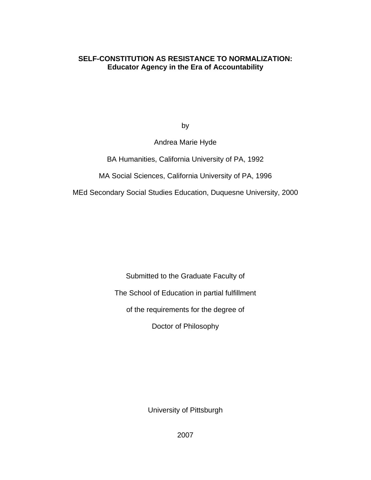### **SELF-CONSTITUTION AS RESISTANCE TO NORMALIZATION: Educator Agency in the Era of Accountability**

by

Andrea Marie Hyde

BA Humanities, California University of PA, 1992

MA Social Sciences, California University of PA, 1996

MEd Secondary Social Studies Education, Duquesne University, 2000

Submitted to the Graduate Faculty of

The School of Education in partial fulfillment

of the requirements for the degree of

Doctor of Philosophy

University of Pittsburgh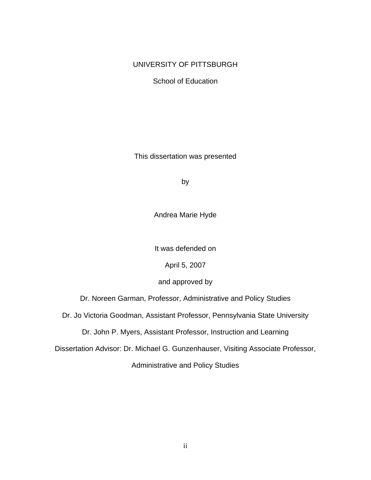### UNIVERSITY OF PITTSBURGH

School of Education

This dissertation was presented

by

Andrea Marie Hyde

It was defended on

April 5, 2007

and approved by

Dr. Noreen Garman, Professor, Administrative and Policy Studies

Dr. Jo Victoria Goodman, Assistant Professor, Pennsylvania State University

Dr. John P. Myers, Assistant Professor, Instruction and Learning

Dissertation Advisor: Dr. Michael G. Gunzenhauser, Visiting Associate Professor,

Administrative and Policy Studies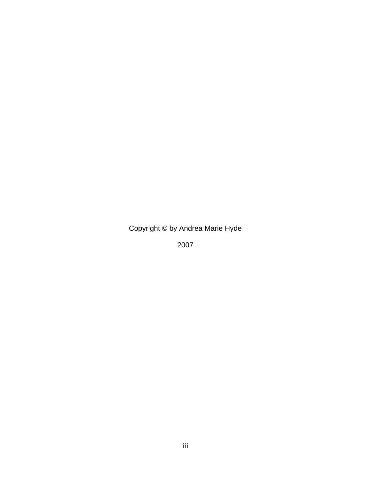Copyright © by Andrea Marie Hyde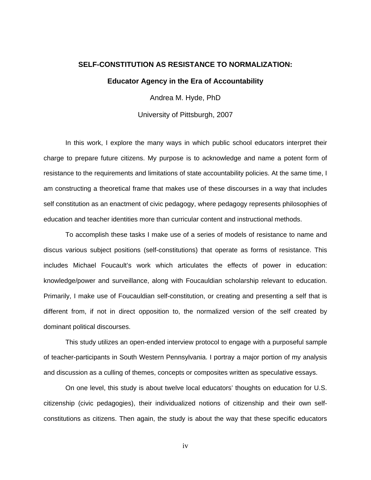# **SELF-CONSTITUTION AS RESISTANCE TO NORMALIZATION: Educator Agency in the Era of Accountability**

Andrea M. Hyde, PhD

University of Pittsburgh, 2007

In this work, I explore the many ways in which public school educators interpret their charge to prepare future citizens. My purpose is to acknowledge and name a potent form of resistance to the requirements and limitations of state accountability policies. At the same time, I am constructing a theoretical frame that makes use of these discourses in a way that includes self constitution as an enactment of civic pedagogy, where pedagogy represents philosophies of education and teacher identities more than curricular content and instructional methods.

To accomplish these tasks I make use of a series of models of resistance to name and discus various subject positions (self-constitutions) that operate as forms of resistance. This includes Michael Foucault's work which articulates the effects of power in education: knowledge/power and surveillance, along with Foucauldian scholarship relevant to education. Primarily, I make use of Foucauldian self-constitution, or creating and presenting a self that is different from, if not in direct opposition to, the normalized version of the self created by dominant political discourses.

This study utilizes an open-ended interview protocol to engage with a purposeful sample of teacher-participants in South Western Pennsylvania. I portray a major portion of my analysis and discussion as a culling of themes, concepts or composites written as speculative essays.

On one level, this study is about twelve local educators' thoughts on education for U.S. citizenship (civic pedagogies), their individualized notions of citizenship and their own selfconstitutions as citizens. Then again, the study is about the way that these specific educators

iv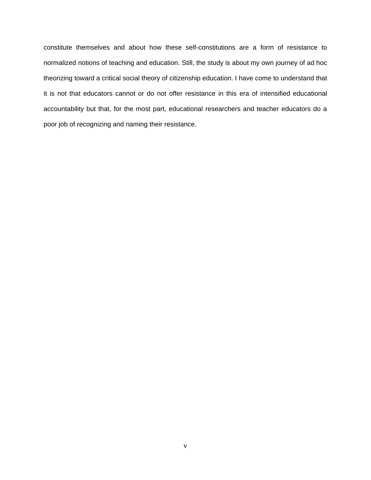constitute themselves and about how these self-constitutions are a form of resistance to normalized notions of teaching and education. Still, the study is about my own journey of ad hoc theorizing toward a critical social theory of citizenship education. I have come to understand that it is not that educators cannot or do not offer resistance in this era of intensified educational accountability but that, for the most part, educational researchers and teacher educators do a poor job of recognizing and naming their resistance.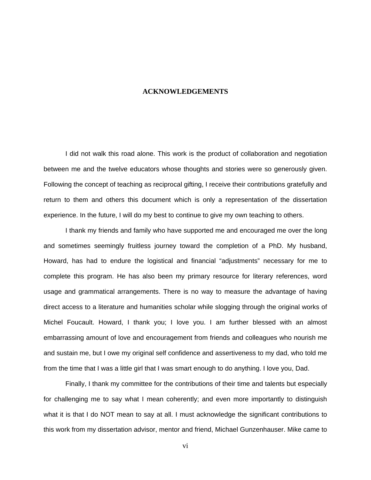#### **ACKNOWLEDGEMENTS**

I did not walk this road alone. This work is the product of collaboration and negotiation between me and the twelve educators whose thoughts and stories were so generously given. Following the concept of teaching as reciprocal gifting, I receive their contributions gratefully and return to them and others this document which is only a representation of the dissertation experience. In the future, I will do my best to continue to give my own teaching to others.

I thank my friends and family who have supported me and encouraged me over the long and sometimes seemingly fruitless journey toward the completion of a PhD. My husband, Howard, has had to endure the logistical and financial "adjustments" necessary for me to complete this program. He has also been my primary resource for literary references, word usage and grammatical arrangements. There is no way to measure the advantage of having direct access to a literature and humanities scholar while slogging through the original works of Michel Foucault. Howard, I thank you; I love you. I am further blessed with an almost embarrassing amount of love and encouragement from friends and colleagues who nourish me and sustain me, but I owe my original self confidence and assertiveness to my dad, who told me from the time that I was a little girl that I was smart enough to do anything. I love you, Dad.

Finally, I thank my committee for the contributions of their time and talents but especially for challenging me to say what I mean coherently; and even more importantly to distinguish what it is that I do NOT mean to say at all. I must acknowledge the significant contributions to this work from my dissertation advisor, mentor and friend, Michael Gunzenhauser. Mike came to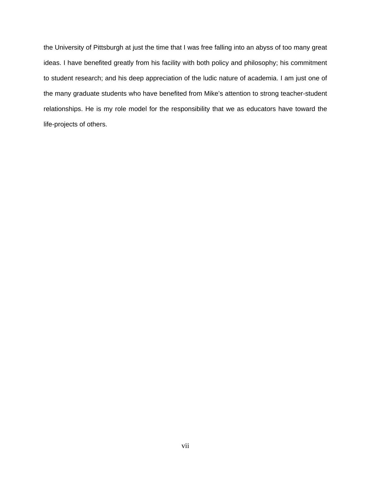the University of Pittsburgh at just the time that I was free falling into an abyss of too many great ideas. I have benefited greatly from his facility with both policy and philosophy; his commitment to student research; and his deep appreciation of the ludic nature of academia. I am just one of the many graduate students who have benefited from Mike's attention to strong teacher-student relationships. He is my role model for the responsibility that we as educators have toward the life-projects of others.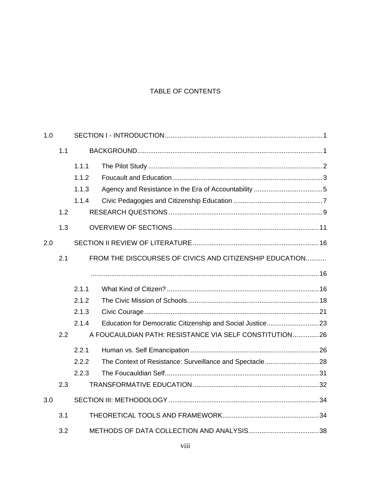## TABLE OF CONTENTS

| 1.0 |     |                                                         |                                                         |  |
|-----|-----|---------------------------------------------------------|---------------------------------------------------------|--|
|     | 1.1 |                                                         |                                                         |  |
|     |     | 1.1.1                                                   |                                                         |  |
|     |     | 1.1.2                                                   |                                                         |  |
|     |     | 1.1.3                                                   |                                                         |  |
|     |     | 1.1.4                                                   |                                                         |  |
|     | 1.2 |                                                         |                                                         |  |
|     | 1.3 |                                                         |                                                         |  |
| 2.0 |     |                                                         |                                                         |  |
|     | 2.1 | FROM THE DISCOURSES OF CIVICS AND CITIZENSHIP EDUCATION |                                                         |  |
|     |     |                                                         |                                                         |  |
|     |     | 2.1.1                                                   |                                                         |  |
|     |     | 2.1.2                                                   |                                                         |  |
|     |     | 2.1.3                                                   |                                                         |  |
|     |     | 2.1.4                                                   |                                                         |  |
|     | 2.2 |                                                         | A FOUCAULDIAN PATH: RESISTANCE VIA SELF CONSTITUTION26  |  |
|     |     | 2.2.1                                                   |                                                         |  |
|     |     | 2.2.2                                                   | The Context of Resistance: Surveillance and Spectacle28 |  |
|     |     | 2.2.3                                                   |                                                         |  |
|     | 2.3 |                                                         |                                                         |  |
| 3.0 |     |                                                         |                                                         |  |
|     | 3.1 |                                                         |                                                         |  |
|     | 3.2 |                                                         |                                                         |  |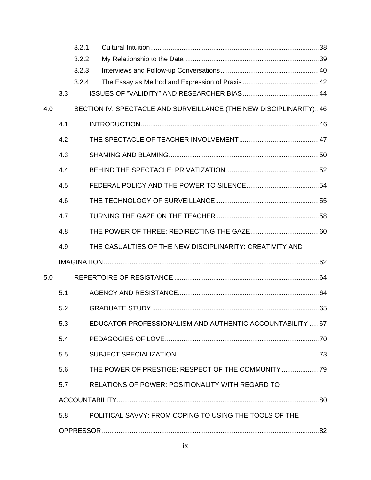|     |     | 3.2.1 |                                                                   |  |
|-----|-----|-------|-------------------------------------------------------------------|--|
|     |     | 3.2.2 |                                                                   |  |
|     |     | 3.2.3 |                                                                   |  |
|     |     | 3.2.4 |                                                                   |  |
|     | 3.3 |       |                                                                   |  |
| 4.0 |     |       | SECTION IV: SPECTACLE AND SURVEILLANCE (THE NEW DISCIPLINARITY)46 |  |
|     | 4.1 |       |                                                                   |  |
|     | 4.2 |       |                                                                   |  |
|     | 4.3 |       |                                                                   |  |
|     | 4.4 |       |                                                                   |  |
|     | 4.5 |       |                                                                   |  |
|     | 4.6 |       |                                                                   |  |
|     | 4.7 |       |                                                                   |  |
|     | 4.8 |       |                                                                   |  |
|     | 4.9 |       | THE CASUALTIES OF THE NEW DISCIPLINARITY: CREATIVITY AND          |  |
|     |     |       |                                                                   |  |
| 5.0 |     |       |                                                                   |  |
|     | 5.1 |       |                                                                   |  |
|     | 5.2 |       |                                                                   |  |
|     | 5.3 |       | EDUCATOR PROFESSIONALISM AND AUTHENTIC ACCOUNTABILITY  67         |  |
|     | 5.4 |       |                                                                   |  |
|     | 5.5 |       |                                                                   |  |
|     | 5.6 |       | THE POWER OF PRESTIGE: RESPECT OF THE COMMUNITY                   |  |
|     | 5.7 |       | <b>RELATIONS OF POWER: POSITIONALITY WITH REGARD TO</b>           |  |
|     |     |       |                                                                   |  |
|     | 5.8 |       | POLITICAL SAVVY: FROM COPING TO USING THE TOOLS OF THE            |  |
|     |     |       |                                                                   |  |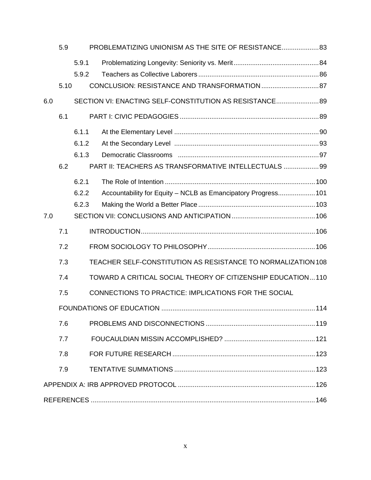|     | 5.9  |       | PROBLEMATIZING UNIONISM AS THE SITE OF RESISTANCE 83         |  |
|-----|------|-------|--------------------------------------------------------------|--|
|     |      | 5.9.1 |                                                              |  |
|     |      | 5.9.2 |                                                              |  |
|     | 5.10 |       |                                                              |  |
| 6.0 |      |       | SECTION VI: ENACTING SELF-CONSTITUTION AS RESISTANCE 89      |  |
|     | 6.1  |       |                                                              |  |
|     |      | 6.1.1 |                                                              |  |
|     |      | 6.1.2 |                                                              |  |
|     |      | 6.1.3 |                                                              |  |
|     | 6.2  |       | PART II: TEACHERS AS TRANSFORMATIVE INTELLECTUALS  99        |  |
|     |      | 6.2.1 |                                                              |  |
|     |      | 6.2.2 | Accountability for Equity - NCLB as Emancipatory Progress101 |  |
|     |      | 6.2.3 |                                                              |  |
| 7.0 |      |       |                                                              |  |
|     |      |       |                                                              |  |
|     | 7.1  |       |                                                              |  |
|     | 7.2  |       |                                                              |  |
|     | 7.3  |       | TEACHER SELF-CONSTITUTION AS RESISTANCE TO NORMALIZATION 108 |  |
|     | 7.4  |       | TOWARD A CRITICAL SOCIAL THEORY OF CITIZENSHIP EDUCATION110  |  |
|     | 7.5  |       | CONNECTIONS TO PRACTICE: IMPLICATIONS FOR THE SOCIAL         |  |
|     |      |       |                                                              |  |
|     | 7.6  |       |                                                              |  |
|     | 7.7  |       |                                                              |  |
|     | 7.8  |       |                                                              |  |
|     | 7.9  |       |                                                              |  |
|     |      |       |                                                              |  |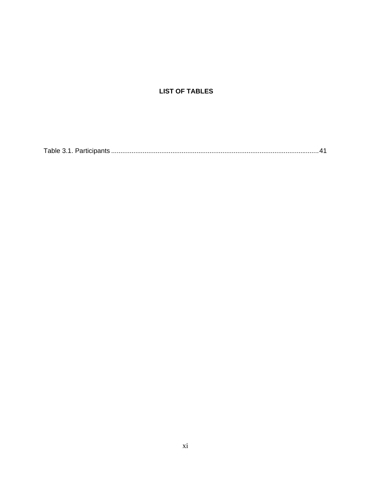# **LIST OF TABLES**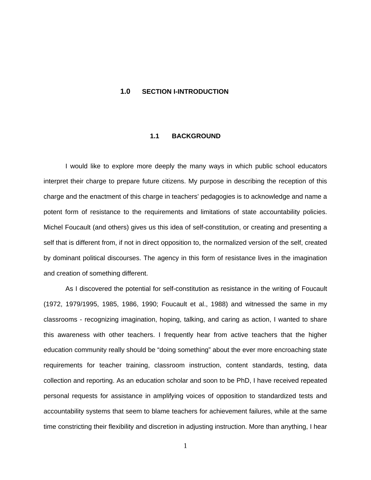#### <span id="page-11-1"></span><span id="page-11-0"></span>**1.0 SECTION I-INTRODUCTION**

#### **1.1 BACKGROUND**

I would like to explore more deeply the many ways in which public school educators interpret their charge to prepare future citizens. My purpose in describing the reception of this charge and the enactment of this charge in teachers' pedagogies is to acknowledge and name a potent form of resistance to the requirements and limitations of state accountability policies. Michel Foucault (and others) gives us this idea of self-constitution, or creating and presenting a self that is different from, if not in direct opposition to, the normalized version of the self, created by dominant political discourses. The agency in this form of resistance lives in the imagination and creation of something different.

As I discovered the potential for self-constitution as resistance in the writing of Foucault (1972, 1979/1995, 1985, 1986, 1990; Foucault et al., 1988) and witnessed the same in my classrooms - recognizing imagination, hoping, talking, and caring as action, I wanted to share this awareness with other teachers. I frequently hear from active teachers that the higher education community really should be "doing something" about the ever more encroaching state requirements for teacher training, classroom instruction, content standards, testing, data collection and reporting. As an education scholar and soon to be PhD, I have received repeated personal requests for assistance in amplifying voices of opposition to standardized tests and accountability systems that seem to blame teachers for achievement failures, while at the same time constricting their flexibility and discretion in adjusting instruction. More than anything, I hear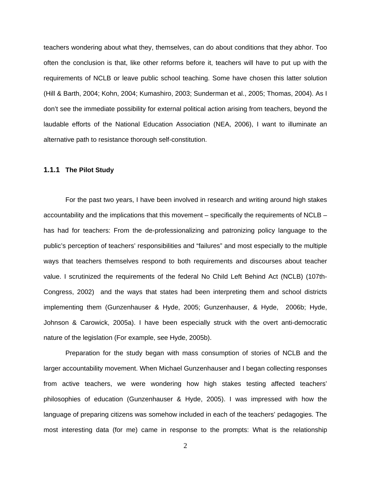<span id="page-12-0"></span>teachers wondering about what they, themselves, can do about conditions that they abhor. Too often the conclusion is that, like other reforms before it, teachers will have to put up with the requirements of NCLB or leave public school teaching. Some have chosen this latter solution (Hill & Barth, 2004; Kohn, 2004; Kumashiro, 2003; Sunderman et al., 2005; Thomas, 2004). As I don't see the immediate possibility for external political action arising from teachers, beyond the laudable efforts of the National Education Association (NEA, 2006), I want to illuminate an alternative path to resistance thorough self-constitution.

#### **1.1.1 The Pilot Study**

For the past two years, I have been involved in research and writing around high stakes accountability and the implications that this movement – specifically the requirements of NCLB – has had for teachers: From the de-professionalizing and patronizing policy language to the public's perception of teachers' responsibilities and "failures" and most especially to the multiple ways that teachers themselves respond to both requirements and discourses about teacher value. I scrutinized the requirements of the federal No Child Left Behind Act (NCLB) (107th-Congress, 2002) and the ways that states had been interpreting them and school districts implementing them (Gunzenhauser & Hyde, 2005; Gunzenhauser, & Hyde, 2006b; Hyde, Johnson & Carowick, 2005a). I have been especially struck with the overt anti-democratic nature of the legislation (For example, see Hyde, 2005b).

Preparation for the study began with mass consumption of stories of NCLB and the larger accountability movement. When Michael Gunzenhauser and I began collecting responses from active teachers, we were wondering how high stakes testing affected teachers' philosophies of education (Gunzenhauser & Hyde, 2005). I was impressed with how the language of preparing citizens was somehow included in each of the teachers' pedagogies. The most interesting data (for me) came in response to the prompts: What is the relationship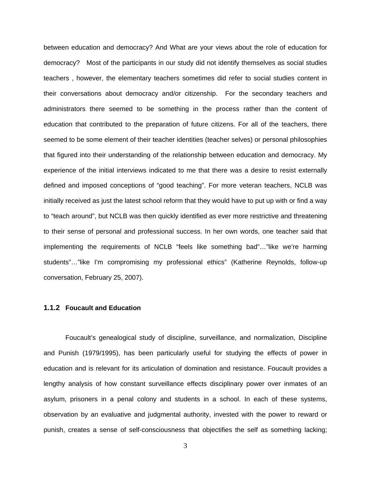<span id="page-13-0"></span>between education and democracy? And What are your views about the role of education for democracy? Most of the participants in our study did not identify themselves as social studies teachers , however, the elementary teachers sometimes did refer to social studies content in their conversations about democracy and/or citizenship. For the secondary teachers and administrators there seemed to be something in the process rather than the content of education that contributed to the preparation of future citizens. For all of the teachers, there seemed to be some element of their teacher identities (teacher selves) or personal philosophies that figured into their understanding of the relationship between education and democracy. My experience of the initial interviews indicated to me that there was a desire to resist externally defined and imposed conceptions of "good teaching". For more veteran teachers, NCLB was initially received as just the latest school reform that they would have to put up with or find a way to "teach around", but NCLB was then quickly identified as ever more restrictive and threatening to their sense of personal and professional success. In her own words, one teacher said that implementing the requirements of NCLB "feels like something bad"…"like we're harming students"…"like I'm compromising my professional ethics" (Katherine Reynolds, follow-up conversation, February 25, 2007).

#### **1.1.2 Foucault and Education**

Foucault's genealogical study of discipline, surveillance, and normalization, Discipline and Punish (1979/1995), has been particularly useful for studying the effects of power in education and is relevant for its articulation of domination and resistance. Foucault provides a lengthy analysis of how constant surveillance effects disciplinary power over inmates of an asylum, prisoners in a penal colony and students in a school. In each of these systems, observation by an evaluative and judgmental authority, invested with the power to reward or punish, creates a sense of self-consciousness that objectifies the self as something lacking;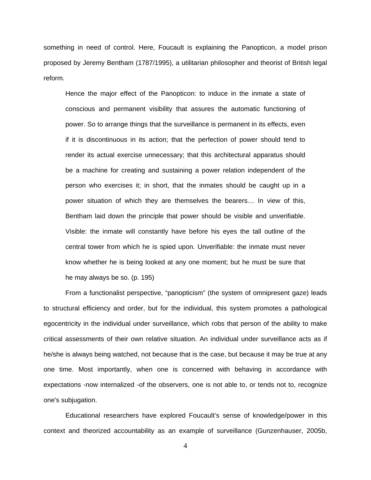something in need of control. Here, Foucault is explaining the Panopticon, a model prison proposed by Jeremy Bentham (1787/1995), a utilitarian philosopher and theorist of British legal reform.

Hence the major effect of the Panopticon: to induce in the inmate a state of conscious and permanent visibility that assures the automatic functioning of power. So to arrange things that the surveillance is permanent in its effects, even if it is discontinuous in its action; that the perfection of power should tend to render its actual exercise unnecessary; that this architectural apparatus should be a machine for creating and sustaining a power relation independent of the person who exercises it; in short, that the inmates should be caught up in a power situation of which they are themselves the bearers… In view of this, Bentham laid down the principle that power should be visible and unverifiable. Visible: the inmate will constantly have before his eyes the tall outline of the central tower from which he is spied upon. Unverifiable: the inmate must never know whether he is being looked at any one moment; but he must be sure that he may always be so. (p. 195)

From a functionalist perspective, "panopticism" (the system of omnipresent gaze) leads to structural efficiency and order, but for the individual, this system promotes a pathological egocentricity in the individual under surveillance, which robs that person of the ability to make critical assessments of their own relative situation. An individual under surveillance acts as if he/she is always being watched, not because that is the case, but because it may be true at any one time. Most importantly, when one is concerned with behaving in accordance with expectations -now internalized -of the observers, one is not able to, or tends not to, recognize one's subjugation.

Educational researchers have explored Foucault's sense of knowledge/power in this context and theorized accountability as an example of surveillance (Gunzenhauser, 2005b,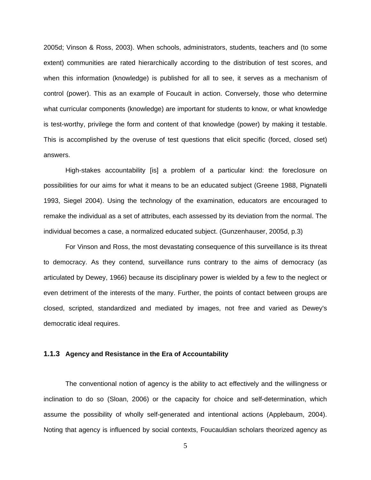2005d; Vinson & Ross, 2003). When schools, administrators, students, teachers and (to some extent) communities are rated hierarchically according to the distribution of test scores, and when this information (knowledge) is published for all to see, it serves as a mechanism of control (power). This as an example of Foucault in action. Conversely, those who determine what curricular components (knowledge) are important for students to know, or what knowledge is test-worthy, privilege the form and content of that knowledge (power) by making it testable. This is accomplished by the overuse of test questions that elicit specific (forced, closed set) answers.

High-stakes accountability [is] a problem of a particular kind: the foreclosure on possibilities for our aims for what it means to be an educated subject (Greene 1988, Pignatelli 1993, Siegel 2004). Using the technology of the examination, educators are encouraged to remake the individual as a set of attributes, each assessed by its deviation from the normal. The individual becomes a case, a normalized educated subject. (Gunzenhauser, 2005d, p.3)

For Vinson and Ross, the most devastating consequence of this surveillance is its threat to democracy. As they contend, surveillance runs contrary to the aims of democracy (as articulated by Dewey, 1966) because its disciplinary power is wielded by a few to the neglect or even detriment of the interests of the many. Further, the points of contact between groups are closed, scripted, standardized and mediated by images, not free and varied as Dewey's democratic ideal requires.

#### **1.1.3 Agency and Resistance in the Era of Accountability**

The conventional notion of agency is the ability to act effectively and the willingness or inclination to do so (Sloan, 2006) or the capacity for choice and self-determination, which assume the possibility of wholly self-generated and intentional actions (Applebaum, 2004). Noting that agency is influenced by social contexts, Foucauldian scholars theorized agency as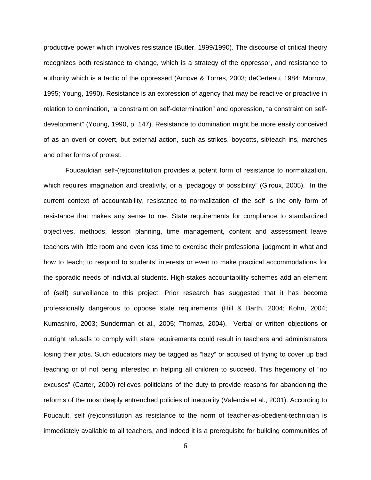<span id="page-16-0"></span>productive power which involves resistance (Butler, 1999/1990). The discourse of critical theory recognizes both resistance to change, which is a strategy of the oppressor, and resistance to authority which is a tactic of the oppressed (Arnove & Torres, 2003; deCerteau, 1984; Morrow, 1995; Young, 1990). Resistance is an expression of agency that may be reactive or proactive in relation to domination, "a constraint on self-determination" and oppression, "a constraint on selfdevelopment" (Young, 1990, p. 147). Resistance to domination might be more easily conceived of as an overt or covert, but external action, such as strikes, boycotts, sit/teach ins, marches and other forms of protest.

Foucauldian self-(re)constitution provides a potent form of resistance to normalization, which requires imagination and creativity, or a "pedagogy of possibility" (Giroux, 2005). In the current context of accountability, resistance to normalization of the self is the only form of resistance that makes any sense to me. State requirements for compliance to standardized objectives, methods, lesson planning, time management, content and assessment leave teachers with little room and even less time to exercise their professional judgment in what and how to teach; to respond to students' interests or even to make practical accommodations for the sporadic needs of individual students. High-stakes accountability schemes add an element of (self) surveillance to this project. Prior research has suggested that it has become professionally dangerous to oppose state requirements (Hill & Barth, 2004; Kohn, 2004; Kumashiro, 2003; Sunderman et al., 2005; Thomas, 2004). Verbal or written objections or outright refusals to comply with state requirements could result in teachers and administrators losing their jobs. Such educators may be tagged as "lazy" or accused of trying to cover up bad teaching or of not being interested in helping all children to succeed. This hegemony of "no excuses" (Carter, 2000) relieves politicians of the duty to provide reasons for abandoning the reforms of the most deeply entrenched policies of inequality (Valencia et al., 2001). According to Foucault, self (re)constitution as resistance to the norm of teacher-as-obedient-technician is immediately available to all teachers, and indeed it is a prerequisite for building communities of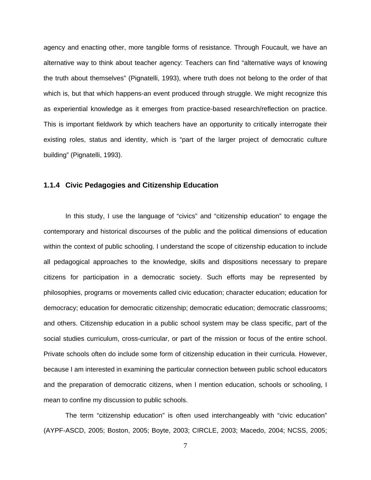<span id="page-17-0"></span>agency and enacting other, more tangible forms of resistance. Through Foucault, we have an alternative way to think about teacher agency: Teachers can find "alternative ways of knowing the truth about themselves" (Pignatelli, 1993), where truth does not belong to the order of that which is, but that which happens-an event produced through struggle. We might recognize this as experiential knowledge as it emerges from practice-based research/reflection on practice. This is important fieldwork by which teachers have an opportunity to critically interrogate their existing roles, status and identity, which is "part of the larger project of democratic culture building" (Pignatelli, 1993).

#### **1.1.4 Civic Pedagogies and Citizenship Education**

In this study, I use the language of "civics" and "citizenship education" to engage the contemporary and historical discourses of the public and the political dimensions of education within the context of public schooling. I understand the scope of citizenship education to include all pedagogical approaches to the knowledge, skills and dispositions necessary to prepare citizens for participation in a democratic society. Such efforts may be represented by philosophies, programs or movements called civic education; character education; education for democracy; education for democratic citizenship; democratic education; democratic classrooms; and others. Citizenship education in a public school system may be class specific, part of the social studies curriculum, cross-curricular, or part of the mission or focus of the entire school. Private schools often do include some form of citizenship education in their curricula. However, because I am interested in examining the particular connection between public school educators and the preparation of democratic citizens, when I mention education, schools or schooling, I mean to confine my discussion to public schools.

The term "citizenship education" is often used interchangeably with "civic education" (AYPF-ASCD, 2005; Boston, 2005; Boyte, 2003; CIRCLE, 2003; Macedo, 2004; NCSS, 2005;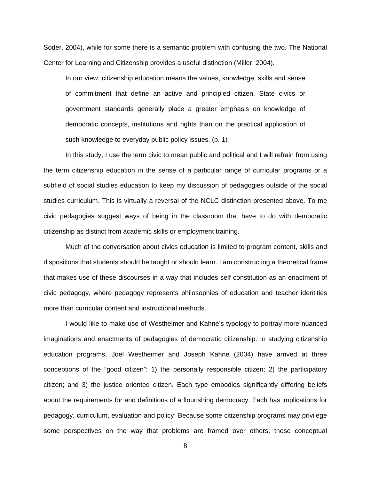Soder, 2004), while for some there is a semantic problem with confusing the two. The National Center for Learning and Citizenship provides a useful distinction (Miller, 2004).

In our view, citizenship education means the values, knowledge, skills and sense of commitment that define an active and principled citizen. State civics or government standards generally place a greater emphasis on knowledge of democratic concepts, institutions and rights than on the practical application of such knowledge to everyday public policy issues. (p. 1)

In this study, I use the term civic to mean public and political and I will refrain from using the term citizenship education in the sense of a particular range of curricular programs or a subfield of social studies education to keep my discussion of pedagogies outside of the social studies curriculum. This is virtually a reversal of the NCLC distinction presented above. To me civic pedagogies suggest ways of being in the classroom that have to do with democratic citizenship as distinct from academic skills or employment training.

Much of the conversation about civics education is limited to program content, skills and dispositions that students should be taught or should learn. I am constructing a theoretical frame that makes use of these discourses in a way that includes self constitution as an enactment of civic pedagogy, where pedagogy represents philosophies of education and teacher identities more than curricular content and instructional methods.

I would like to make use of Westheimer and Kahne's typology to portray more nuanced imaginations and enactments of pedagogies of democratic citizenship. In studying citizenship education programs, Joel Westheimer and Joseph Kahne (2004) have arrived at three conceptions of the "good citizen": 1) the personally responsible citizen; 2) the participatory citizen; and 3) the justice oriented citizen. Each type embodies significantly differing beliefs about the requirements for and definitions of a flourishing democracy. Each has implications for pedagogy, curriculum, evaluation and policy. Because some citizenship programs may privilege some perspectives on the way that problems are framed over others, these conceptual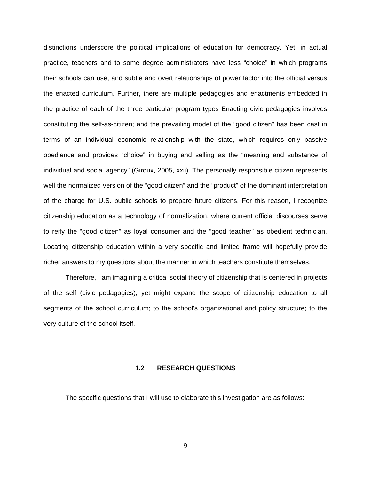<span id="page-19-0"></span>distinctions underscore the political implications of education for democracy. Yet, in actual practice, teachers and to some degree administrators have less "choice" in which programs their schools can use, and subtle and overt relationships of power factor into the official versus the enacted curriculum. Further, there are multiple pedagogies and enactments embedded in the practice of each of the three particular program types Enacting civic pedagogies involves constituting the self-as-citizen; and the prevailing model of the "good citizen" has been cast in terms of an individual economic relationship with the state, which requires only passive obedience and provides "choice" in buying and selling as the "meaning and substance of individual and social agency" (Giroux, 2005, xxii). The personally responsible citizen represents well the normalized version of the "good citizen" and the "product" of the dominant interpretation of the charge for U.S. public schools to prepare future citizens. For this reason, I recognize citizenship education as a technology of normalization, where current official discourses serve to reify the "good citizen" as loyal consumer and the "good teacher" as obedient technician. Locating citizenship education within a very specific and limited frame will hopefully provide richer answers to my questions about the manner in which teachers constitute themselves.

Therefore, I am imagining a critical social theory of citizenship that is centered in projects of the self (civic pedagogies), yet might expand the scope of citizenship education to all segments of the school curriculum; to the school's organizational and policy structure; to the very culture of the school itself.

#### **1.2 RESEARCH QUESTIONS**

The specific questions that I will use to elaborate this investigation are as follows: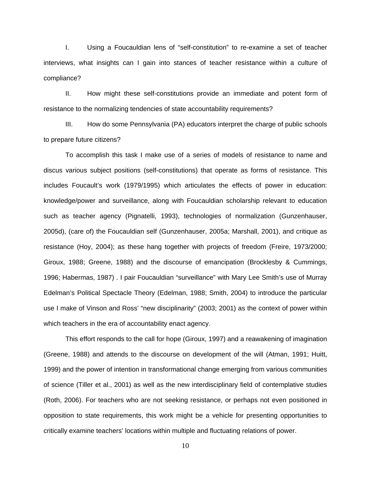I. Using a Foucauldian lens of "self-constitution" to re-examine a set of teacher interviews, what insights can I gain into stances of teacher resistance within a culture of compliance?

II. How might these self-constitutions provide an immediate and potent form of resistance to the normalizing tendencies of state accountability requirements?

III. How do some Pennsylvania (PA) educators interpret the charge of public schools to prepare future citizens?

To accomplish this task I make use of a series of models of resistance to name and discus various subject positions (self-constitutions) that operate as forms of resistance. This includes Foucault's work (1979/1995) which articulates the effects of power in education: knowledge/power and surveillance, along with Foucauldian scholarship relevant to education such as teacher agency (Pignatelli, 1993), technologies of normalization (Gunzenhauser, 2005d), (care of) the Foucauldian self (Gunzenhauser, 2005a; Marshall, 2001), and critique as resistance (Hoy, 2004); as these hang together with projects of freedom (Freire, 1973/2000; Giroux, 1988; Greene, 1988) and the discourse of emancipation (Brocklesby & Cummings, 1996; Habermas, 1987) . I pair Foucauldian "surveillance" with Mary Lee Smith's use of Murray Edelman's Political Spectacle Theory (Edelman, 1988; Smith, 2004) to introduce the particular use I make of Vinson and Ross' "new disciplinarity" (2003; 2001) as the context of power within which teachers in the era of accountability enact agency.

This effort responds to the call for hope (Giroux, 1997) and a reawakening of imagination (Greene, 1988) and attends to the discourse on development of the will (Atman, 1991; Huitt, 1999) and the power of intention in transformational change emerging from various communities of science (Tiller et al., 2001) as well as the new interdisciplinary field of contemplative studies (Roth, 2006). For teachers who are not seeking resistance, or perhaps not even positioned in opposition to state requirements, this work might be a vehicle for presenting opportunities to critically examine teachers' locations within multiple and fluctuating relations of power.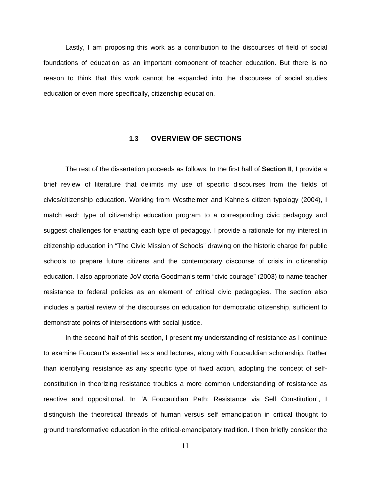<span id="page-21-0"></span>Lastly, I am proposing this work as a contribution to the discourses of field of social foundations of education as an important component of teacher education. But there is no reason to think that this work cannot be expanded into the discourses of social studies education or even more specifically, citizenship education.

#### **1.3 OVERVIEW OF SECTIONS**

The rest of the dissertation proceeds as follows. In the first half of **Section II**, I provide a brief review of literature that delimits my use of specific discourses from the fields of civics/citizenship education. Working from Westheimer and Kahne's citizen typology (2004), I match each type of citizenship education program to a corresponding civic pedagogy and suggest challenges for enacting each type of pedagogy. I provide a rationale for my interest in citizenship education in "The Civic Mission of Schools" drawing on the historic charge for public schools to prepare future citizens and the contemporary discourse of crisis in citizenship education. I also appropriate JoVictoria Goodman's term "civic courage" (2003) to name teacher resistance to federal policies as an element of critical civic pedagogies. The section also includes a partial review of the discourses on education for democratic citizenship, sufficient to demonstrate points of intersections with social justice.

In the second half of this section, I present my understanding of resistance as I continue to examine Foucault's essential texts and lectures, along with Foucauldian scholarship. Rather than identifying resistance as any specific type of fixed action, adopting the concept of selfconstitution in theorizing resistance troubles a more common understanding of resistance as reactive and oppositional. In "A Foucauldian Path: Resistance via Self Constitution", I distinguish the theoretical threads of human versus self emancipation in critical thought to ground transformative education in the critical-emancipatory tradition. I then briefly consider the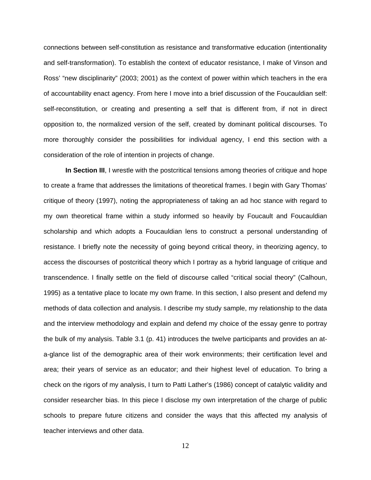connections between self-constitution as resistance and transformative education (intentionality and self-transformation). To establish the context of educator resistance, I make of Vinson and Ross' "new disciplinarity" (2003; 2001) as the context of power within which teachers in the era of accountability enact agency. From here I move into a brief discussion of the Foucauldian self: self-reconstitution, or creating and presenting a self that is different from, if not in direct opposition to, the normalized version of the self, created by dominant political discourses. To more thoroughly consider the possibilities for individual agency, I end this section with a consideration of the role of intention in projects of change.

**In Section III**, I wrestle with the postcritical tensions among theories of critique and hope to create a frame that addresses the limitations of theoretical frames. I begin with Gary Thomas' critique of theory (1997), noting the appropriateness of taking an ad hoc stance with regard to my own theoretical frame within a study informed so heavily by Foucault and Foucauldian scholarship and which adopts a Foucauldian lens to construct a personal understanding of resistance. I briefly note the necessity of going beyond critical theory, in theorizing agency, to access the discourses of postcritical theory which I portray as a hybrid language of critique and transcendence. I finally settle on the field of discourse called "critical social theory" (Calhoun, 1995) as a tentative place to locate my own frame. In this section, I also present and defend my methods of data collection and analysis. I describe my study sample, my relationship to the data and the interview methodology and explain and defend my choice of the essay genre to portray the bulk of my analysis. Table 3.1 (p. 41) introduces the twelve participants and provides an ata-glance list of the demographic area of their work environments; their certification level and area; their years of service as an educator; and their highest level of education. To bring a check on the rigors of my analysis, I turn to Patti Lather's (1986) concept of catalytic validity and consider researcher bias. In this piece I disclose my own interpretation of the charge of public schools to prepare future citizens and consider the ways that this affected my analysis of teacher interviews and other data.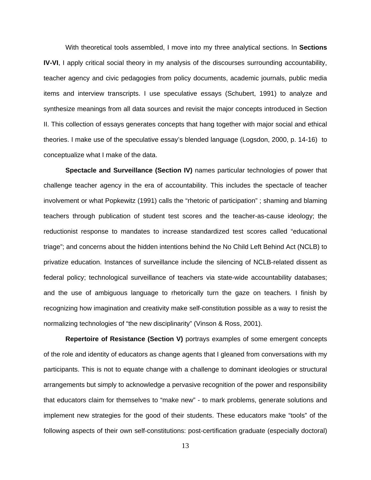With theoretical tools assembled, I move into my three analytical sections. In **Sections IV-VI**, I apply critical social theory in my analysis of the discourses surrounding accountability, teacher agency and civic pedagogies from policy documents, academic journals, public media items and interview transcripts. I use speculative essays (Schubert, 1991) to analyze and synthesize meanings from all data sources and revisit the major concepts introduced in Section II. This collection of essays generates concepts that hang together with major social and ethical theories. I make use of the speculative essay's blended language (Logsdon, 2000, p. 14-16) to conceptualize what I make of the data.

**Spectacle and Surveillance (Section IV)** names particular technologies of power that challenge teacher agency in the era of accountability. This includes the spectacle of teacher involvement or what Popkewitz (1991) calls the "rhetoric of participation" ; shaming and blaming teachers through publication of student test scores and the teacher-as-cause ideology; the reductionist response to mandates to increase standardized test scores called "educational triage"; and concerns about the hidden intentions behind the No Child Left Behind Act (NCLB) to privatize education. Instances of surveillance include the silencing of NCLB-related dissent as federal policy; technological surveillance of teachers via state-wide accountability databases; and the use of ambiguous language to rhetorically turn the gaze on teachers*.* I finish by recognizing how imagination and creativity make self-constitution possible as a way to resist the normalizing technologies of "the new disciplinarity" (Vinson & Ross, 2001).

**Repertoire of Resistance (Section V)** portrays examples of some emergent concepts of the role and identity of educators as change agents that I gleaned from conversations with my participants. This is not to equate change with a challenge to dominant ideologies or structural arrangements but simply to acknowledge a pervasive recognition of the power and responsibility that educators claim for themselves to "make new" - to mark problems, generate solutions and implement new strategies for the good of their students. These educators make "tools" of the following aspects of their own self-constitutions: post-certification graduate (especially doctoral)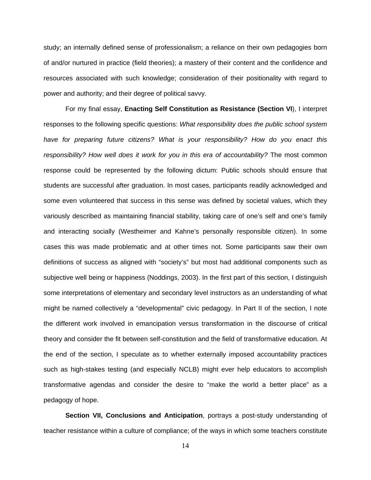study; an internally defined sense of professionalism; a reliance on their own pedagogies born of and/or nurtured in practice (field theories); a mastery of their content and the confidence and resources associated with such knowledge; consideration of their positionality with regard to power and authority; and their degree of political savvy.

For my final essay, **Enacting Self Constitution as Resistance (Section VI**), I interpret responses to the following specific questions: *What responsibility does the public school system have for preparing future citizens? What is your responsibility? How do you enact this responsibility? How well does it work for you in this era of accountability?* The most common response could be represented by the following dictum: Public schools should ensure that students are successful after graduation. In most cases, participants readily acknowledged and some even volunteered that success in this sense was defined by societal values, which they variously described as maintaining financial stability, taking care of one's self and one's family and interacting socially (Westheimer and Kahne's personally responsible citizen). In some cases this was made problematic and at other times not. Some participants saw their own definitions of success as aligned with "society's" but most had additional components such as subjective well being or happiness (Noddings, 2003). In the first part of this section, I distinguish some interpretations of elementary and secondary level instructors as an understanding of what might be named collectively a "developmental" civic pedagogy. In Part II of the section, I note the different work involved in emancipation versus transformation in the discourse of critical theory and consider the fit between self-constitution and the field of transformative education. At the end of the section, I speculate as to whether externally imposed accountability practices such as high-stakes testing (and especially NCLB) might ever help educators to accomplish transformative agendas and consider the desire to "make the world a better place" as a pedagogy of hope.

**Section VII, Conclusions and Anticipation**, portrays a post-study understanding of teacher resistance within a culture of compliance; of the ways in which some teachers constitute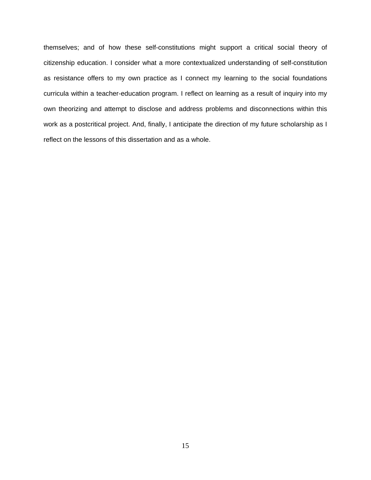themselves; and of how these self-constitutions might support a critical social theory of citizenship education. I consider what a more contextualized understanding of self-constitution as resistance offers to my own practice as I connect my learning to the social foundations curricula within a teacher-education program. I reflect on learning as a result of inquiry into my own theorizing and attempt to disclose and address problems and disconnections within this work as a postcritical project. And, finally, I anticipate the direction of my future scholarship as I reflect on the lessons of this dissertation and as a whole.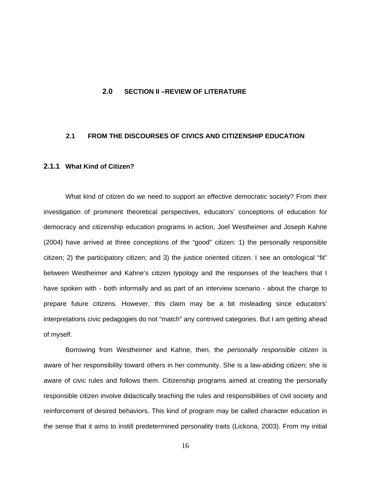#### <span id="page-26-1"></span><span id="page-26-0"></span>**2.0 SECTION II –REVIEW OF LITERATURE**

#### **2.1 FROM THE DISCOURSES OF CIVICS AND CITIZENSHIP EDUCATION**

#### **2.1.1 What Kind of Citizen?**

What kind of citizen do we need to support an effective democratic society? From their investigation of prominent theoretical perspectives, educators' conceptions of education for democracy and citizenship education programs in action, Joel Westheimer and Joseph Kahne (2004) have arrived at three conceptions of the "good" citizen: 1) the personally responsible citizen; 2) the participatory citizen; and 3) the justice oriented citizen. I see an ontological "fit" between Westheimer and Kahne's citizen typology and the responses of the teachers that I have spoken with - both informally and as part of an interview scenario - about the charge to prepare future citizens. However, this claim may be a bit misleading since educators' interpretations civic pedagogies do not "match" any contrived categories. But I am getting ahead of myself.

Borrowing from Westheimer and Kahne, then, the *personally responsible citizen* is aware of her responsibility toward others in her community. She is a law-abiding citizen; she is aware of civic rules and follows them. Citizenship programs aimed at creating the personally responsible citizen involve didactically teaching the rules and responsibilities of civil society and reinforcement of desired behaviors. This kind of program may be called character education in the sense that it aims to instill predetermined personality traits (Lickona, 2003). From my initial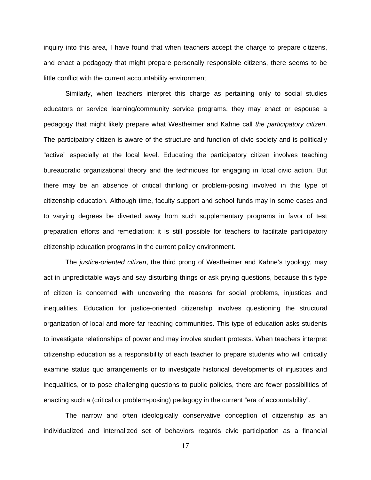inquiry into this area, I have found that when teachers accept the charge to prepare citizens, and enact a pedagogy that might prepare personally responsible citizens, there seems to be little conflict with the current accountability environment.

Similarly, when teachers interpret this charge as pertaining only to social studies educators or service learning/community service programs, they may enact or espouse a pedagogy that might likely prepare what Westheimer and Kahne call *the participatory citizen*. The participatory citizen is aware of the structure and function of civic society and is politically "active" especially at the local level. Educating the participatory citizen involves teaching bureaucratic organizational theory and the techniques for engaging in local civic action. But there may be an absence of critical thinking or problem-posing involved in this type of citizenship education. Although time, faculty support and school funds may in some cases and to varying degrees be diverted away from such supplementary programs in favor of test preparation efforts and remediation; it is still possible for teachers to facilitate participatory citizenship education programs in the current policy environment.

The *justice-oriented citizen*, the third prong of Westheimer and Kahne's typology, may act in unpredictable ways and say disturbing things or ask prying questions, because this type of citizen is concerned with uncovering the reasons for social problems, injustices and inequalities. Education for justice-oriented citizenship involves questioning the structural organization of local and more far reaching communities. This type of education asks students to investigate relationships of power and may involve student protests. When teachers interpret citizenship education as a responsibility of each teacher to prepare students who will critically examine status quo arrangements or to investigate historical developments of injustices and inequalities, or to pose challenging questions to public policies, there are fewer possibilities of enacting such a (critical or problem-posing) pedagogy in the current "era of accountability".

The narrow and often ideologically conservative conception of citizenship as an individualized and internalized set of behaviors regards civic participation as a financial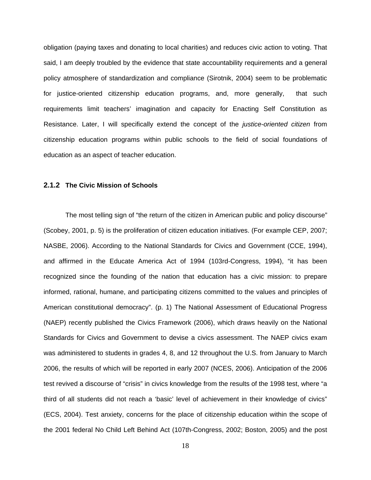<span id="page-28-0"></span>obligation (paying taxes and donating to local charities) and reduces civic action to voting. That said, I am deeply troubled by the evidence that state accountability requirements and a general policy atmosphere of standardization and compliance (Sirotnik, 2004) seem to be problematic for justice-oriented citizenship education programs, and, more generally, that such requirements limit teachers' imagination and capacity for Enacting Self Constitution as Resistance. Later, I will specifically extend the concept of the *justice-oriented citizen* from citizenship education programs within public schools to the field of social foundations of education as an aspect of teacher education.

#### **2.1.2 The Civic Mission of Schools**

The most telling sign of "the return of the citizen in American public and policy discourse" (Scobey, 2001, p. 5) is the proliferation of citizen education initiatives. (For example CEP, 2007; NASBE, 2006). According to the National Standards for Civics and Government (CCE, 1994), and affirmed in the Educate America Act of 1994 (103rd-Congress, 1994), "it has been recognized since the founding of the nation that education has a civic mission: to prepare informed, rational, humane, and participating citizens committed to the values and principles of American constitutional democracy". (p. 1) The National Assessment of Educational Progress (NAEP) recently published the Civics Framework (2006), which draws heavily on the National Standards for Civics and Government to devise a civics assessment. The NAEP civics exam was administered to students in grades 4, 8, and 12 throughout the U.S. from January to March 2006, the results of which will be reported in early 2007 (NCES, 2006). Anticipation of the 2006 test revived a discourse of "crisis" in civics knowledge from the results of the 1998 test, where "a third of all students did not reach a 'basic' level of achievement in their knowledge of civics" (ECS, 2004). Test anxiety, concerns for the place of citizenship education within the scope of the 2001 federal No Child Left Behind Act (107th-Congress, 2002; Boston, 2005) and the post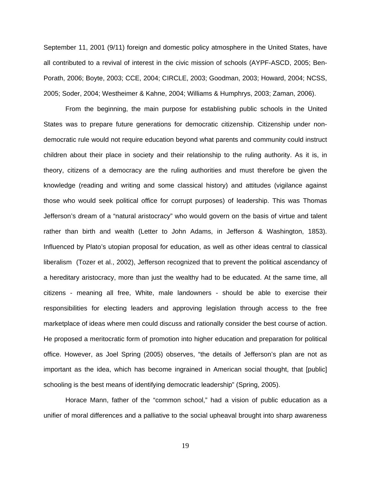September 11, 2001 (9/11) foreign and domestic policy atmosphere in the United States, have all contributed to a revival of interest in the civic mission of schools (AYPF-ASCD, 2005; Ben-Porath, 2006; Boyte, 2003; CCE, 2004; CIRCLE, 2003; Goodman, 2003; Howard, 2004; NCSS, 2005; Soder, 2004; Westheimer & Kahne, 2004; Williams & Humphrys, 2003; Zaman, 2006).

From the beginning, the main purpose for establishing public schools in the United States was to prepare future generations for democratic citizenship. Citizenship under nondemocratic rule would not require education beyond what parents and community could instruct children about their place in society and their relationship to the ruling authority. As it is, in theory, citizens of a democracy are the ruling authorities and must therefore be given the knowledge (reading and writing and some classical history) and attitudes (vigilance against those who would seek political office for corrupt purposes) of leadership. This was Thomas Jefferson's dream of a "natural aristocracy" who would govern on the basis of virtue and talent rather than birth and wealth (Letter to John Adams, in Jefferson & Washington, 1853). Influenced by Plato's utopian proposal for education, as well as other ideas central to classical liberalism (Tozer et al., 2002), Jefferson recognized that to prevent the political ascendancy of a hereditary aristocracy, more than just the wealthy had to be educated. At the same time, all citizens - meaning all free, White, male landowners - should be able to exercise their responsibilities for electing leaders and approving legislation through access to the free marketplace of ideas where men could discuss and rationally consider the best course of action. He proposed a meritocratic form of promotion into higher education and preparation for political office. However, as Joel Spring (2005) observes, "the details of Jefferson's plan are not as important as the idea, which has become ingrained in American social thought, that [public] schooling is the best means of identifying democratic leadership" (Spring, 2005).

Horace Mann, father of the "common school," had a vision of public education as a unifier of moral differences and a palliative to the social upheaval brought into sharp awareness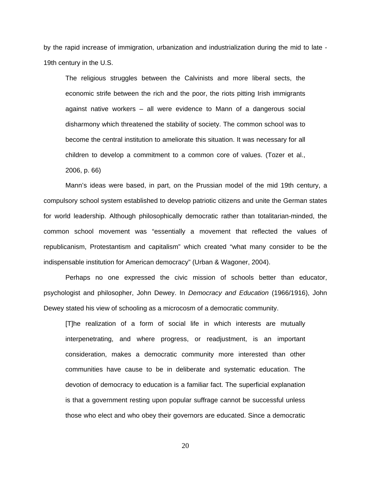by the rapid increase of immigration, urbanization and industrialization during the mid to late - 19th century in the U.S.

The religious struggles between the Calvinists and more liberal sects, the economic strife between the rich and the poor, the riots pitting Irish immigrants against native workers – all were evidence to Mann of a dangerous social disharmony which threatened the stability of society. The common school was to become the central institution to ameliorate this situation. It was necessary for all children to develop a commitment to a common core of values. (Tozer et al., 2006, p. 66)

Mann's ideas were based, in part, on the Prussian model of the mid 19th century, a compulsory school system established to develop patriotic citizens and unite the German states for world leadership. Although philosophically democratic rather than totalitarian-minded, the common school movement was "essentially a movement that reflected the values of republicanism, Protestantism and capitalism" which created "what many consider to be the indispensable institution for American democracy" (Urban & Wagoner, 2004).

Perhaps no one expressed the civic mission of schools better than educator, psychologist and philosopher, John Dewey. In *Democracy and Education* (1966/1916), John Dewey stated his view of schooling as a microcosm of a democratic community.

[T]he realization of a form of social life in which interests are mutually interpenetrating, and where progress, or readjustment, is an important consideration, makes a democratic community more interested than other communities have cause to be in deliberate and systematic education. The devotion of democracy to education is a familiar fact. The superficial explanation is that a government resting upon popular suffrage cannot be successful unless those who elect and who obey their governors are educated. Since a democratic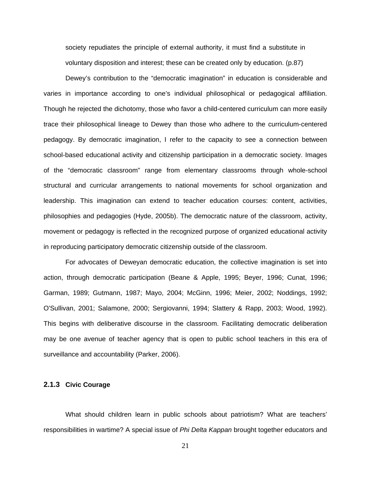<span id="page-31-0"></span>society repudiates the principle of external authority, it must find a substitute in voluntary disposition and interest; these can be created only by education. (p.87)

Dewey's contribution to the "democratic imagination" in education is considerable and varies in importance according to one's individual philosophical or pedagogical affiliation. Though he rejected the dichotomy, those who favor a child-centered curriculum can more easily trace their philosophical lineage to Dewey than those who adhere to the curriculum-centered pedagogy. By democratic imagination, I refer to the capacity to see a connection between school-based educational activity and citizenship participation in a democratic society. Images of the "democratic classroom" range from elementary classrooms through whole-school structural and curricular arrangements to national movements for school organization and leadership. This imagination can extend to teacher education courses: content, activities, philosophies and pedagogies (Hyde, 2005b). The democratic nature of the classroom, activity, movement or pedagogy is reflected in the recognized purpose of organized educational activity in reproducing participatory democratic citizenship outside of the classroom.

For advocates of Deweyan democratic education, the collective imagination is set into action, through democratic participation (Beane & Apple, 1995; Beyer, 1996; Cunat, 1996; Garman, 1989; Gutmann, 1987; Mayo, 2004; McGinn, 1996; Meier, 2002; Noddings, 1992; O'Sullivan, 2001; Salamone, 2000; Sergiovanni, 1994; Slattery & Rapp, 2003; Wood, 1992). This begins with deliberative discourse in the classroom. Facilitating democratic deliberation may be one avenue of teacher agency that is open to public school teachers in this era of surveillance and accountability (Parker, 2006).

#### **2.1.3 Civic Courage**

What should children learn in public schools about patriotism? What are teachers' responsibilities in wartime? A special issue of *Phi Delta Kappan* brought together educators and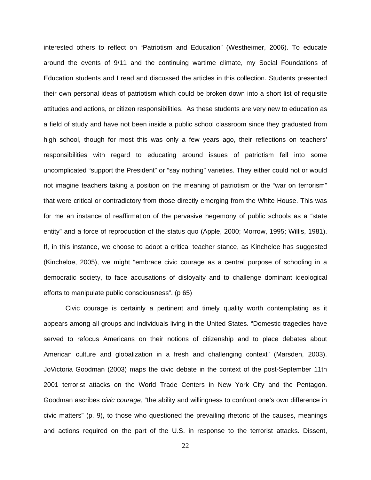interested others to reflect on "Patriotism and Education" (Westheimer, 2006). To educate around the events of 9/11 and the continuing wartime climate, my Social Foundations of Education students and I read and discussed the articles in this collection. Students presented their own personal ideas of patriotism which could be broken down into a short list of requisite attitudes and actions, or citizen responsibilities. As these students are very new to education as a field of study and have not been inside a public school classroom since they graduated from high school, though for most this was only a few years ago, their reflections on teachers' responsibilities with regard to educating around issues of patriotism fell into some uncomplicated "support the President" or "say nothing" varieties. They either could not or would not imagine teachers taking a position on the meaning of patriotism or the "war on terrorism" that were critical or contradictory from those directly emerging from the White House. This was for me an instance of reaffirmation of the pervasive hegemony of public schools as a "state entity" and a force of reproduction of the status quo (Apple, 2000; Morrow, 1995; Willis, 1981). If, in this instance, we choose to adopt a critical teacher stance, as Kincheloe has suggested (Kincheloe, 2005), we might "embrace civic courage as a central purpose of schooling in a democratic society, to face accusations of disloyalty and to challenge dominant ideological efforts to manipulate public consciousness". (p 65)

Civic courage is certainly a pertinent and timely quality worth contemplating as it appears among all groups and individuals living in the United States. "Domestic tragedies have served to refocus Americans on their notions of citizenship and to place debates about American culture and globalization in a fresh and challenging context" (Marsden, 2003). JoVictoria Goodman (2003) maps the civic debate in the context of the post-September 11th 2001 terrorist attacks on the World Trade Centers in New York City and the Pentagon. Goodman ascribes *civic courage*, "the ability and willingness to confront one's own difference in civic matters" (p. 9), to those who questioned the prevailing rhetoric of the causes, meanings and actions required on the part of the U.S. in response to the terrorist attacks. Dissent,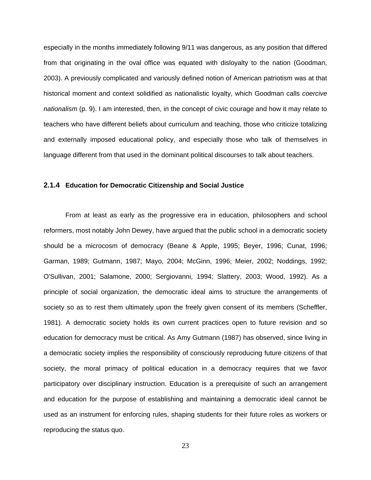<span id="page-33-0"></span>especially in the months immediately following 9/11 was dangerous, as any position that differed from that originating in the oval office was equated with disloyalty to the nation (Goodman, 2003). A previously complicated and variously defined notion of American patriotism was at that historical moment and context solidified as nationalistic loyalty, which Goodman calls *coercive nationalism* (p. 9). I am interested, then, in the concept of civic courage and how it may relate to teachers who have different beliefs about curriculum and teaching, those who criticize totalizing and externally imposed educational policy, and especially those who talk of themselves in language different from that used in the dominant political discourses to talk about teachers.

#### **2.1.4 Education for Democratic Citizenship and Social Justice**

From at least as early as the progressive era in education, philosophers and school reformers, most notably John Dewey, have argued that the public school in a democratic society should be a microcosm of democracy (Beane & Apple, 1995; Beyer, 1996; Cunat, 1996; Garman, 1989; Gutmann, 1987; Mayo, 2004; McGinn, 1996; Meier, 2002; Noddings, 1992; O'Sullivan, 2001; Salamone, 2000; Sergiovanni, 1994; Slattery, 2003; Wood, 1992). As a principle of social organization, the democratic ideal aims to structure the arrangements of society so as to rest them ultimately upon the freely given consent of its members (Scheffler, 1981). A democratic society holds its own current practices open to future revision and so education for democracy must be critical. As Amy Gutmann (1987) has observed, since living in a democratic society implies the responsibility of consciously reproducing future citizens of that society, the moral primacy of political education in a democracy requires that we favor participatory over disciplinary instruction. Education is a prerequisite of such an arrangement and education for the purpose of establishing and maintaining a democratic ideal cannot be used as an instrument for enforcing rules, shaping students for their future roles as workers or reproducing the status quo.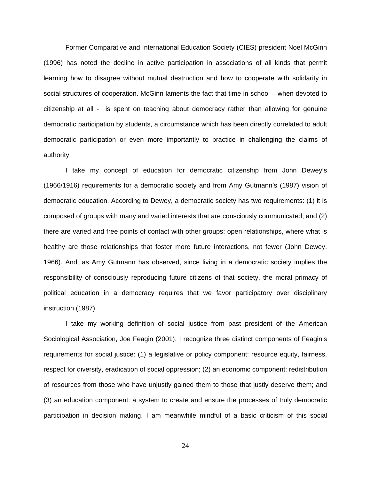Former Comparative and International Education Society (CIES) president Noel McGinn (1996) has noted the decline in active participation in associations of all kinds that permit learning how to disagree without mutual destruction and how to cooperate with solidarity in social structures of cooperation. McGinn laments the fact that time in school – when devoted to citizenship at all - is spent on teaching about democracy rather than allowing for genuine democratic participation by students, a circumstance which has been directly correlated to adult democratic participation or even more importantly to practice in challenging the claims of authority.

I take my concept of education for democratic citizenship from John Dewey's (1966/1916) requirements for a democratic society and from Amy Gutmann's (1987) vision of democratic education. According to Dewey, a democratic society has two requirements: (1) it is composed of groups with many and varied interests that are consciously communicated; and (2) there are varied and free points of contact with other groups; open relationships, where what is healthy are those relationships that foster more future interactions, not fewer (John Dewey, 1966). And, as Amy Gutmann has observed, since living in a democratic society implies the responsibility of consciously reproducing future citizens of that society, the moral primacy of political education in a democracy requires that we favor participatory over disciplinary instruction (1987).

I take my working definition of social justice from past president of the American Sociological Association, Joe Feagin (2001). I recognize three distinct components of Feagin's requirements for social justice: (1) a legislative or policy component: resource equity, fairness, respect for diversity, eradication of social oppression; (2) an economic component: redistribution of resources from those who have unjustly gained them to those that justly deserve them; and (3) an education component: a system to create and ensure the processes of truly democratic participation in decision making. I am meanwhile mindful of a basic criticism of this social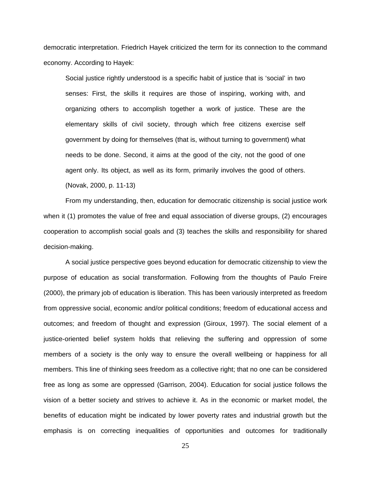democratic interpretation. Friedrich Hayek criticized the term for its connection to the command economy. According to Hayek:

Social justice rightly understood is a specific habit of justice that is 'social' in two senses: First, the skills it requires are those of inspiring, working with, and organizing others to accomplish together a work of justice. These are the elementary skills of civil society, through which free citizens exercise self government by doing for themselves (that is, without turning to government) what needs to be done. Second, it aims at the good of the city, not the good of one agent only. Its object, as well as its form, primarily involves the good of others. (Novak, 2000, p. 11-13)

From my understanding, then, education for democratic citizenship is social justice work when it (1) promotes the value of free and equal association of diverse groups, (2) encourages cooperation to accomplish social goals and (3) teaches the skills and responsibility for shared decision-making.

A social justice perspective goes beyond education for democratic citizenship to view the purpose of education as social transformation. Following from the thoughts of Paulo Freire (2000), the primary job of education is liberation. This has been variously interpreted as freedom from oppressive social, economic and/or political conditions; freedom of educational access and outcomes; and freedom of thought and expression (Giroux, 1997). The social element of a justice-oriented belief system holds that relieving the suffering and oppression of some members of a society is the only way to ensure the overall wellbeing or happiness for all members. This line of thinking sees freedom as a collective right; that no one can be considered free as long as some are oppressed (Garrison, 2004). Education for social justice follows the vision of a better society and strives to achieve it. As in the economic or market model, the benefits of education might be indicated by lower poverty rates and industrial growth but the emphasis is on correcting inequalities of opportunities and outcomes for traditionally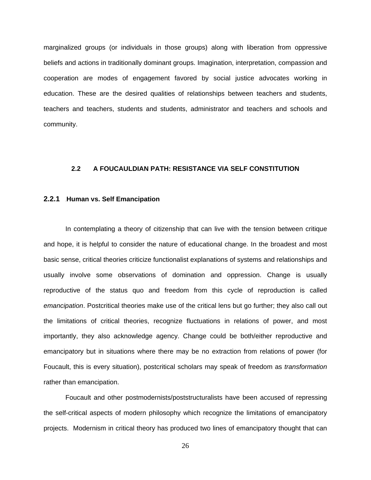marginalized groups (or individuals in those groups) along with liberation from oppressive beliefs and actions in traditionally dominant groups. Imagination, interpretation, compassion and cooperation are modes of engagement favored by social justice advocates working in education. These are the desired qualities of relationships between teachers and students, teachers and teachers, students and students, administrator and teachers and schools and community.

## **2.2 A FOUCAULDIAN PATH: RESISTANCE VIA SELF CONSTITUTION**

#### **2.2.1 Human vs. Self Emancipation**

In contemplating a theory of citizenship that can live with the tension between critique and hope, it is helpful to consider the nature of educational change. In the broadest and most basic sense, critical theories criticize functionalist explanations of systems and relationships and usually involve some observations of domination and oppression. Change is usually reproductive of the status quo and freedom from this cycle of reproduction is called *emancipation*. Postcritical theories make use of the critical lens but go further; they also call out the limitations of critical theories, recognize fluctuations in relations of power, and most importantly, they also acknowledge agency. Change could be both/either reproductive and emancipatory but in situations where there may be no extraction from relations of power (for Foucault, this is every situation), postcritical scholars may speak of freedom as *transformation*  rather than emancipation.

Foucault and other postmodernists/poststructuralists have been accused of repressing the self-critical aspects of modern philosophy which recognize the limitations of emancipatory projects. Modernism in critical theory has produced two lines of emancipatory thought that can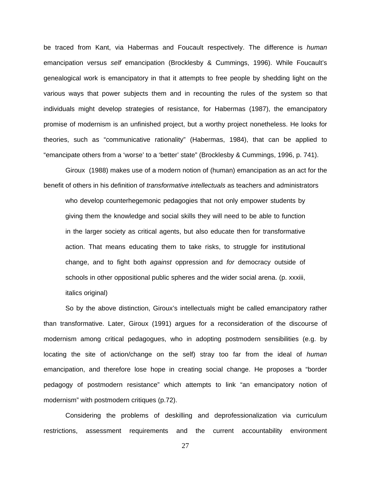be traced from Kant, via Habermas and Foucault respectively. The difference is *human* emancipation versus *self* emancipation (Brocklesby & Cummings, 1996). While Foucault's genealogical work is emancipatory in that it attempts to free people by shedding light on the various ways that power subjects them and in recounting the rules of the system so that individuals might develop strategies of resistance, for Habermas (1987), the emancipatory promise of modernism is an unfinished project, but a worthy project nonetheless. He looks for theories, such as "communicative rationality" (Habermas, 1984), that can be applied to "emancipate others from a 'worse' to a 'better' state" (Brocklesby & Cummings, 1996, p. 741).

Giroux (1988) makes use of a modern notion of (human) emancipation as an act for the benefit of others in his definition of *transformative intellectuals* as teachers and administrators who develop counterhegemonic pedagogies that not only empower students by giving them the knowledge and social skills they will need to be able to function in the larger society as critical agents, but also educate then for transformative action. That means educating them to take risks, to struggle for institutional change, and to fight both *against* oppression and *for* democracy outside of schools in other oppositional public spheres and the wider social arena. (p. xxxiii, italics original)

So by the above distinction, Giroux's intellectuals might be called emancipatory rather than transformative. Later, Giroux (1991) argues for a reconsideration of the discourse of modernism among critical pedagogues, who in adopting postmodern sensibilities (e.g. by locating the site of action/change on the self) stray too far from the ideal of *human* emancipation, and therefore lose hope in creating social change. He proposes a "border pedagogy of postmodern resistance" which attempts to link "an emancipatory notion of modernism" with postmodern critiques (p.72).

Considering the problems of deskilling and deprofessionalization via curriculum restrictions, assessment requirements and the current accountability environment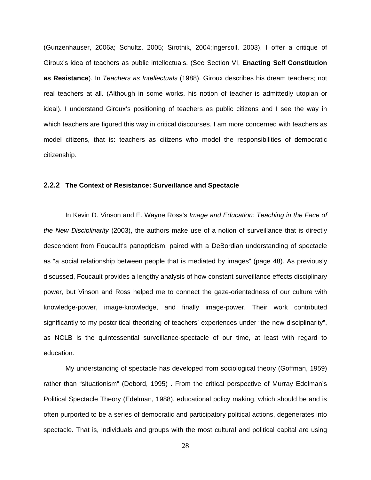(Gunzenhauser, 2006a; Schultz, 2005; Sirotnik, 2004;Ingersoll, 2003), I offer a critique of Giroux's idea of teachers as public intellectuals. (See Section VI, **Enacting Self Constitution as Resistance**). In *Teachers as Intellectuals* (1988), Giroux describes his dream teachers; not real teachers at all. (Although in some works, his notion of teacher is admittedly utopian or ideal). I understand Giroux's positioning of teachers as public citizens and I see the way in which teachers are figured this way in critical discourses. I am more concerned with teachers as model citizens, that is: teachers as citizens who model the responsibilities of democratic citizenship.

# **2.2.2 The Context of Resistance: Surveillance and Spectacle**

In Kevin D. Vinson and E. Wayne Ross's *Image and Education: Teaching in the Face of the New Disciplinarity* (2003), the authors make use of a notion of surveillance that is directly descendent from Foucault's panopticism, paired with a DeBordian understanding of spectacle as "a social relationship between people that is mediated by images" (page 48). As previously discussed, Foucault provides a lengthy analysis of how constant surveillance effects disciplinary power, but Vinson and Ross helped me to connect the gaze-orientedness of our culture with knowledge-power, image-knowledge, and finally image-power. Their work contributed significantly to my postcritical theorizing of teachers' experiences under "the new disciplinarity", as NCLB is the quintessential surveillance-spectacle of our time, at least with regard to education.

My understanding of spectacle has developed from sociological theory (Goffman, 1959) rather than "situationism" (Debord, 1995) . From the critical perspective of Murray Edelman's Political Spectacle Theory (Edelman, 1988), educational policy making, which should be and is often purported to be a series of democratic and participatory political actions, degenerates into spectacle. That is, individuals and groups with the most cultural and political capital are using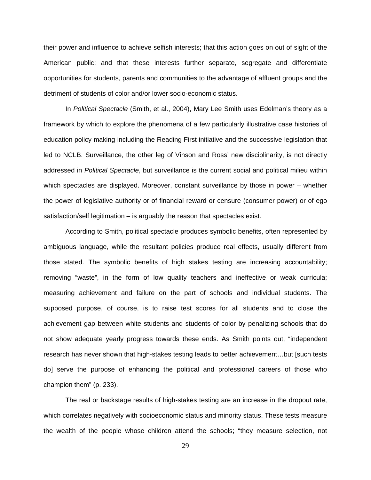their power and influence to achieve selfish interests; that this action goes on out of sight of the American public; and that these interests further separate, segregate and differentiate opportunities for students, parents and communities to the advantage of affluent groups and the detriment of students of color and/or lower socio-economic status.

In *Political Spectacle* (Smith, et al., 2004), Mary Lee Smith uses Edelman's theory as a framework by which to explore the phenomena of a few particularly illustrative case histories of education policy making including the Reading First initiative and the successive legislation that led to NCLB. Surveillance, the other leg of Vinson and Ross' new disciplinarity, is not directly addressed in *Political Spectacle*, but surveillance is the current social and political milieu within which spectacles are displayed. Moreover, constant surveillance by those in power – whether the power of legislative authority or of financial reward or censure (consumer power) or of ego satisfaction/self legitimation – is arguably the reason that spectacles exist.

According to Smith, political spectacle produces symbolic benefits, often represented by ambiguous language, while the resultant policies produce real effects, usually different from those stated. The symbolic benefits of high stakes testing are increasing accountability; removing "waste", in the form of low quality teachers and ineffective or weak curricula; measuring achievement and failure on the part of schools and individual students. The supposed purpose, of course, is to raise test scores for all students and to close the achievement gap between white students and students of color by penalizing schools that do not show adequate yearly progress towards these ends. As Smith points out, "independent research has never shown that high-stakes testing leads to better achievement…but [such tests do] serve the purpose of enhancing the political and professional careers of those who champion them" (p. 233).

The real or backstage results of high-stakes testing are an increase in the dropout rate, which correlates negatively with socioeconomic status and minority status. These tests measure the wealth of the people whose children attend the schools; "they measure selection, not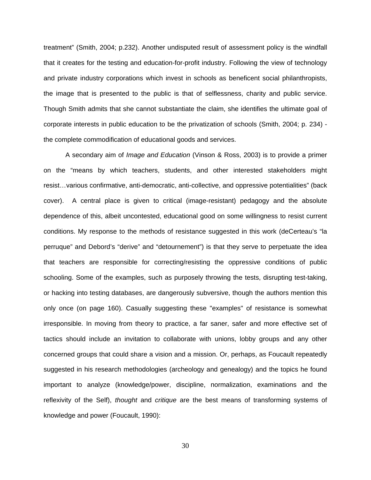treatment" (Smith, 2004; p.232). Another undisputed result of assessment policy is the windfall that it creates for the testing and education-for-profit industry. Following the view of technology and private industry corporations which invest in schools as beneficent social philanthropists, the image that is presented to the public is that of selflessness, charity and public service. Though Smith admits that she cannot substantiate the claim, she identifies the ultimate goal of corporate interests in public education to be the privatization of schools (Smith, 2004; p. 234) the complete commodification of educational goods and services.

A secondary aim of *Image and Education* (Vinson & Ross, 2003) is to provide a primer on the "means by which teachers, students, and other interested stakeholders might resist…various confirmative, anti-democratic, anti-collective, and oppressive potentialities" (back cover). A central place is given to critical (image-resistant) pedagogy and the absolute dependence of this, albeit uncontested, educational good on some willingness to resist current conditions. My response to the methods of resistance suggested in this work (deCerteau's "la perruque" and Debord's "derive" and "detournement") is that they serve to perpetuate the idea that teachers are responsible for correcting/resisting the oppressive conditions of public schooling. Some of the examples, such as purposely throwing the tests, disrupting test-taking, or hacking into testing databases, are dangerously subversive, though the authors mention this only once (on page 160). Casually suggesting these "examples" of resistance is somewhat irresponsible. In moving from theory to practice, a far saner, safer and more effective set of tactics should include an invitation to collaborate with unions, lobby groups and any other concerned groups that could share a vision and a mission. Or, perhaps, as Foucault repeatedly suggested in his research methodologies (archeology and genealogy) and the topics he found important to analyze (knowledge/power, discipline, normalization, examinations and the reflexivity of the Self), *thought* and *critique* are the best means of transforming systems of knowledge and power (Foucault, 1990):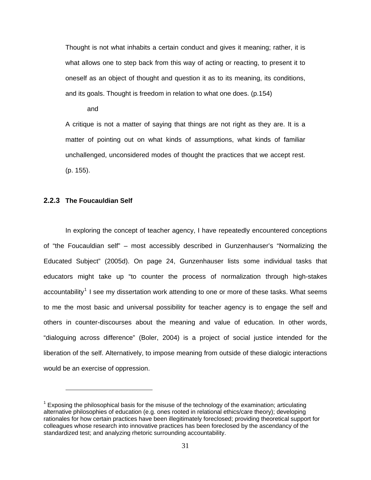Thought is not what inhabits a certain conduct and gives it meaning; rather, it is what allows one to step back from this way of acting or reacting, to present it to oneself as an object of thought and question it as to its meaning, its conditions, and its goals. Thought is freedom in relation to what one does. (p.154)

and

A critique is not a matter of saying that things are not right as they are. It is a matter of pointing out on what kinds of assumptions, what kinds of familiar unchallenged, unconsidered modes of thought the practices that we accept rest. (p. 155).

# **2.2.3 The Foucauldian Self**

 $\overline{a}$ 

In exploring the concept of teacher agency, I have repeatedly encountered conceptions of "the Foucauldian self" – most accessibly described in Gunzenhauser's "Normalizing the Educated Subject" (2005d). On page 24, Gunzenhauser lists some individual tasks that educators might take up "to counter the process of normalization through high-stakes accountability<sup>1</sup> I see my dissertation work attending to one or more of these tasks. What seems [to me the most basic and universal possibility for teacher agency is to engage the self and](#page-41-0)  [others in counter-discourses about the meaning and value of education. In other words,](#page-41-0)  ["dialoguing across difference" \(Boler, 2004\) is a project of social justice intended for the](#page-41-0)  [liberation of the self. Alternatively, to impose meaning from outside of these dialogic interactions](#page-41-0)  [would be an exercise of oppression.](#page-41-0) 

<span id="page-41-0"></span> $1$  Exposing the philosophical basis for the misuse of the technology of the examination; articulating alternative philosophies of education (e.g. ones rooted in relational ethics/care theory); developing rationales for how certain practices have been illegitimately foreclosed; providing theoretical support for colleagues whose research into innovative practices has been foreclosed by the ascendancy of the standardized test; and analyzing rhetoric surrounding accountability.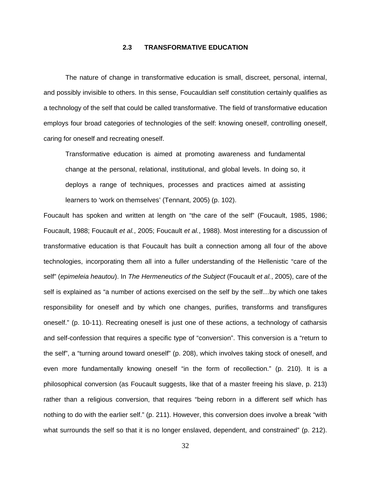# **2.3 TRANSFORMATIVE EDUCATION**

The nature of change in transformative education is small, discreet, personal, internal, and possibly invisible to others. In this sense, Foucauldian self constitution certainly qualifies as a technology of the self that could be called transformative. The field of transformative education employs four broad categories of technologies of the self: knowing oneself, controlling oneself, caring for oneself and recreating oneself.

Transformative education is aimed at promoting awareness and fundamental change at the personal, relational, institutional, and global levels. In doing so, it deploys a range of techniques, processes and practices aimed at assisting learners to 'work on themselves' (Tennant, 2005) (p. 102).

Foucault has spoken and written at length on "the care of the self" (Foucault, 1985, 1986; Foucault, 1988; Foucault *et al.*, 2005; Foucault *et al.*, 1988). Most interesting for a discussion of transformative education is that Foucault has built a connection among all four of the above technologies, incorporating them all into a fuller understanding of the Hellenistic "care of the self" (*epimeleia heautou*). In *The Hermeneutics of the Subject* (Foucault *et al.*, 2005), care of the self is explained as "a number of actions exercised on the self by the self…by which one takes responsibility for oneself and by which one changes, purifies, transforms and transfigures oneself." (p. 10-11). Recreating oneself is just one of these actions, a technology of catharsis and self-confession that requires a specific type of "conversion". This conversion is a "return to the self", a "turning around toward oneself" (p. 208), which involves taking stock of oneself, and even more fundamentally knowing oneself "in the form of recollection." (p. 210). It is a philosophical conversion (as Foucault suggests, like that of a master freeing his slave, p. 213) rather than a religious conversion, that requires "being reborn in a different self which has nothing to do with the earlier self." (p. 211). However, this conversion does involve a break "with what surrounds the self so that it is no longer enslaved, dependent, and constrained" (p. 212).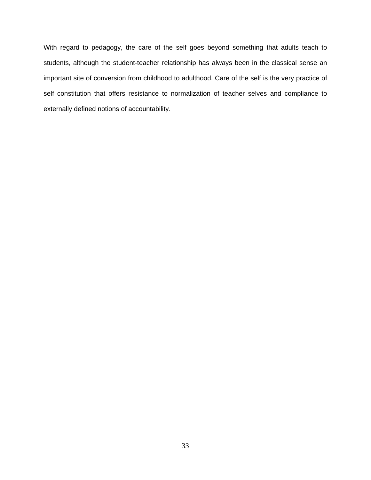With regard to pedagogy, the care of the self goes beyond something that adults teach to students, although the student-teacher relationship has always been in the classical sense an important site of conversion from childhood to adulthood. Care of the self is the very practice of self constitution that offers resistance to normalization of teacher selves and compliance to externally defined notions of accountability.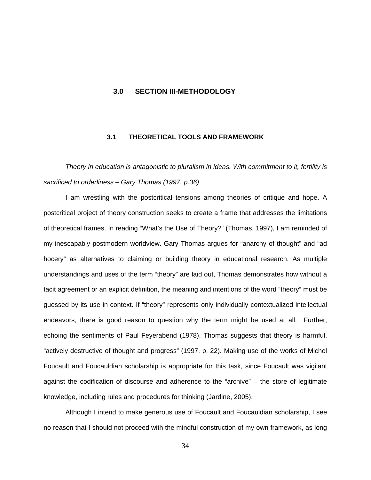# **3.0 SECTION III-METHODOLOGY**

# **3.1 THEORETICAL TOOLS AND FRAMEWORK**

*Theory in education is antagonistic to pluralism in ideas. With commitment to it, fertility is sacrificed to orderliness – Gary Thomas (1997, p.36)* 

I am wrestling with the postcritical tensions among theories of critique and hope. A postcritical project of theory construction seeks to create a frame that addresses the limitations of theoretical frames. In reading "What's the Use of Theory?" (Thomas, 1997), I am reminded of my inescapably postmodern worldview. Gary Thomas argues for "anarchy of thought" and "ad hocery" as alternatives to claiming or building theory in educational research. As multiple understandings and uses of the term "theory" are laid out, Thomas demonstrates how without a tacit agreement or an explicit definition, the meaning and intentions of the word "theory" must be guessed by its use in context. If "theory" represents only individually contextualized intellectual endeavors, there is good reason to question why the term might be used at all. Further, echoing the sentiments of Paul Feyerabend (1978), Thomas suggests that theory is harmful, "actively destructive of thought and progress" (1997, p. 22). Making use of the works of Michel Foucault and Foucauldian scholarship is appropriate for this task, since Foucault was vigilant against the codification of discourse and adherence to the "archive" – the store of legitimate knowledge, including rules and procedures for thinking (Jardine, 2005).

Although I intend to make generous use of Foucault and Foucauldian scholarship, I see no reason that I should not proceed with the mindful construction of my own framework, as long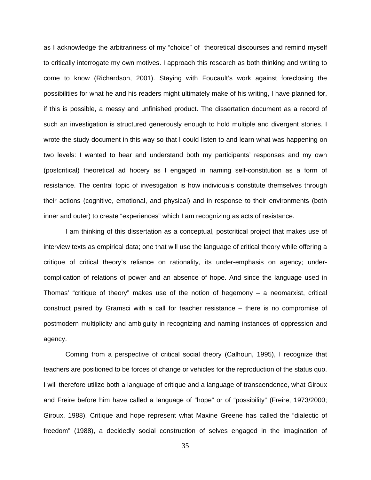as I acknowledge the arbitrariness of my "choice" of theoretical discourses and remind myself to critically interrogate my own motives. I approach this research as both thinking and writing to come to know (Richardson, 2001). Staying with Foucault's work against foreclosing the possibilities for what he and his readers might ultimately make of his writing, I have planned for, if this is possible, a messy and unfinished product. The dissertation document as a record of such an investigation is structured generously enough to hold multiple and divergent stories. I wrote the study document in this way so that I could listen to and learn what was happening on two levels: I wanted to hear and understand both my participants' responses and my own (postcritical) theoretical ad hocery as I engaged in naming self-constitution as a form of resistance. The central topic of investigation is how individuals constitute themselves through their actions (cognitive, emotional, and physical) and in response to their environments (both inner and outer) to create "experiences" which I am recognizing as acts of resistance.

I am thinking of this dissertation as a conceptual, postcritical project that makes use of interview texts as empirical data; one that will use the language of critical theory while offering a critique of critical theory's reliance on rationality, its under-emphasis on agency; undercomplication of relations of power and an absence of hope. And since the language used in Thomas' "critique of theory" makes use of the notion of hegemony  $-$  a neomarxist, critical construct paired by Gramsci with a call for teacher resistance – there is no compromise of postmodern multiplicity and ambiguity in recognizing and naming instances of oppression and agency.

Coming from a perspective of critical social theory (Calhoun, 1995), I recognize that teachers are positioned to be forces of change or vehicles for the reproduction of the status quo. I will therefore utilize both a language of critique and a language of transcendence, what Giroux and Freire before him have called a language of "hope" or of "possibility" (Freire, 1973/2000; Giroux, 1988). Critique and hope represent what Maxine Greene has called the "dialectic of freedom" (1988), a decidedly social construction of selves engaged in the imagination of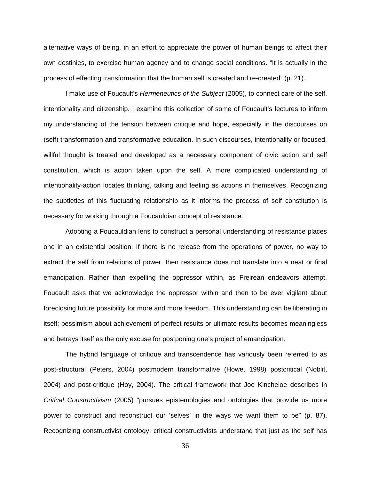alternative ways of being, in an effort to appreciate the power of human beings to affect their own destinies, to exercise human agency and to change social conditions. "It is actually in the process of effecting transformation that the human self is created and re-created" (p. 21).

I make use of Foucault's *Hermeneutics of the Subject* (2005), to connect care of the self, intentionality and citizenship. I examine this collection of some of Foucault's lectures to inform my understanding of the tension between critique and hope, especially in the discourses on (self) transformation and transformative education. In such discourses, intentionality or focused, willful thought is treated and developed as a necessary component of civic action and self constitution, which is action taken upon the self. A more complicated understanding of intentionality-action locates thinking, talking and feeling as actions in themselves. Recognizing the subtleties of this fluctuating relationship as it informs the process of self constitution is necessary for working through a Foucauldian concept of resistance.

Adopting a Foucauldian lens to construct a personal understanding of resistance places one in an existential position: If there is no release from the operations of power, no way to extract the self from relations of power, then resistance does not translate into a neat or final emancipation. Rather than expelling the oppressor within, as Freirean endeavors attempt, Foucault asks that we acknowledge the oppressor within and then to be ever vigilant about foreclosing future possibility for more and more freedom. This understanding can be liberating in itself; pessimism about achievement of perfect results or ultimate results becomes meaningless and betrays itself as the only excuse for postponing one's project of emancipation.

The hybrid language of critique and transcendence has variously been referred to as post-structural (Peters, 2004) postmodern transformative (Howe, 1998) postcritical (Noblit, 2004) and post-critique (Hoy, 2004). The critical framework that Joe Kincheloe describes in *Critical Constructivism* (2005) "pursues epistemologies and ontologies that provide us more power to construct and reconstruct our 'selves' in the ways we want them to be" (p. 87). Recognizing constructivist ontology, critical constructivists understand that just as the self has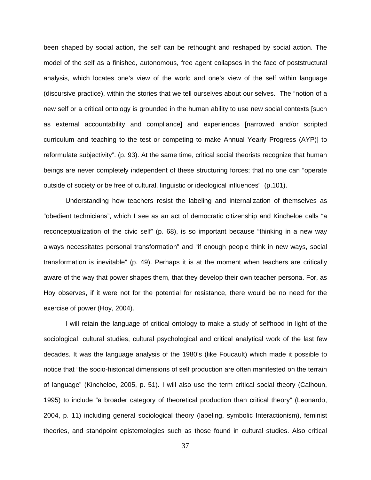been shaped by social action, the self can be rethought and reshaped by social action. The model of the self as a finished, autonomous, free agent collapses in the face of poststructural analysis, which locates one's view of the world and one's view of the self within language (discursive practice), within the stories that we tell ourselves about our selves. The "notion of a new self or a critical ontology is grounded in the human ability to use new social contexts [such as external accountability and compliance] and experiences [narrowed and/or scripted curriculum and teaching to the test or competing to make Annual Yearly Progress (AYP)] to reformulate subjectivity". (p. 93). At the same time, critical social theorists recognize that human beings are never completely independent of these structuring forces; that no one can "operate outside of society or be free of cultural, linguistic or ideological influences" (p.101).

Understanding how teachers resist the labeling and internalization of themselves as "obedient technicians", which I see as an act of democratic citizenship and Kincheloe calls "a reconceptualization of the civic self" (p. 68), is so important because "thinking in a new way always necessitates personal transformation" and "if enough people think in new ways, social transformation is inevitable" (p. 49). Perhaps it is at the moment when teachers are critically aware of the way that power shapes them, that they develop their own teacher persona. For, as Hoy observes, if it were not for the potential for resistance, there would be no need for the exercise of power (Hoy, 2004).

I will retain the language of critical ontology to make a study of selfhood in light of the sociological, cultural studies, cultural psychological and critical analytical work of the last few decades. It was the language analysis of the 1980's (like Foucault) which made it possible to notice that "the socio-historical dimensions of self production are often manifested on the terrain of language" (Kincheloe, 2005, p. 51). I will also use the term critical social theory (Calhoun, 1995) to include "a broader category of theoretical production than critical theory" (Leonardo, 2004, p. 11) including general sociological theory (labeling, symbolic Interactionism), feminist theories, and standpoint epistemologies such as those found in cultural studies. Also critical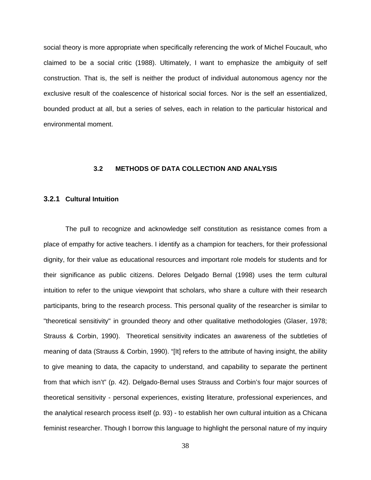social theory is more appropriate when specifically referencing the work of Michel Foucault, who claimed to be a social critic (1988). Ultimately, I want to emphasize the ambiguity of self construction. That is, the self is neither the product of individual autonomous agency nor the exclusive result of the coalescence of historical social forces. Nor is the self an essentialized, bounded product at all, but a series of selves, each in relation to the particular historical and environmental moment.

## **3.2 METHODS OF DATA COLLECTION AND ANALYSIS**

# **3.2.1 Cultural Intuition**

The pull to recognize and acknowledge self constitution as resistance comes from a place of empathy for active teachers. I identify as a champion for teachers, for their professional dignity, for their value as educational resources and important role models for students and for their significance as public citizens. Delores Delgado Bernal (1998) uses the term cultural intuition to refer to the unique viewpoint that scholars, who share a culture with their research participants, bring to the research process. This personal quality of the researcher is similar to "theoretical sensitivity" in grounded theory and other qualitative methodologies (Glaser, 1978; Strauss & Corbin, 1990). Theoretical sensitivity indicates an awareness of the subtleties of meaning of data (Strauss & Corbin, 1990). "[It] refers to the attribute of having insight, the ability to give meaning to data, the capacity to understand, and capability to separate the pertinent from that which isn't" (p. 42). Delgado-Bernal uses Strauss and Corbin's four major sources of theoretical sensitivity - personal experiences, existing literature, professional experiences, and the analytical research process itself (p. 93) - to establish her own cultural intuition as a Chicana feminist researcher. Though I borrow this language to highlight the personal nature of my inquiry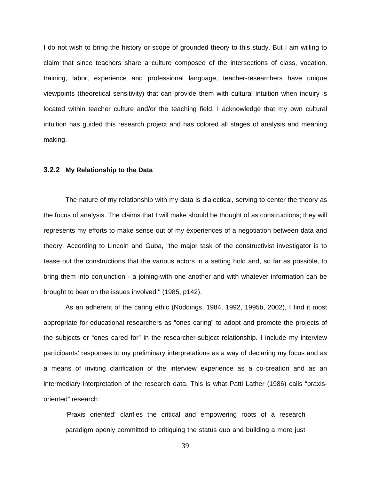I do not wish to bring the history or scope of grounded theory to this study. But I am willing to claim that since teachers share a culture composed of the intersections of class, vocation, training, labor, experience and professional language, teacher-researchers have unique viewpoints (theoretical sensitivity) that can provide them with cultural intuition when inquiry is located within teacher culture and/or the teaching field. I acknowledge that my own cultural intuition has guided this research project and has colored all stages of analysis and meaning making.

#### **3.2.2 My Relationship to the Data**

The nature of my relationship with my data is dialectical, serving to center the theory as the focus of analysis. The claims that I will make should be thought of as constructions; they will represents my efforts to make sense out of my experiences of a negotiation between data and theory. According to Lincoln and Guba, "the major task of the constructivist investigator is to tease out the constructions that the various actors in a setting hold and, so far as possible, to bring them into conjunction - a joining-with one another and with whatever information can be brought to bear on the issues involved." (1985, p142).

As an adherent of the caring ethic (Noddings, 1984, 1992, 1995b, 2002), I find it most appropriate for educational researchers as "ones caring" to adopt and promote the projects of the subjects or "ones cared for" in the researcher-subject relationship. I include my interview participants' responses to my preliminary interpretations as a way of declaring my focus and as a means of inviting clarification of the interview experience as a co-creation and as an intermediary interpretation of the research data. This is what Patti Lather (1986) calls "praxisoriented" research:

'Praxis oriented' clarifies the critical and empowering roots of a research paradigm openly committed to critiquing the status quo and building a more just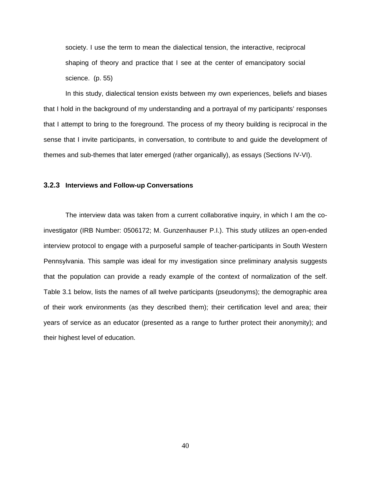society. I use the term to mean the dialectical tension, the interactive, reciprocal shaping of theory and practice that I see at the center of emancipatory social science. (p. 55)

In this study, dialectical tension exists between my own experiences, beliefs and biases that I hold in the background of my understanding and a portrayal of my participants' responses that I attempt to bring to the foreground. The process of my theory building is reciprocal in the sense that I invite participants, in conversation, to contribute to and guide the development of themes and sub-themes that later emerged (rather organically), as essays (Sections IV-VI).

#### **3.2.3 Interviews and Follow-up Conversations**

The interview data was taken from a current collaborative inquiry, in which I am the coinvestigator (IRB Number: 0506172; M. Gunzenhauser P.I.). This study utilizes an open-ended interview protocol to engage with a purposeful sample of teacher-participants in South Western Pennsylvania. This sample was ideal for my investigation since preliminary analysis suggests that the population can provide a ready example of the context of normalization of the self. Table 3.1 below, lists the names of all twelve participants (pseudonyms); the demographic area of their work environments (as they described them); their certification level and area; their years of service as an educator (presented as a range to further protect their anonymity); and their highest level of education.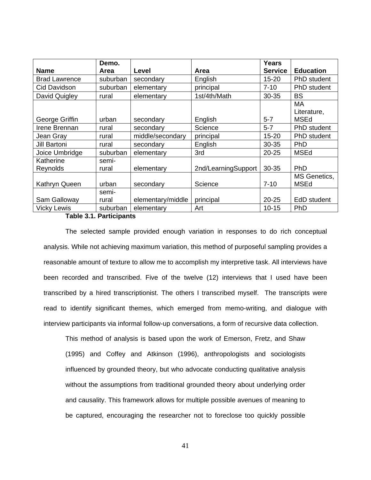|                       | Demo.          |                   |                     | <b>Years</b>   |                                  |
|-----------------------|----------------|-------------------|---------------------|----------------|----------------------------------|
| <b>Name</b>           | Area           | Level             | <b>Area</b>         | <b>Service</b> | <b>Education</b>                 |
| <b>Brad Lawrence</b>  | suburban       | secondary         | English             | $15 - 20$      | PhD student                      |
| Cid Davidson          | suburban       | elementary        | principal           | $7 - 10$       | PhD student                      |
| David Quigley         | rural          | elementary        | 1st/4th/Math        | 30-35          | <b>BS</b>                        |
| George Griffin        | urban          | secondary         | English             | $5 - 7$        | МA<br>Literature,<br><b>MSEd</b> |
| Irene Brennan         | rural          | secondary         | Science             | $5 - 7$        | PhD student                      |
| Jean Gray             | rural          | middle/secondary  | principal           | $15 - 20$      | PhD student                      |
| <b>Jill Bartoni</b>   | rural          | secondary         | English             | $30 - 35$      | <b>PhD</b>                       |
| Joice Umbridge        | suburban       | elementary        | 3rd                 | $20 - 25$      | <b>MSEd</b>                      |
| Katherine<br>Reynolds | semi-<br>rural | elementary        | 2nd/LearningSupport | 30-35          | PhD                              |
| Kathryn Queen         | urban          | secondary         | Science             | $7 - 10$       | MS Genetics,<br>MSEd             |
|                       | semi-          |                   |                     |                |                                  |
| Sam Galloway          | rural          | elementary/middle | principal           | $20 - 25$      | EdD student                      |
| <b>Vicky Lewis</b>    | suburban       | elementary        | Art                 | $10 - 15$      | <b>PhD</b>                       |

# **Table 3.1. Participants**

The selected sample provided enough variation in responses to do rich conceptual analysis. While not achieving maximum variation, this method of purposeful sampling provides a reasonable amount of texture to allow me to accomplish my interpretive task. All interviews have been recorded and transcribed. Five of the twelve (12) interviews that I used have been transcribed by a hired transcriptionist. The others I transcribed myself. The transcripts were read to identify significant themes, which emerged from memo-writing, and dialogue with interview participants via informal follow-up conversations, a form of recursive data collection.

This method of analysis is based upon the work of Emerson, Fretz, and Shaw (1995) and Coffey and Atkinson (1996), anthropologists and sociologists influenced by grounded theory, but who advocate conducting qualitative analysis without the assumptions from traditional grounded theory about underlying order and causality. This framework allows for multiple possible avenues of meaning to be captured, encouraging the researcher not to foreclose too quickly possible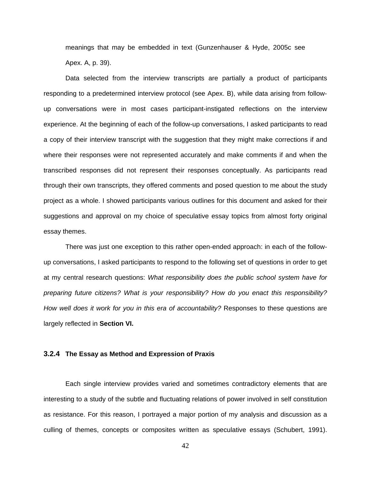meanings that may be embedded in text (Gunzenhauser & Hyde, 2005c see Apex. A, p. 39).

Data selected from the interview transcripts are partially a product of participants responding to a predetermined interview protocol (see Apex. B), while data arising from followup conversations were in most cases participant-instigated reflections on the interview experience. At the beginning of each of the follow-up conversations, I asked participants to read a copy of their interview transcript with the suggestion that they might make corrections if and where their responses were not represented accurately and make comments if and when the transcribed responses did not represent their responses conceptually. As participants read through their own transcripts, they offered comments and posed question to me about the study project as a whole. I showed participants various outlines for this document and asked for their suggestions and approval on my choice of speculative essay topics from almost forty original essay themes.

There was just one exception to this rather open-ended approach: in each of the followup conversations, I asked participants to respond to the following set of questions in order to get at my central research questions: *What responsibility does the public school system have for preparing future citizens? What is your responsibility? How do you enact this responsibility? How well does it work for you in this era of accountability?* Responses to these questions are largely reflected in **Section VI.** 

# **3.2.4 The Essay as Method and Expression of Praxis**

Each single interview provides varied and sometimes contradictory elements that are interesting to a study of the subtle and fluctuating relations of power involved in self constitution as resistance. For this reason, I portrayed a major portion of my analysis and discussion as a culling of themes, concepts or composites written as speculative essays (Schubert, 1991).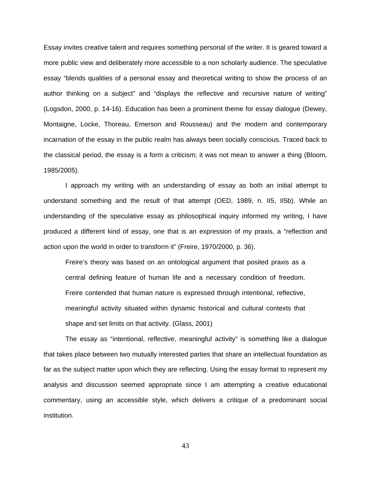Essay invites creative talent and requires something personal of the writer. It is geared toward a more public view and deliberately more accessible to a non scholarly audience. The speculative essay "blends qualities of a personal essay and theoretical writing to show the process of an author thinking on a subject" and "displays the reflective and recursive nature of writing" (Logsdon, 2000, p. 14-16). Education has been a prominent theme for essay dialogue (Dewey, Montaigne, Locke, Thoreau, Emerson and Rousseau) and the modern and contemporary incarnation of the essay in the public realm has always been socially conscious. Traced back to the classical period, the essay is a form a criticism; it was not mean to answer a thing (Bloom, 1985/2005).

I approach my writing with an understanding of essay as both an initial attempt to understand something and the result of that attempt (OED, 1989, n. II5, II5b). While an understanding of the speculative essay as philosophical inquiry informed my writing, I have produced a different kind of essay, one that is an expression of my praxis, a "reflection and action upon the world in order to transform it" (Freire, 1970/2000, p. 36).

Freire's theory was based on an ontological argument that posited praxis as a central defining feature of human life and a necessary condition of freedom. Freire contended that human nature is expressed through intentional, reflective, meaningful activity situated within dynamic historical and cultural contexts that shape and set limits on that activity. (Glass, 2001)

The essay as "intentional, reflective, meaningful activity" is something like a dialogue that takes place between two mutually interested parties that share an intellectual foundation as far as the subject matter upon which they are reflecting. Using the essay format to represent my analysis and discussion seemed appropriate since I am attempting a creative educational commentary, using an accessible style, which delivers a critique of a predominant social institution.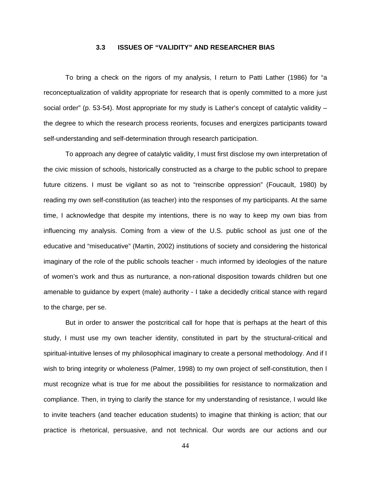# **3.3 ISSUES OF "VALIDITY" AND RESEARCHER BIAS**

To bring a check on the rigors of my analysis, I return to Patti Lather (1986) for "a reconceptualization of validity appropriate for research that is openly committed to a more just social order" (p. 53-54). Most appropriate for my study is Lather's concept of catalytic validity – the degree to which the research process reorients, focuses and energizes participants toward self-understanding and self-determination through research participation.

To approach any degree of catalytic validity, I must first disclose my own interpretation of the civic mission of schools, historically constructed as a charge to the public school to prepare future citizens. I must be vigilant so as not to "reinscribe oppression" (Foucault, 1980) by reading my own self-constitution (as teacher) into the responses of my participants. At the same time, I acknowledge that despite my intentions, there is no way to keep my own bias from influencing my analysis. Coming from a view of the U.S. public school as just one of the educative and "miseducative" (Martin, 2002) institutions of society and considering the historical imaginary of the role of the public schools teacher - much informed by ideologies of the nature of women's work and thus as nurturance, a non-rational disposition towards children but one amenable to guidance by expert (male) authority - I take a decidedly critical stance with regard to the charge, per se.

But in order to answer the postcritical call for hope that is perhaps at the heart of this study, I must use my own teacher identity, constituted in part by the structural-critical and spiritual-intuitive lenses of my philosophical imaginary to create a personal methodology. And if I wish to bring integrity or wholeness (Palmer, 1998) to my own project of self-constitution, then I must recognize what is true for me about the possibilities for resistance to normalization and compliance. Then, in trying to clarify the stance for my understanding of resistance, I would like to invite teachers (and teacher education students) to imagine that thinking is action; that our practice is rhetorical, persuasive, and not technical. Our words are our actions and our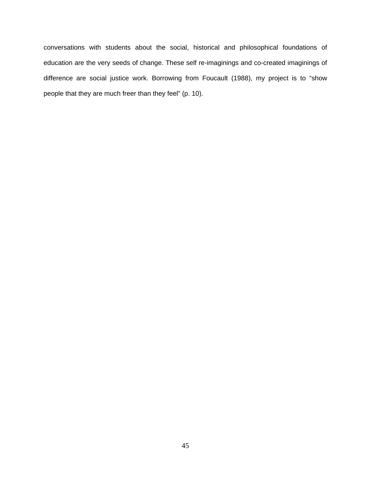conversations with students about the social, historical and philosophical foundations of education are the very seeds of change. These self re-imaginings and co-created imaginings of difference are social justice work. Borrowing from Foucault (1988), my project is to "show people that they are much freer than they feel" (p. 10).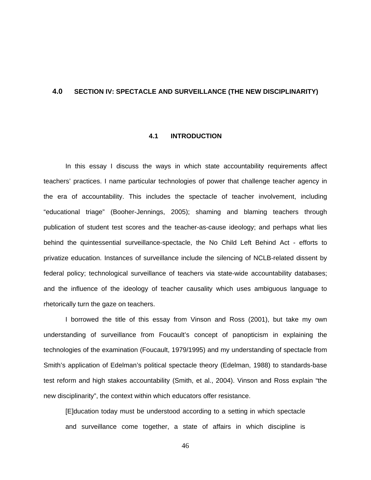# **4.0 SECTION IV: SPECTACLE AND SURVEILLANCE (THE NEW DISCIPLINARITY)**

#### **4.1 INTRODUCTION**

In this essay I discuss the ways in which state accountability requirements affect teachers' practices. I name particular technologies of power that challenge teacher agency in the era of accountability. This includes the spectacle of teacher involvement, including "educational triage" (Booher-Jennings, 2005); shaming and blaming teachers through publication of student test scores and the teacher-as-cause ideology; and perhaps what lies behind the quintessential surveillance-spectacle, the No Child Left Behind Act - efforts to privatize education. Instances of surveillance include the silencing of NCLB-related dissent by federal policy; technological surveillance of teachers via state-wide accountability databases; and the influence of the ideology of teacher causality which uses ambiguous language to rhetorically turn the gaze on teachers.

I borrowed the title of this essay from Vinson and Ross (2001), but take my own understanding of surveillance from Foucault's concept of panopticism in explaining the technologies of the examination (Foucault, 1979/1995) and my understanding of spectacle from Smith's application of Edelman's political spectacle theory (Edelman, 1988) to standards-base test reform and high stakes accountability (Smith, et al., 2004). Vinson and Ross explain "the new disciplinarity", the context within which educators offer resistance.

[E]ducation today must be understood according to a setting in which spectacle and surveillance come together, a state of affairs in which discipline is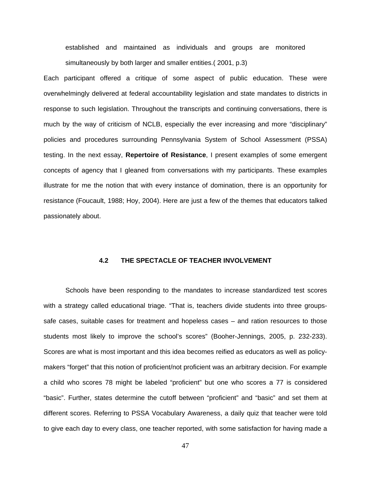established and maintained as individuals and groups are monitored simultaneously by both larger and smaller entities.( 2001, p.3)

Each participant offered a critique of some aspect of public education. These were overwhelmingly delivered at federal accountability legislation and state mandates to districts in response to such legislation. Throughout the transcripts and continuing conversations, there is much by the way of criticism of NCLB, especially the ever increasing and more "disciplinary" policies and procedures surrounding Pennsylvania System of School Assessment (PSSA) testing. In the next essay, **Repertoire of Resistance**, I present examples of some emergent concepts of agency that I gleaned from conversations with my participants. These examples illustrate for me the notion that with every instance of domination, there is an opportunity for resistance (Foucault, 1988; Hoy, 2004). Here are just a few of the themes that educators talked passionately about.

# **4.2 THE SPECTACLE OF TEACHER INVOLVEMENT**

Schools have been responding to the mandates to increase standardized test scores with a strategy called educational triage. "That is, teachers divide students into three groupssafe cases, suitable cases for treatment and hopeless cases – and ration resources to those students most likely to improve the school's scores" (Booher-Jennings, 2005, p. 232-233). Scores are what is most important and this idea becomes reified as educators as well as policymakers "forget" that this notion of proficient/not proficient was an arbitrary decision. For example a child who scores 78 might be labeled "proficient" but one who scores a 77 is considered "basic". Further, states determine the cutoff between "proficient" and "basic" and set them at different scores. Referring to PSSA Vocabulary Awareness, a daily quiz that teacher were told to give each day to every class, one teacher reported, with some satisfaction for having made a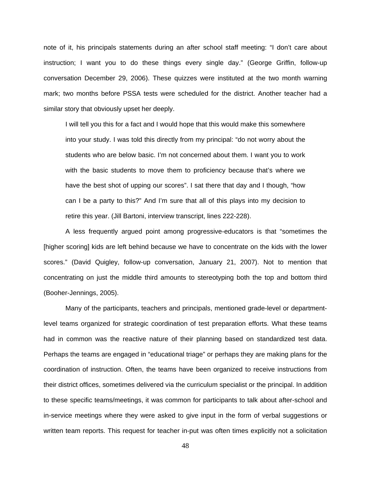note of it, his principals statements during an after school staff meeting: "I don't care about instruction; I want you to do these things every single day." (George Griffin, follow-up conversation December 29, 2006). These quizzes were instituted at the two month warning mark; two months before PSSA tests were scheduled for the district. Another teacher had a similar story that obviously upset her deeply.

I will tell you this for a fact and I would hope that this would make this somewhere into your study. I was told this directly from my principal: "do not worry about the students who are below basic. I'm not concerned about them. I want you to work with the basic students to move them to proficiency because that's where we have the best shot of upping our scores". I sat there that day and I though, "how can I be a party to this?" And I'm sure that all of this plays into my decision to retire this year. (Jill Bartoni, interview transcript, lines 222-228).

A less frequently argued point among progressive-educators is that "sometimes the [higher scoring] kids are left behind because we have to concentrate on the kids with the lower scores." (David Quigley, follow-up conversation, January 21, 2007). Not to mention that concentrating on just the middle third amounts to stereotyping both the top and bottom third (Booher-Jennings, 2005).

Many of the participants, teachers and principals, mentioned grade-level or departmentlevel teams organized for strategic coordination of test preparation efforts. What these teams had in common was the reactive nature of their planning based on standardized test data. Perhaps the teams are engaged in "educational triage" or perhaps they are making plans for the coordination of instruction. Often, the teams have been organized to receive instructions from their district offices, sometimes delivered via the curriculum specialist or the principal. In addition to these specific teams/meetings, it was common for participants to talk about after-school and in-service meetings where they were asked to give input in the form of verbal suggestions or written team reports. This request for teacher in-put was often times explicitly not a solicitation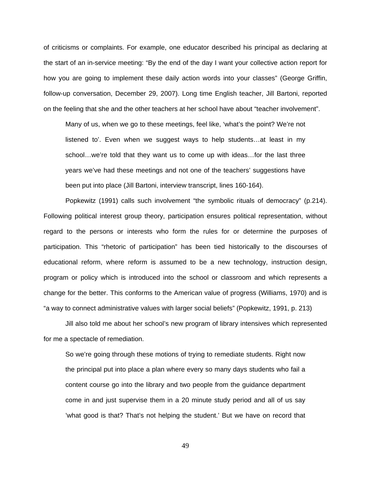of criticisms or complaints. For example, one educator described his principal as declaring at the start of an in-service meeting: "By the end of the day I want your collective action report for how you are going to implement these daily action words into your classes" (George Griffin, follow-up conversation, December 29, 2007). Long time English teacher, Jill Bartoni, reported on the feeling that she and the other teachers at her school have about "teacher involvement".

Many of us, when we go to these meetings, feel like, 'what's the point? We're not listened to'. Even when we suggest ways to help students…at least in my school…we're told that they want us to come up with ideas…for the last three years we've had these meetings and not one of the teachers' suggestions have been put into place (Jill Bartoni, interview transcript, lines 160-164).

Popkewitz (1991) calls such involvement "the symbolic rituals of democracy" (p.214). Following political interest group theory, participation ensures political representation, without regard to the persons or interests who form the rules for or determine the purposes of participation. This "rhetoric of participation" has been tied historically to the discourses of educational reform, where reform is assumed to be a new technology, instruction design, program or policy which is introduced into the school or classroom and which represents a change for the better. This conforms to the American value of progress (Williams, 1970) and is "a way to connect administrative values with larger social beliefs" (Popkewitz, 1991, p. 213)

Jill also told me about her school's new program of library intensives which represented for me a spectacle of remediation.

So we're going through these motions of trying to remediate students. Right now the principal put into place a plan where every so many days students who fail a content course go into the library and two people from the guidance department come in and just supervise them in a 20 minute study period and all of us say 'what good is that? That's not helping the student.' But we have on record that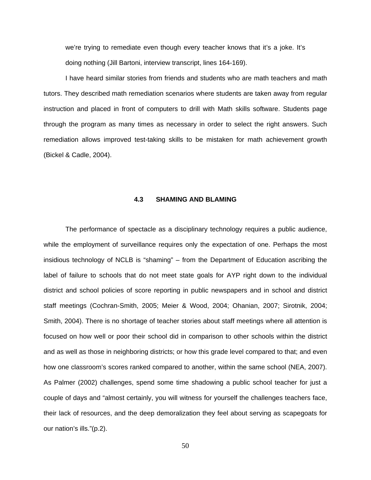we're trying to remediate even though every teacher knows that it's a joke. It's doing nothing (Jill Bartoni, interview transcript, lines 164-169).

I have heard similar stories from friends and students who are math teachers and math tutors. They described math remediation scenarios where students are taken away from regular instruction and placed in front of computers to drill with Math skills software. Students page through the program as many times as necessary in order to select the right answers. Such remediation allows improved test-taking skills to be mistaken for math achievement growth (Bickel & Cadle, 2004).

#### **4.3 SHAMING AND BLAMING**

The performance of spectacle as a disciplinary technology requires a public audience, while the employment of surveillance requires only the expectation of one. Perhaps the most insidious technology of NCLB is "shaming" – from the Department of Education ascribing the label of failure to schools that do not meet state goals for AYP right down to the individual district and school policies of score reporting in public newspapers and in school and district staff meetings (Cochran-Smith, 2005; Meier & Wood, 2004; Ohanian, 2007; Sirotnik, 2004; Smith, 2004). There is no shortage of teacher stories about staff meetings where all attention is focused on how well or poor their school did in comparison to other schools within the district and as well as those in neighboring districts; or how this grade level compared to that; and even how one classroom's scores ranked compared to another, within the same school (NEA, 2007). As Palmer (2002) challenges, spend some time shadowing a public school teacher for just a couple of days and "almost certainly, you will witness for yourself the challenges teachers face, their lack of resources, and the deep demoralization they feel about serving as scapegoats for our nation's ills."(p.2).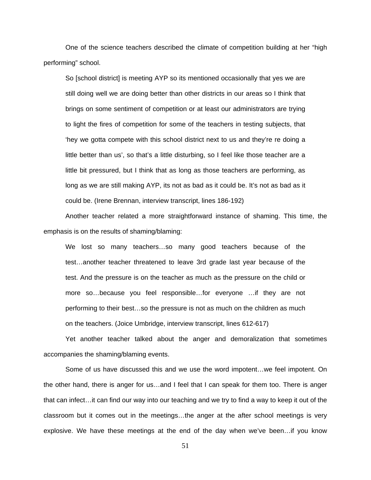One of the science teachers described the climate of competition building at her "high performing" school.

So [school district] is meeting AYP so its mentioned occasionally that yes we are still doing well we are doing better than other districts in our areas so I think that brings on some sentiment of competition or at least our administrators are trying to light the fires of competition for some of the teachers in testing subjects, that 'hey we gotta compete with this school district next to us and they're re doing a little better than us', so that's a little disturbing, so I feel like those teacher are a little bit pressured, but I think that as long as those teachers are performing, as long as we are still making AYP, its not as bad as it could be. It's not as bad as it could be. (Irene Brennan, interview transcript, lines 186-192)

Another teacher related a more straightforward instance of shaming. This time, the emphasis is on the results of shaming/blaming:

We lost so many teachers…so many good teachers because of the test…another teacher threatened to leave 3rd grade last year because of the test. And the pressure is on the teacher as much as the pressure on the child or more so…because you feel responsible…for everyone …if they are not performing to their best…so the pressure is not as much on the children as much on the teachers. (Joice Umbridge, interview transcript, lines 612-617)

Yet another teacher talked about the anger and demoralization that sometimes accompanies the shaming/blaming events.

Some of us have discussed this and we use the word impotent…we feel impotent. On the other hand, there is anger for us…and I feel that I can speak for them too. There is anger that can infect…it can find our way into our teaching and we try to find a way to keep it out of the classroom but it comes out in the meetings…the anger at the after school meetings is very explosive. We have these meetings at the end of the day when we've been…if you know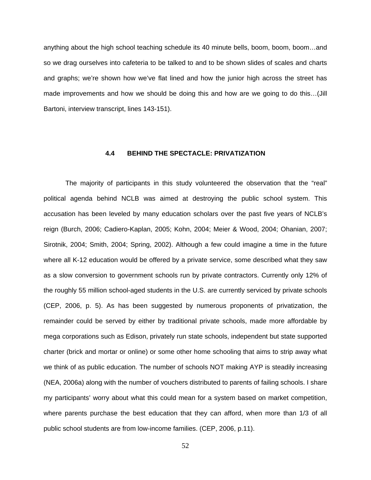anything about the high school teaching schedule its 40 minute bells, boom, boom, boom…and so we drag ourselves into cafeteria to be talked to and to be shown slides of scales and charts and graphs; we're shown how we've flat lined and how the junior high across the street has made improvements and how we should be doing this and how are we going to do this…(Jill Bartoni, interview transcript, lines 143-151).

#### **4.4 BEHIND THE SPECTACLE: PRIVATIZATION**

The majority of participants in this study volunteered the observation that the "real" political agenda behind NCLB was aimed at destroying the public school system. This accusation has been leveled by many education scholars over the past five years of NCLB's reign (Burch, 2006; Cadiero-Kaplan, 2005; Kohn, 2004; Meier & Wood, 2004; Ohanian, 2007; Sirotnik, 2004; Smith, 2004; Spring, 2002). Although a few could imagine a time in the future where all K-12 education would be offered by a private service, some described what they saw as a slow conversion to government schools run by private contractors. Currently only 12% of the roughly 55 million school-aged students in the U.S. are currently serviced by private schools (CEP, 2006, p. 5). As has been suggested by numerous proponents of privatization, the remainder could be served by either by traditional private schools, made more affordable by mega corporations such as Edison, privately run state schools, independent but state supported charter (brick and mortar or online) or some other home schooling that aims to strip away what we think of as public education. The number of schools NOT making AYP is steadily increasing (NEA, 2006a) along with the number of vouchers distributed to parents of failing schools. I share my participants' worry about what this could mean for a system based on market competition, where parents purchase the best education that they can afford, when more than 1/3 of all public school students are from low-income families. (CEP, 2006, p.11).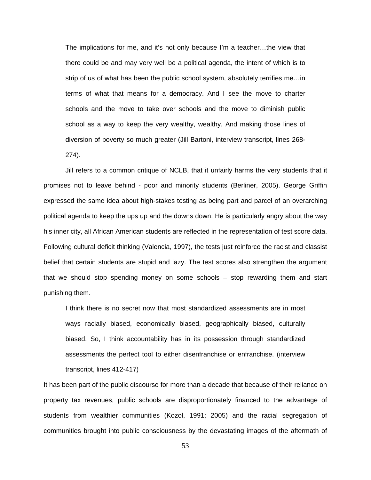The implications for me, and it's not only because I'm a teacher…the view that there could be and may very well be a political agenda, the intent of which is to strip of us of what has been the public school system, absolutely terrifies me…in terms of what that means for a democracy. And I see the move to charter schools and the move to take over schools and the move to diminish public school as a way to keep the very wealthy, wealthy. And making those lines of diversion of poverty so much greater (Jill Bartoni, interview transcript, lines 268- 274).

Jill refers to a common critique of NCLB, that it unfairly harms the very students that it promises not to leave behind - poor and minority students (Berliner, 2005). George Griffin expressed the same idea about high-stakes testing as being part and parcel of an overarching political agenda to keep the ups up and the downs down. He is particularly angry about the way his inner city, all African American students are reflected in the representation of test score data. Following cultural deficit thinking (Valencia, 1997), the tests just reinforce the racist and classist belief that certain students are stupid and lazy. The test scores also strengthen the argument that we should stop spending money on some schools – stop rewarding them and start punishing them.

I think there is no secret now that most standardized assessments are in most ways racially biased, economically biased, geographically biased, culturally biased. So, I think accountability has in its possession through standardized assessments the perfect tool to either disenfranchise or enfranchise. (interview transcript, lines 412-417)

It has been part of the public discourse for more than a decade that because of their reliance on property tax revenues, public schools are disproportionately financed to the advantage of students from wealthier communities (Kozol, 1991; 2005) and the racial segregation of communities brought into public consciousness by the devastating images of the aftermath of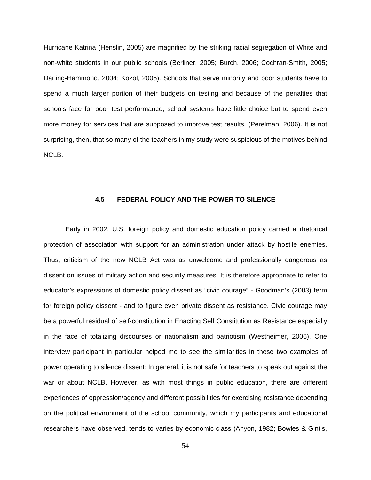Hurricane Katrina (Henslin, 2005) are magnified by the striking racial segregation of White and non-white students in our public schools (Berliner, 2005; Burch, 2006; Cochran-Smith, 2005; Darling-Hammond, 2004; Kozol, 2005). Schools that serve minority and poor students have to spend a much larger portion of their budgets on testing and because of the penalties that schools face for poor test performance, school systems have little choice but to spend even more money for services that are supposed to improve test results. (Perelman, 2006). It is not surprising, then, that so many of the teachers in my study were suspicious of the motives behind NCLB.

# **4.5 FEDERAL POLICY AND THE POWER TO SILENCE**

Early in 2002, U.S. foreign policy and domestic education policy carried a rhetorical protection of association with support for an administration under attack by hostile enemies. Thus, criticism of the new NCLB Act was as unwelcome and professionally dangerous as dissent on issues of military action and security measures. It is therefore appropriate to refer to educator's expressions of domestic policy dissent as "civic courage" - Goodman's (2003) term for foreign policy dissent - and to figure even private dissent as resistance. Civic courage may be a powerful residual of self-constitution in Enacting Self Constitution as Resistance especially in the face of totalizing discourses or nationalism and patriotism (Westheimer, 2006). One interview participant in particular helped me to see the similarities in these two examples of power operating to silence dissent: In general, it is not safe for teachers to speak out against the war or about NCLB. However, as with most things in public education, there are different experiences of oppression/agency and different possibilities for exercising resistance depending on the political environment of the school community, which my participants and educational researchers have observed, tends to varies by economic class (Anyon, 1982; Bowles & Gintis,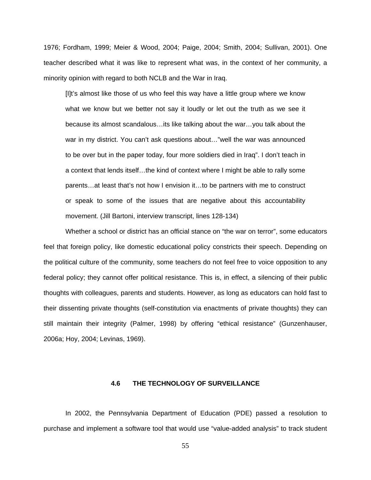1976; Fordham, 1999; Meier & Wood, 2004; Paige, 2004; Smith, 2004; Sullivan, 2001). One teacher described what it was like to represent what was, in the context of her community, a minority opinion with regard to both NCLB and the War in Iraq.

[I]t's almost like those of us who feel this way have a little group where we know what we know but we better not say it loudly or let out the truth as we see it because its almost scandalous…its like talking about the war…you talk about the war in my district. You can't ask questions about…"well the war was announced to be over but in the paper today, four more soldiers died in Iraq". I don't teach in a context that lends itself...the kind of context where I might be able to rally some parents…at least that's not how I envision it…to be partners with me to construct or speak to some of the issues that are negative about this accountability movement. (Jill Bartoni, interview transcript, lines 128-134)

Whether a school or district has an official stance on "the war on terror", some educators feel that foreign policy, like domestic educational policy constricts their speech. Depending on the political culture of the community, some teachers do not feel free to voice opposition to any federal policy; they cannot offer political resistance. This is, in effect, a silencing of their public thoughts with colleagues, parents and students. However, as long as educators can hold fast to their dissenting private thoughts (self-constitution via enactments of private thoughts) they can still maintain their integrity (Palmer, 1998) by offering "ethical resistance" (Gunzenhauser, 2006a; Hoy, 2004; Levinas, 1969).

# **4.6 THE TECHNOLOGY OF SURVEILLANCE**

In 2002, the Pennsylvania Department of Education (PDE) passed a resolution to purchase and implement a software tool that would use "value-added analysis" to track student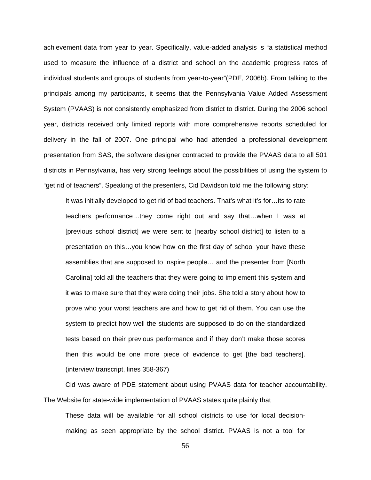achievement data from year to year. Specifically, value-added analysis is "a statistical method used to measure the influence of a district and school on the academic progress rates of individual students and groups of students from year-to-year"(PDE, 2006b). From talking to the principals among my participants, it seems that the Pennsylvania Value Added Assessment System (PVAAS) is not consistently emphasized from district to district. During the 2006 school year, districts received only limited reports with more comprehensive reports scheduled for delivery in the fall of 2007. One principal who had attended a professional development presentation from SAS, the software designer contracted to provide the PVAAS data to all 501 districts in Pennsylvania, has very strong feelings about the possibilities of using the system to "get rid of teachers". Speaking of the presenters, Cid Davidson told me the following story:

It was initially developed to get rid of bad teachers. That's what it's for…its to rate teachers performance…they come right out and say that…when I was at [previous school district] we were sent to [nearby school district] to listen to a presentation on this…you know how on the first day of school your have these assemblies that are supposed to inspire people… and the presenter from [North Carolina] told all the teachers that they were going to implement this system and it was to make sure that they were doing their jobs. She told a story about how to prove who your worst teachers are and how to get rid of them. You can use the system to predict how well the students are supposed to do on the standardized tests based on their previous performance and if they don't make those scores then this would be one more piece of evidence to get [the bad teachers]. (interview transcript, lines 358-367)

Cid was aware of PDE statement about using PVAAS data for teacher accountability. The Website for state-wide implementation of PVAAS states quite plainly that

These data will be available for all school districts to use for local decisionmaking as seen appropriate by the school district. PVAAS is not a tool for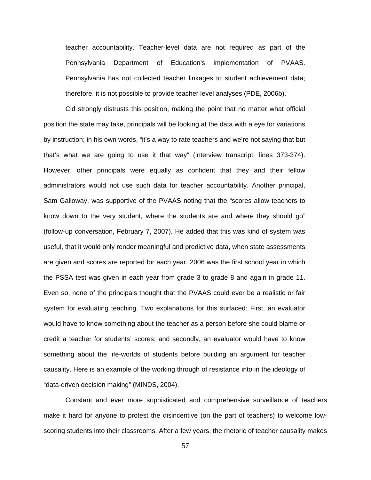teacher accountability. Teacher-level data are not required as part of the Pennsylvania Department of Education's implementation of PVAAS. Pennsylvania has not collected teacher linkages to student achievement data; therefore, it is not possible to provide teacher level analyses (PDE, 2006b).

Cid strongly distrusts this position, making the point that no matter what official position the state may take, principals will be looking at the data with a eye for variations by instruction; in his own words, "it's a way to rate teachers and we're not saying that but that's what we are going to use it that way" (interview transcript, lines 373-374). However, other principals were equally as confident that they and their fellow administrators would not use such data for teacher accountability. Another principal, Sam Galloway, was supportive of the PVAAS noting that the "scores allow teachers to know down to the very student, where the students are and where they should go" (follow-up conversation, February 7, 2007). He added that this was kind of system was useful, that it would only render meaningful and predictive data, when state assessments are given and scores are reported for each year. 2006 was the first school year in which the PSSA test was given in each year from grade 3 to grade 8 and again in grade 11. Even so, none of the principals thought that the PVAAS could ever be a realistic or fair system for evaluating teaching. Two explanations for this surfaced: First, an evaluator would have to know something about the teacher as a person before she could blame or credit a teacher for students' scores; and secondly, an evaluator would have to know something about the life-worlds of students before building an argument for teacher causality. Here is an example of the working through of resistance into in the ideology of "data-driven decision making" (MINDS, 2004).

Constant and ever more sophisticated and comprehensive surveillance of teachers make it hard for anyone to protest the disincentive (on the part of teachers) to welcome lowscoring students into their classrooms. After a few years, the rhetoric of teacher causality makes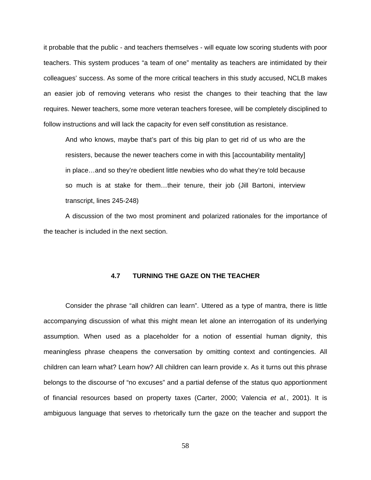it probable that the public - and teachers themselves - will equate low scoring students with poor teachers. This system produces "a team of one" mentality as teachers are intimidated by their colleagues' success. As some of the more critical teachers in this study accused, NCLB makes an easier job of removing veterans who resist the changes to their teaching that the law requires. Newer teachers, some more veteran teachers foresee, will be completely disciplined to follow instructions and will lack the capacity for even self constitution as resistance.

And who knows, maybe that's part of this big plan to get rid of us who are the resisters, because the newer teachers come in with this [accountability mentality] in place…and so they're obedient little newbies who do what they're told because so much is at stake for them…their tenure, their job (Jill Bartoni, interview transcript, lines 245-248)

A discussion of the two most prominent and polarized rationales for the importance of the teacher is included in the next section.

#### **4.7 TURNING THE GAZE ON THE TEACHER**

Consider the phrase "all children can learn". Uttered as a type of mantra, there is little accompanying discussion of what this might mean let alone an interrogation of its underlying assumption. When used as a placeholder for a notion of essential human dignity, this meaningless phrase cheapens the conversation by omitting context and contingencies. All children can learn what? Learn how? All children can learn provide x. As it turns out this phrase belongs to the discourse of "no excuses" and a partial defense of the status quo apportionment of financial resources based on property taxes (Carter, 2000; Valencia *et al.*, 2001). It is ambiguous language that serves to rhetorically turn the gaze on the teacher and support the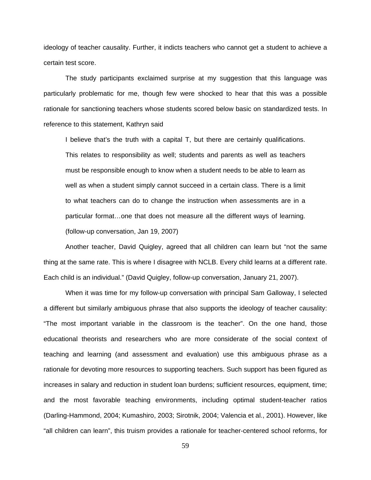ideology of teacher causality. Further, it indicts teachers who cannot get a student to achieve a certain test score.

The study participants exclaimed surprise at my suggestion that this language was particularly problematic for me, though few were shocked to hear that this was a possible rationale for sanctioning teachers whose students scored below basic on standardized tests. In reference to this statement, Kathryn said

I believe that's the truth with a capital T, but there are certainly qualifications. This relates to responsibility as well; students and parents as well as teachers must be responsible enough to know when a student needs to be able to learn as well as when a student simply cannot succeed in a certain class. There is a limit to what teachers can do to change the instruction when assessments are in a particular format…one that does not measure all the different ways of learning. (follow-up conversation, Jan 19, 2007)

Another teacher, David Quigley, agreed that all children can learn but "not the same thing at the same rate. This is where I disagree with NCLB. Every child learns at a different rate. Each child is an individual." (David Quigley, follow-up conversation, January 21, 2007).

When it was time for my follow-up conversation with principal Sam Galloway, I selected a different but similarly ambiguous phrase that also supports the ideology of teacher causality: "The most important variable in the classroom is the teacher". On the one hand, those educational theorists and researchers who are more considerate of the social context of teaching and learning (and assessment and evaluation) use this ambiguous phrase as a rationale for devoting more resources to supporting teachers. Such support has been figured as increases in salary and reduction in student loan burdens; sufficient resources, equipment, time; and the most favorable teaching environments, including optimal student-teacher ratios (Darling-Hammond, 2004; Kumashiro, 2003; Sirotnik, 2004; Valencia et al., 2001). However, like "all children can learn", this truism provides a rationale for teacher-centered school reforms, for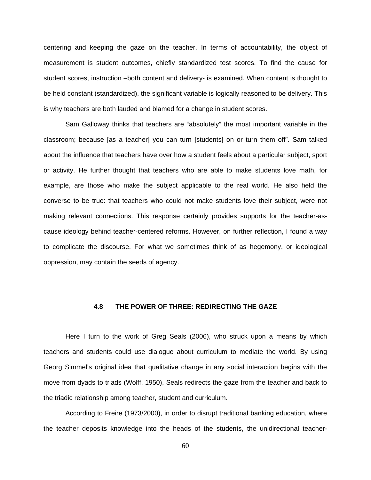centering and keeping the gaze on the teacher. In terms of accountability, the object of measurement is student outcomes, chiefly standardized test scores. To find the cause for student scores, instruction –both content and delivery- is examined. When content is thought to be held constant (standardized), the significant variable is logically reasoned to be delivery. This is why teachers are both lauded and blamed for a change in student scores.

Sam Galloway thinks that teachers are "absolutely" the most important variable in the classroom; because [as a teacher] you can turn [students] on or turn them off". Sam talked about the influence that teachers have over how a student feels about a particular subject, sport or activity. He further thought that teachers who are able to make students love math, for example, are those who make the subject applicable to the real world. He also held the converse to be true: that teachers who could not make students love their subject, were not making relevant connections. This response certainly provides supports for the teacher-ascause ideology behind teacher-centered reforms. However, on further reflection, I found a way to complicate the discourse. For what we sometimes think of as hegemony, or ideological oppression, may contain the seeds of agency.

# **4.8 THE POWER OF THREE: REDIRECTING THE GAZE**

Here I turn to the work of Greg Seals (2006), who struck upon a means by which teachers and students could use dialogue about curriculum to mediate the world. By using Georg Simmel's original idea that qualitative change in any social interaction begins with the move from dyads to triads (Wolff, 1950), Seals redirects the gaze from the teacher and back to the triadic relationship among teacher, student and curriculum.

According to Freire (1973/2000), in order to disrupt traditional banking education, where the teacher deposits knowledge into the heads of the students, the unidirectional teacher-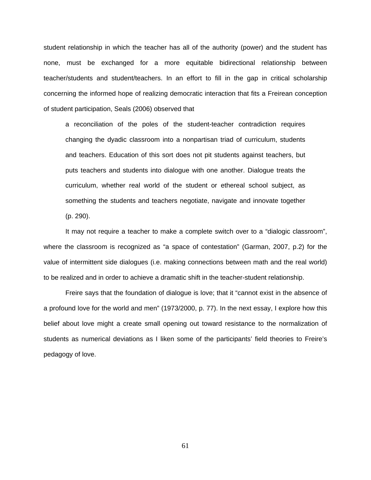student relationship in which the teacher has all of the authority (power) and the student has none, must be exchanged for a more equitable bidirectional relationship between teacher/students and student/teachers. In an effort to fill in the gap in critical scholarship concerning the informed hope of realizing democratic interaction that fits a Freirean conception of student participation, Seals (2006) observed that

a reconciliation of the poles of the student-teacher contradiction requires changing the dyadic classroom into a nonpartisan triad of curriculum, students and teachers. Education of this sort does not pit students against teachers, but puts teachers and students into dialogue with one another. Dialogue treats the curriculum, whether real world of the student or ethereal school subject, as something the students and teachers negotiate, navigate and innovate together (p. 290).

It may not require a teacher to make a complete switch over to a "dialogic classroom", where the classroom is recognized as "a space of contestation" (Garman, 2007, p.2) for the value of intermittent side dialogues (i.e. making connections between math and the real world) to be realized and in order to achieve a dramatic shift in the teacher-student relationship.

Freire says that the foundation of dialogue is love; that it "cannot exist in the absence of a profound love for the world and men" (1973/2000, p. 77). In the next essay, I explore how this belief about love might a create small opening out toward resistance to the normalization of students as numerical deviations as I liken some of the participants' field theories to Freire's pedagogy of love.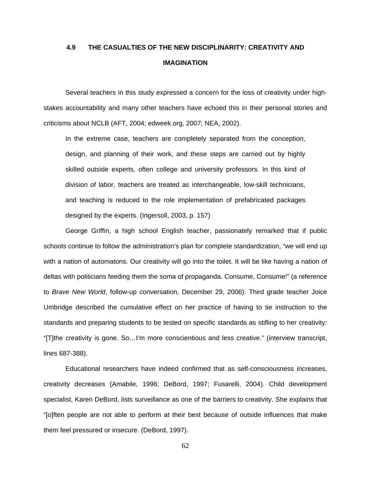# **4.9 THE CASUALTIES OF THE NEW DISCIPLINARITY: CREATIVITY AND IMAGINATION**

Several teachers in this study expressed a concern for the loss of creativity under highstakes accountability and many other teachers have echoed this in their personal stories and criticisms about NCLB (AFT, 2004; edweek.org, 2007; NEA, 2002).

In the extreme case, teachers are completely separated from the conception, design, and planning of their work, and these steps are carried out by highly skilled outside experts, often college and university professors. In this kind of division of labor, teachers are treated as interchangeable, low-skill technicians, and teaching is reduced to the role implementation of prefabricated packages designed by the experts. (Ingersoll, 2003, p. 157)

George Griffin, a high school English teacher, passionately remarked that if public schools continue to follow the administration's plan for complete standardization, "we will end up with a nation of automatons. Our creativity will go into the toilet. It will be like having a nation of deltas with politicians feeding them the soma of propaganda. Consume, Consume!" (a reference to *Brave New World*, follow-up conversation, December 29, 2006). Third grade teacher Joice Umbridge described the cumulative effect on her practice of having to tie instruction to the standards and preparing students to be tested on specific standards as stifling to her creativity: "[T]the creativity is gone. So…I'm more conscientious and less creative." (interview transcript, lines 687-388).

Educational researchers have indeed confirmed that as self-consciousness increases, creativity decreases (Amabile, 1996; DeBord, 1997; Fusarelli, 2004). Child development specialist, Karen DeBord, lists surveillance as one of the barriers to creativity. She explains that "[o]ften people are not able to perform at their best because of outside influences that make them feel pressured or insecure. (DeBord, 1997).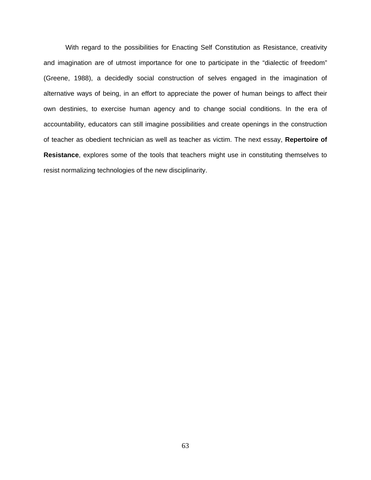With regard to the possibilities for Enacting Self Constitution as Resistance, creativity and imagination are of utmost importance for one to participate in the "dialectic of freedom" (Greene, 1988), a decidedly social construction of selves engaged in the imagination of alternative ways of being, in an effort to appreciate the power of human beings to affect their own destinies, to exercise human agency and to change social conditions. In the era of accountability, educators can still imagine possibilities and create openings in the construction of teacher as obedient technician as well as teacher as victim. The next essay, **Repertoire of Resistance**, explores some of the tools that teachers might use in constituting themselves to resist normalizing technologies of the new disciplinarity.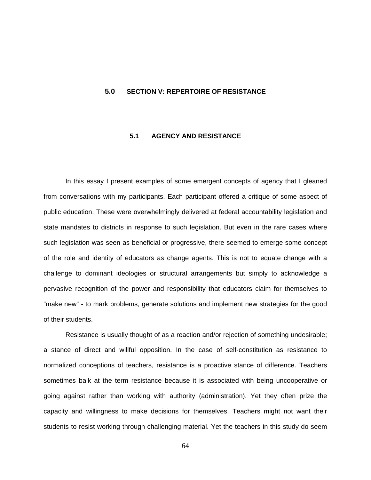#### **5.0 SECTION V: REPERTOIRE OF RESISTANCE**

# **5.1 AGENCY AND RESISTANCE**

In this essay I present examples of some emergent concepts of agency that I gleaned from conversations with my participants. Each participant offered a critique of some aspect of public education. These were overwhelmingly delivered at federal accountability legislation and state mandates to districts in response to such legislation. But even in the rare cases where such legislation was seen as beneficial or progressive, there seemed to emerge some concept of the role and identity of educators as change agents. This is not to equate change with a challenge to dominant ideologies or structural arrangements but simply to acknowledge a pervasive recognition of the power and responsibility that educators claim for themselves to "make new" - to mark problems, generate solutions and implement new strategies for the good of their students.

Resistance is usually thought of as a reaction and/or rejection of something undesirable; a stance of direct and willful opposition. In the case of self-constitution as resistance to normalized conceptions of teachers, resistance is a proactive stance of difference. Teachers sometimes balk at the term resistance because it is associated with being uncooperative or going against rather than working with authority (administration). Yet they often prize the capacity and willingness to make decisions for themselves. Teachers might not want their students to resist working through challenging material. Yet the teachers in this study do seem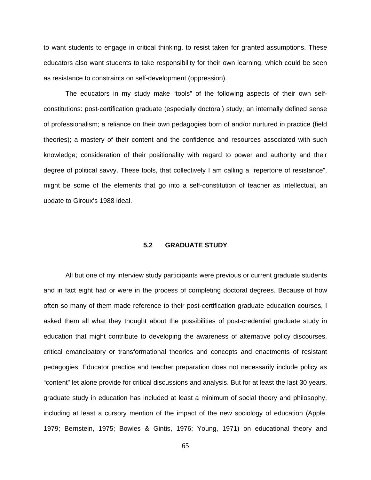to want students to engage in critical thinking, to resist taken for granted assumptions. These educators also want students to take responsibility for their own learning, which could be seen as resistance to constraints on self-development (oppression).

The educators in my study make "tools" of the following aspects of their own selfconstitutions: post-certification graduate (especially doctoral) study; an internally defined sense of professionalism; a reliance on their own pedagogies born of and/or nurtured in practice (field theories); a mastery of their content and the confidence and resources associated with such knowledge; consideration of their positionality with regard to power and authority and their degree of political savvy. These tools, that collectively I am calling a "repertoire of resistance", might be some of the elements that go into a self-constitution of teacher as intellectual, an update to Giroux's 1988 ideal.

# **5.2 GRADUATE STUDY**

All but one of my interview study participants were previous or current graduate students and in fact eight had or were in the process of completing doctoral degrees. Because of how often so many of them made reference to their post-certification graduate education courses, I asked them all what they thought about the possibilities of post-credential graduate study in education that might contribute to developing the awareness of alternative policy discourses, critical emancipatory or transformational theories and concepts and enactments of resistant pedagogies. Educator practice and teacher preparation does not necessarily include policy as "content" let alone provide for critical discussions and analysis. But for at least the last 30 years, graduate study in education has included at least a minimum of social theory and philosophy, including at least a cursory mention of the impact of the new sociology of education (Apple, 1979; Bernstein, 1975; Bowles & Gintis, 1976; Young, 1971) on educational theory and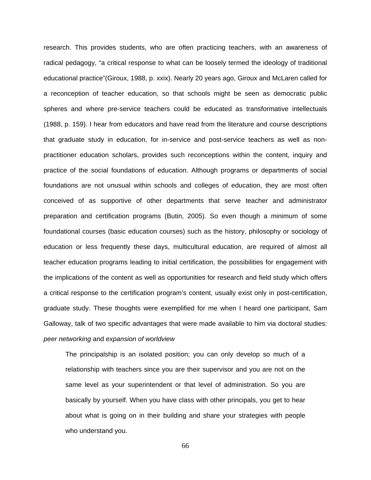research. This provides students, who are often practicing teachers, with an awareness of radical pedagogy, "a critical response to what can be loosely termed the ideology of traditional educational practice"(Giroux, 1988, p. xxix). Nearly 20 years ago, Giroux and McLaren called for a reconception of teacher education, so that schools might be seen as democratic public spheres and where pre-service teachers could be educated as transformative intellectuals (1988, p. 159). I hear from educators and have read from the literature and course descriptions that graduate study in education, for in-service and post-service teachers as well as nonpractitioner education scholars, provides such reconceptions within the content, inquiry and practice of the social foundations of education. Although programs or departments of social foundations are not unusual within schools and colleges of education, they are most often conceived of as supportive of other departments that serve teacher and administrator preparation and certification programs (Butin, 2005). So even though a minimum of some foundational courses (basic education courses) such as the history, philosophy or sociology of education or less frequently these days, multicultural education, are required of almost all teacher education programs leading to initial certification, the possibilities for engagement with the implications of the content as well as opportunities for research and field study which offers a critical response to the certification program's content, usually exist only in post-certification, graduate study. These thoughts were exemplified for me when I heard one participant, Sam Galloway, talk of two specific advantages that were made available to him via doctoral studies: *peer networking* and *expansion of worldview*

The principalship is an isolated position; you can only develop so much of a relationship with teachers since you are their supervisor and you are not on the same level as your superintendent or that level of administration. So you are basically by yourself. When you have class with other principals, you get to hear about what is going on in their building and share your strategies with people who understand you.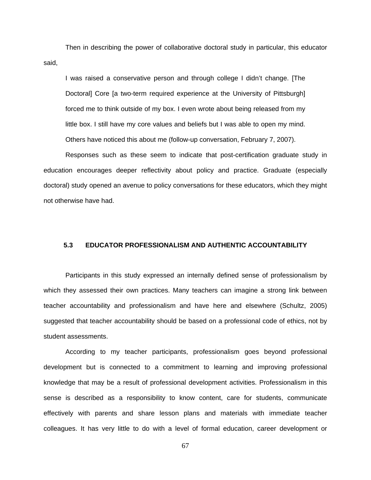Then in describing the power of collaborative doctoral study in particular, this educator said,

I was raised a conservative person and through college I didn't change. [The Doctoral] Core [a two-term required experience at the University of Pittsburgh] forced me to think outside of my box. I even wrote about being released from my little box. I still have my core values and beliefs but I was able to open my mind. Others have noticed this about me (follow-up conversation, February 7, 2007).

Responses such as these seem to indicate that post-certification graduate study in education encourages deeper reflectivity about policy and practice. Graduate (especially doctoral) study opened an avenue to policy conversations for these educators, which they might not otherwise have had.

# **5.3 EDUCATOR PROFESSIONALISM AND AUTHENTIC ACCOUNTABILITY**

Participants in this study expressed an internally defined sense of professionalism by which they assessed their own practices. Many teachers can imagine a strong link between teacher accountability and professionalism and have here and elsewhere (Schultz, 2005) suggested that teacher accountability should be based on a professional code of ethics, not by student assessments.

According to my teacher participants, professionalism goes beyond professional development but is connected to a commitment to learning and improving professional knowledge that may be a result of professional development activities. Professionalism in this sense is described as a responsibility to know content, care for students, communicate effectively with parents and share lesson plans and materials with immediate teacher colleagues. It has very little to do with a level of formal education, career development or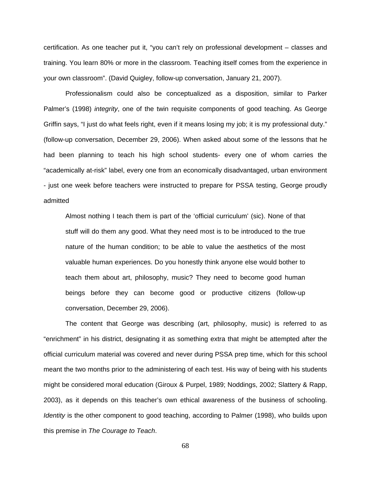certification. As one teacher put it, "you can't rely on professional development – classes and training. You learn 80% or more in the classroom. Teaching itself comes from the experience in your own classroom". (David Quigley, follow-up conversation, January 21, 2007).

Professionalism could also be conceptualized as a disposition, similar to Parker Palmer's (1998) *integrity*, one of the twin requisite components of good teaching. As George Griffin says, "I just do what feels right, even if it means losing my job; it is my professional duty." (follow-up conversation, December 29, 2006). When asked about some of the lessons that he had been planning to teach his high school students- every one of whom carries the "academically at-risk" label, every one from an economically disadvantaged, urban environment - just one week before teachers were instructed to prepare for PSSA testing, George proudly admitted

Almost nothing I teach them is part of the 'official curriculum' (sic). None of that stuff will do them any good. What they need most is to be introduced to the true nature of the human condition; to be able to value the aesthetics of the most valuable human experiences. Do you honestly think anyone else would bother to teach them about art, philosophy, music? They need to become good human beings before they can become good or productive citizens (follow-up conversation, December 29, 2006).

The content that George was describing (art, philosophy, music) is referred to as "enrichment" in his district, designating it as something extra that might be attempted after the official curriculum material was covered and never during PSSA prep time, which for this school meant the two months prior to the administering of each test. His way of being with his students might be considered moral education (Giroux & Purpel, 1989; Noddings, 2002; Slattery & Rapp, 2003), as it depends on this teacher's own ethical awareness of the business of schooling. *Identity* is the other component to good teaching, according to Palmer (1998), who builds upon this premise in *The Courage to Teach*.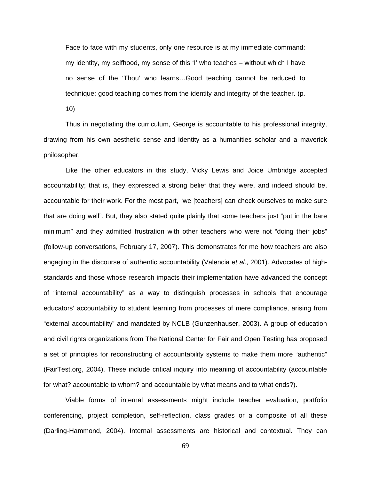Face to face with my students, only one resource is at my immediate command: my identity, my selfhood, my sense of this 'I' who teaches – without which I have no sense of the 'Thou' who learns…Good teaching cannot be reduced to technique; good teaching comes from the identity and integrity of the teacher. (p.

10)

Thus in negotiating the curriculum, George is accountable to his professional integrity, drawing from his own aesthetic sense and identity as a humanities scholar and a maverick philosopher.

Like the other educators in this study, Vicky Lewis and Joice Umbridge accepted accountability; that is, they expressed a strong belief that they were, and indeed should be, accountable for their work. For the most part, "we [teachers] can check ourselves to make sure that are doing well". But, they also stated quite plainly that some teachers just "put in the bare minimum" and they admitted frustration with other teachers who were not "doing their jobs" (follow-up conversations, February 17, 2007). This demonstrates for me how teachers are also engaging in the discourse of authentic accountability (Valencia *et al.*, 2001). Advocates of highstandards and those whose research impacts their implementation have advanced the concept of "internal accountability" as a way to distinguish processes in schools that encourage educators' accountability to student learning from processes of mere compliance, arising from "external accountability" and mandated by NCLB (Gunzenhauser, 2003). A group of education and civil rights organizations from The National Center for Fair and Open Testing has proposed a set of principles for reconstructing of accountability systems to make them more "authentic" (FairTest.org, 2004). These include critical inquiry into meaning of accountability (accountable for what? accountable to whom? and accountable by what means and to what ends?).

Viable forms of internal assessments might include teacher evaluation, portfolio conferencing, project completion, self-reflection, class grades or a composite of all these (Darling-Hammond, 2004). Internal assessments are historical and contextual. They can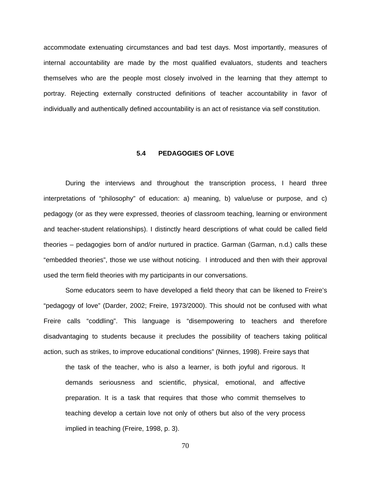accommodate extenuating circumstances and bad test days. Most importantly, measures of internal accountability are made by the most qualified evaluators, students and teachers themselves who are the people most closely involved in the learning that they attempt to portray. Rejecting externally constructed definitions of teacher accountability in favor of individually and authentically defined accountability is an act of resistance via self constitution.

#### **5.4 PEDAGOGIES OF LOVE**

During the interviews and throughout the transcription process, I heard three interpretations of "philosophy" of education: a) meaning, b) value/use or purpose, and c) pedagogy (or as they were expressed, theories of classroom teaching, learning or environment and teacher-student relationships). I distinctly heard descriptions of what could be called field theories – pedagogies born of and/or nurtured in practice. Garman (Garman, n.d.) calls these "embedded theories", those we use without noticing. I introduced and then with their approval used the term field theories with my participants in our conversations.

Some educators seem to have developed a field theory that can be likened to Freire's "pedagogy of love" (Darder, 2002; Freire, 1973/2000). This should not be confused with what Freire calls "coddling". This language is "disempowering to teachers and therefore disadvantaging to students because it precludes the possibility of teachers taking political action, such as strikes, to improve educational conditions" (Ninnes, 1998). Freire says that

the task of the teacher, who is also a learner, is both joyful and rigorous. It demands seriousness and scientific, physical, emotional, and affective preparation. It is a task that requires that those who commit themselves to teaching develop a certain love not only of others but also of the very process implied in teaching (Freire, 1998, p. 3).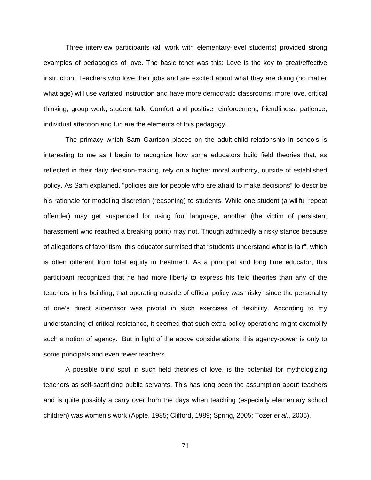Three interview participants (all work with elementary-level students) provided strong examples of pedagogies of love. The basic tenet was this: Love is the key to great/effective instruction. Teachers who love their jobs and are excited about what they are doing (no matter what age) will use variated instruction and have more democratic classrooms: more love, critical thinking, group work, student talk. Comfort and positive reinforcement, friendliness, patience, individual attention and fun are the elements of this pedagogy.

The primacy which Sam Garrison places on the adult-child relationship in schools is interesting to me as I begin to recognize how some educators build field theories that, as reflected in their daily decision-making, rely on a higher moral authority, outside of established policy. As Sam explained, "policies are for people who are afraid to make decisions" to describe his rationale for modeling discretion (reasoning) to students. While one student (a willful repeat offender) may get suspended for using foul language, another (the victim of persistent harassment who reached a breaking point) may not. Though admittedly a risky stance because of allegations of favoritism, this educator surmised that "students understand what is fair", which is often different from total equity in treatment. As a principal and long time educator, this participant recognized that he had more liberty to express his field theories than any of the teachers in his building; that operating outside of official policy was "risky" since the personality of one's direct supervisor was pivotal in such exercises of flexibility. According to my understanding of critical resistance, it seemed that such extra-policy operations might exemplify such a notion of agency. But in light of the above considerations, this agency-power is only to some principals and even fewer teachers.

A possible blind spot in such field theories of love, is the potential for mythologizing teachers as self-sacrificing public servants. This has long been the assumption about teachers and is quite possibly a carry over from the days when teaching (especially elementary school children) was women's work (Apple, 1985; Clifford, 1989; Spring, 2005; Tozer *et al.*, 2006).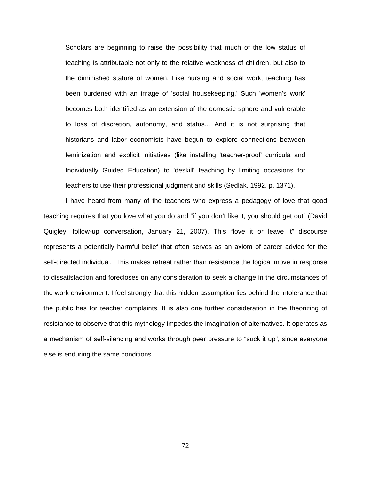Scholars are beginning to raise the possibility that much of the low status of teaching is attributable not only to the relative weakness of children, but also to the diminished stature of women. Like nursing and social work, teaching has been burdened with an image of 'social housekeeping.' Such 'women's work' becomes both identified as an extension of the domestic sphere and vulnerable to loss of discretion, autonomy, and status... And it is not surprising that historians and labor economists have begun to explore connections between feminization and explicit initiatives (like installing 'teacher-proof' curricula and Individually Guided Education) to 'deskill' teaching by limiting occasions for teachers to use their professional judgment and skills (Sedlak, 1992, p. 1371).

I have heard from many of the teachers who express a pedagogy of love that good teaching requires that you love what you do and "if you don't like it, you should get out" (David Quigley, follow-up conversation, January 21, 2007). This "love it or leave it" discourse represents a potentially harmful belief that often serves as an axiom of career advice for the self-directed individual. This makes retreat rather than resistance the logical move in response to dissatisfaction and forecloses on any consideration to seek a change in the circumstances of the work environment. I feel strongly that this hidden assumption lies behind the intolerance that the public has for teacher complaints. It is also one further consideration in the theorizing of resistance to observe that this mythology impedes the imagination of alternatives. It operates as a mechanism of self-silencing and works through peer pressure to "suck it up", since everyone else is enduring the same conditions.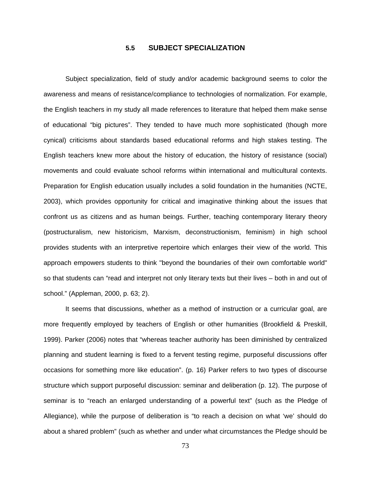#### **5.5** 31B**SUBJECT SPECIALIZATION**

Subject specialization, field of study and/or academic background seems to color the awareness and means of resistance/compliance to technologies of normalization. For example, the English teachers in my study all made references to literature that helped them make sense of educational "big pictures". They tended to have much more sophisticated (though more cynical) criticisms about standards based educational reforms and high stakes testing. The English teachers knew more about the history of education, the history of resistance (social) movements and could evaluate school reforms within international and multicultural contexts. Preparation for English education usually includes a solid foundation in the humanities (NCTE, 2003), which provides opportunity for critical and imaginative thinking about the issues that confront us as citizens and as human beings. Further, teaching contemporary literary theory (postructuralism, new historicism, Marxism, deconstructionism, feminism) in high school provides students with an interpretive repertoire which enlarges their view of the world. This approach empowers students to think "beyond the boundaries of their own comfortable world" so that students can "read and interpret not only literary texts but their lives – both in and out of school." (Appleman, 2000, p. 63; 2).

It seems that discussions, whether as a method of instruction or a curricular goal, are more frequently employed by teachers of English or other humanities (Brookfield & Preskill, 1999). Parker (2006) notes that "whereas teacher authority has been diminished by centralized planning and student learning is fixed to a fervent testing regime, purposeful discussions offer occasions for something more like education". (p. 16) Parker refers to two types of discourse structure which support purposeful discussion: seminar and deliberation (p. 12). The purpose of seminar is to "reach an enlarged understanding of a powerful text" (such as the Pledge of Allegiance), while the purpose of deliberation is "to reach a decision on what 'we' should do about a shared problem" (such as whether and under what circumstances the Pledge should be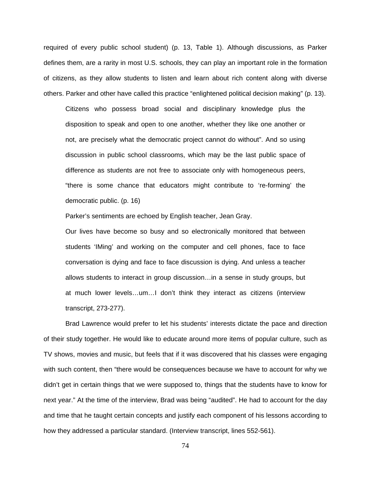required of every public school student) (p. 13, Table 1). Although discussions, as Parker defines them, are a rarity in most U.S. schools, they can play an important role in the formation of citizens, as they allow students to listen and learn about rich content along with diverse others. Parker and other have called this practice "enlightened political decision making" (p. 13).

Citizens who possess broad social and disciplinary knowledge plus the disposition to speak and open to one another, whether they like one another or not, are precisely what the democratic project cannot do without". And so using discussion in public school classrooms, which may be the last public space of difference as students are not free to associate only with homogeneous peers, "there is some chance that educators might contribute to 're-forming' the democratic public. (p. 16)

Parker's sentiments are echoed by English teacher, Jean Gray.

Our lives have become so busy and so electronically monitored that between students 'IMing' and working on the computer and cell phones, face to face conversation is dying and face to face discussion is dying. And unless a teacher allows students to interact in group discussion…in a sense in study groups, but at much lower levels…um…I don't think they interact as citizens (interview transcript, 273-277).

Brad Lawrence would prefer to let his students' interests dictate the pace and direction of their study together. He would like to educate around more items of popular culture, such as TV shows, movies and music, but feels that if it was discovered that his classes were engaging with such content, then "there would be consequences because we have to account for why we didn't get in certain things that we were supposed to, things that the students have to know for next year." At the time of the interview, Brad was being "audited". He had to account for the day and time that he taught certain concepts and justify each component of his lessons according to how they addressed a particular standard. (Interview transcript, lines 552-561).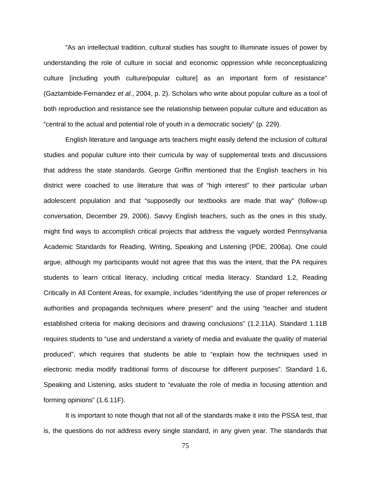"As an intellectual tradition, cultural studies has sought to illuminate issues of power by understanding the role of culture in social and economic oppression while reconceptualizing culture [including youth culture/popular culture] as an important form of resistance" (Gaztambide-Fernandez *et al.*, 2004, p. 2). Scholars who write about popular culture as a tool of both reproduction and resistance see the relationship between popular culture and education as "central to the actual and potential role of youth in a democratic society" (p. 229).

English literature and language arts teachers might easily defend the inclusion of cultural studies and popular culture into their curricula by way of supplemental texts and discussions that address the state standards. George Griffin mentioned that the English teachers in his district were coached to use literature that was of "high interest" to their particular urban adolescent population and that "supposedly our textbooks are made that way" (follow-up conversation, December 29, 2006). Savvy English teachers, such as the ones in this study, might find ways to accomplish critical projects that address the vaguely worded Pennsylvania Academic Standards for Reading, Writing, Speaking and Listening (PDE, 2006a). One could argue, although my participants would not agree that this was the intent, that the PA requires students to learn critical literacy, including critical media literacy. Standard 1.2, Reading Critically in All Content Areas, for example, includes "identifying the use of proper references or authorities and propaganda techniques where present" and the using "teacher and student established criteria for making decisions and drawing conclusions" (1.2.11A). Standard 1.11B requires students to "use and understand a variety of media and evaluate the quality of material produced", which requires that students be able to "explain how the techniques used in electronic media modify traditional forms of discourse for different purposes". Standard 1.6, Speaking and Listening, asks student to "evaluate the role of media in focusing attention and forming opinions" (1.6.11F).

It is important to note though that not all of the standards make it into the PSSA test, that is, the questions do not address every single standard, in any given year. The standards that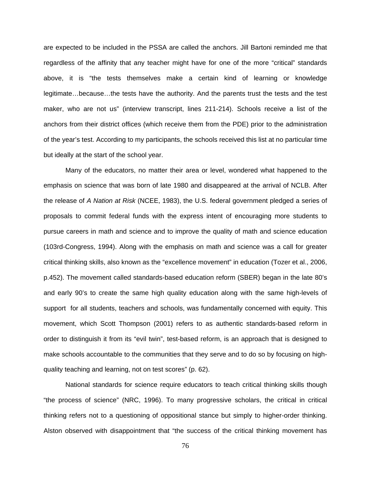are expected to be included in the PSSA are called the anchors. Jill Bartoni reminded me that regardless of the affinity that any teacher might have for one of the more "critical" standards above, it is "the tests themselves make a certain kind of learning or knowledge legitimate…because…the tests have the authority. And the parents trust the tests and the test maker, who are not us" (interview transcript, lines 211-214). Schools receive a list of the anchors from their district offices (which receive them from the PDE) prior to the administration of the year's test. According to my participants, the schools received this list at no particular time but ideally at the start of the school year.

Many of the educators, no matter their area or level, wondered what happened to the emphasis on science that was born of late 1980 and disappeared at the arrival of NCLB. After the release of *A Nation at Risk* (NCEE, 1983), the U.S. federal government pledged a series of proposals to commit federal funds with the express intent of encouraging more students to pursue careers in math and science and to improve the quality of math and science education (103rd-Congress, 1994). Along with the emphasis on math and science was a call for greater critical thinking skills, also known as the "excellence movement" in education (Tozer et al., 2006, p.452). The movement called standards-based education reform (SBER) began in the late 80's and early 90's to create the same high quality education along with the same high-levels of support for all students, teachers and schools, was fundamentally concerned with equity. This movement, which Scott Thompson (2001) refers to as authentic standards-based reform in order to distinguish it from its "evil twin", test-based reform, is an approach that is designed to make schools accountable to the communities that they serve and to do so by focusing on highquality teaching and learning, not on test scores" (p. 62).

National standards for science require educators to teach critical thinking skills though "the process of science" (NRC, 1996). To many progressive scholars, the critical in critical thinking refers not to a questioning of oppositional stance but simply to higher-order thinking. Alston observed with disappointment that "the success of the critical thinking movement has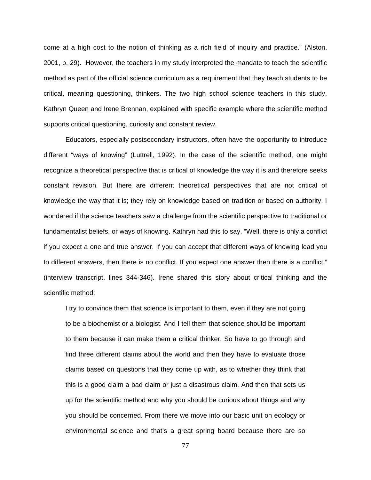come at a high cost to the notion of thinking as a rich field of inquiry and practice." (Alston, 2001, p. 29). However, the teachers in my study interpreted the mandate to teach the scientific method as part of the official science curriculum as a requirement that they teach students to be critical, meaning questioning, thinkers. The two high school science teachers in this study, Kathryn Queen and Irene Brennan, explained with specific example where the scientific method supports critical questioning, curiosity and constant review.

Educators, especially postsecondary instructors, often have the opportunity to introduce different "ways of knowing" (Luttrell, 1992). In the case of the scientific method, one might recognize a theoretical perspective that is critical of knowledge the way it is and therefore seeks constant revision. But there are different theoretical perspectives that are not critical of knowledge the way that it is; they rely on knowledge based on tradition or based on authority. I wondered if the science teachers saw a challenge from the scientific perspective to traditional or fundamentalist beliefs, or ways of knowing. Kathryn had this to say, "Well, there is only a conflict if you expect a one and true answer. If you can accept that different ways of knowing lead you to different answers, then there is no conflict. If you expect one answer then there is a conflict." (interview transcript, lines 344-346). Irene shared this story about critical thinking and the scientific method:

I try to convince them that science is important to them, even if they are not going to be a biochemist or a biologist. And I tell them that science should be important to them because it can make them a critical thinker. So have to go through and find three different claims about the world and then they have to evaluate those claims based on questions that they come up with, as to whether they think that this is a good claim a bad claim or just a disastrous claim. And then that sets us up for the scientific method and why you should be curious about things and why you should be concerned. From there we move into our basic unit on ecology or environmental science and that's a great spring board because there are so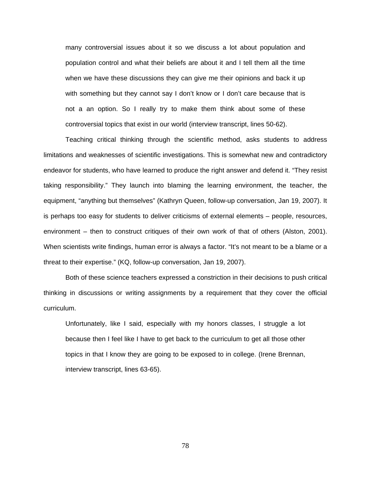many controversial issues about it so we discuss a lot about population and population control and what their beliefs are about it and I tell them all the time when we have these discussions they can give me their opinions and back it up with something but they cannot say I don't know or I don't care because that is not a an option. So I really try to make them think about some of these controversial topics that exist in our world (interview transcript, lines 50-62).

Teaching critical thinking through the scientific method, asks students to address limitations and weaknesses of scientific investigations. This is somewhat new and contradictory endeavor for students, who have learned to produce the right answer and defend it. "They resist taking responsibility." They launch into blaming the learning environment, the teacher, the equipment, "anything but themselves" (Kathryn Queen, follow-up conversation, Jan 19, 2007). It is perhaps too easy for students to deliver criticisms of external elements – people, resources, environment – then to construct critiques of their own work of that of others (Alston, 2001). When scientists write findings, human error is always a factor. "It's not meant to be a blame or a threat to their expertise." (KQ, follow-up conversation, Jan 19, 2007).

Both of these science teachers expressed a constriction in their decisions to push critical thinking in discussions or writing assignments by a requirement that they cover the official curriculum.

Unfortunately, like I said, especially with my honors classes, I struggle a lot because then I feel like I have to get back to the curriculum to get all those other topics in that I know they are going to be exposed to in college. (Irene Brennan, interview transcript, lines 63-65).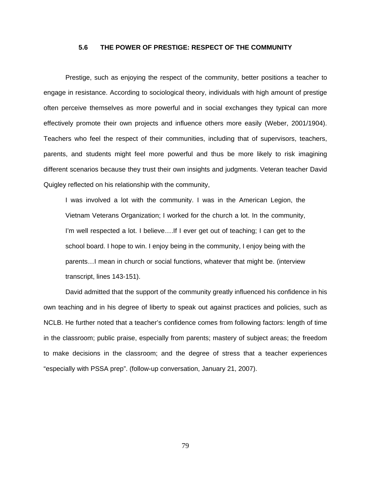#### **5.6 THE POWER OF PRESTIGE: RESPECT OF THE COMMUNITY**

Prestige, such as enjoying the respect of the community, better positions a teacher to engage in resistance. According to sociological theory, individuals with high amount of prestige often perceive themselves as more powerful and in social exchanges they typical can more effectively promote their own projects and influence others more easily (Weber, 2001/1904). Teachers who feel the respect of their communities, including that of supervisors, teachers, parents, and students might feel more powerful and thus be more likely to risk imagining different scenarios because they trust their own insights and judgments. Veteran teacher David Quigley reflected on his relationship with the community,

I was involved a lot with the community. I was in the American Legion, the Vietnam Veterans Organization; I worked for the church a lot. In the community, I'm well respected a lot. I believe….If I ever get out of teaching; I can get to the school board. I hope to win. I enjoy being in the community, I enjoy being with the parents…I mean in church or social functions, whatever that might be. (interview transcript, lines 143-151).

David admitted that the support of the community greatly influenced his confidence in his own teaching and in his degree of liberty to speak out against practices and policies, such as NCLB. He further noted that a teacher's confidence comes from following factors: length of time in the classroom; public praise, especially from parents; mastery of subject areas; the freedom to make decisions in the classroom; and the degree of stress that a teacher experiences "especially with PSSA prep". (follow-up conversation, January 21, 2007).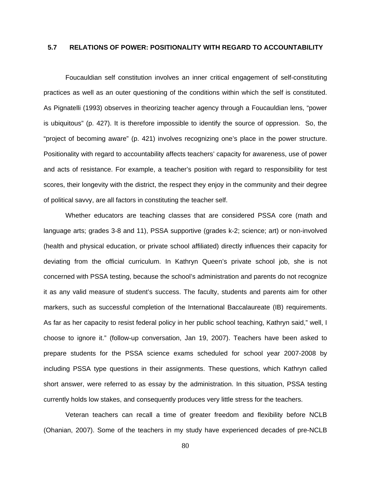# **5.7 RELATIONS OF POWER: POSITIONALITY WITH REGARD TO ACCOUNTABILITY**

Foucauldian self constitution involves an inner critical engagement of self-constituting practices as well as an outer questioning of the conditions within which the self is constituted. As Pignatelli (1993) observes in theorizing teacher agency through a Foucauldian lens, "power is ubiquitous" (p. 427). It is therefore impossible to identify the source of oppression. So, the "project of becoming aware" (p. 421) involves recognizing one's place in the power structure. Positionality with regard to accountability affects teachers' capacity for awareness, use of power and acts of resistance. For example, a teacher's position with regard to responsibility for test scores, their longevity with the district, the respect they enjoy in the community and their degree of political savvy, are all factors in constituting the teacher self.

Whether educators are teaching classes that are considered PSSA core (math and language arts; grades 3-8 and 11), PSSA supportive (grades k-2; science; art) or non-involved (health and physical education, or private school affiliated) directly influences their capacity for deviating from the official curriculum. In Kathryn Queen's private school job, she is not concerned with PSSA testing, because the school's administration and parents do not recognize it as any valid measure of student's success. The faculty, students and parents aim for other markers, such as successful completion of the International Baccalaureate (IB) requirements. As far as her capacity to resist federal policy in her public school teaching, Kathryn said," well, I choose to ignore it." (follow-up conversation, Jan 19, 2007). Teachers have been asked to prepare students for the PSSA science exams scheduled for school year 2007-2008 by including PSSA type questions in their assignments. These questions, which Kathryn called short answer, were referred to as essay by the administration. In this situation, PSSA testing currently holds low stakes, and consequently produces very little stress for the teachers.

Veteran teachers can recall a time of greater freedom and flexibility before NCLB (Ohanian, 2007). Some of the teachers in my study have experienced decades of pre-NCLB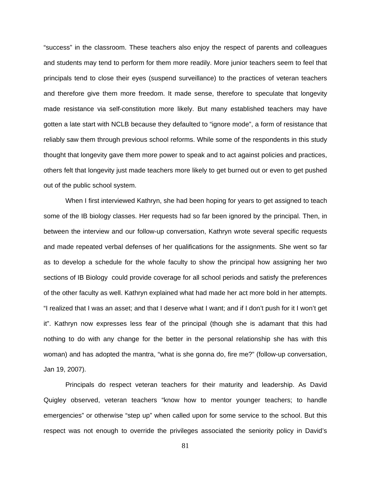"success" in the classroom. These teachers also enjoy the respect of parents and colleagues and students may tend to perform for them more readily. More junior teachers seem to feel that principals tend to close their eyes (suspend surveillance) to the practices of veteran teachers and therefore give them more freedom. It made sense, therefore to speculate that longevity made resistance via self-constitution more likely. But many established teachers may have gotten a late start with NCLB because they defaulted to "ignore mode", a form of resistance that reliably saw them through previous school reforms. While some of the respondents in this study thought that longevity gave them more power to speak and to act against policies and practices, others felt that longevity just made teachers more likely to get burned out or even to get pushed out of the public school system.

When I first interviewed Kathryn, she had been hoping for years to get assigned to teach some of the IB biology classes. Her requests had so far been ignored by the principal. Then, in between the interview and our follow-up conversation, Kathryn wrote several specific requests and made repeated verbal defenses of her qualifications for the assignments. She went so far as to develop a schedule for the whole faculty to show the principal how assigning her two sections of IB Biology could provide coverage for all school periods and satisfy the preferences of the other faculty as well. Kathryn explained what had made her act more bold in her attempts. "I realized that I was an asset; and that I deserve what I want; and if I don't push for it I won't get it". Kathryn now expresses less fear of the principal (though she is adamant that this had nothing to do with any change for the better in the personal relationship she has with this woman) and has adopted the mantra, "what is she gonna do, fire me?" (follow-up conversation, Jan 19, 2007).

Principals do respect veteran teachers for their maturity and leadership. As David Quigley observed, veteran teachers "know how to mentor younger teachers; to handle emergencies" or otherwise "step up" when called upon for some service to the school. But this respect was not enough to override the privileges associated the seniority policy in David's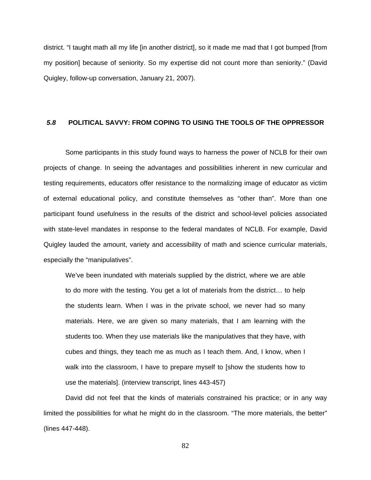district. "I taught math all my life [in another district], so it made me mad that I got bumped [from my position] because of seniority. So my expertise did not count more than seniority." (David Quigley, follow-up conversation, January 21, 2007).

#### *5.8* **POLITICAL SAVVY: FROM COPING TO USING THE TOOLS OF THE OPPRESSOR**

Some participants in this study found ways to harness the power of NCLB for their own projects of change. In seeing the advantages and possibilities inherent in new curricular and testing requirements, educators offer resistance to the normalizing image of educator as victim of external educational policy, and constitute themselves as "other than". More than one participant found usefulness in the results of the district and school-level policies associated with state-level mandates in response to the federal mandates of NCLB. For example, David Quigley lauded the amount, variety and accessibility of math and science curricular materials, especially the "manipulatives".

We've been inundated with materials supplied by the district, where we are able to do more with the testing. You get a lot of materials from the district… to help the students learn. When I was in the private school, we never had so many materials. Here, we are given so many materials, that I am learning with the students too. When they use materials like the manipulatives that they have, with cubes and things, they teach me as much as I teach them. And, I know, when I walk into the classroom, I have to prepare myself to [show the students how to use the materials]. (interview transcript, lines 443-457)

David did not feel that the kinds of materials constrained his practice; or in any way limited the possibilities for what he might do in the classroom. "The more materials, the better" (lines 447-448).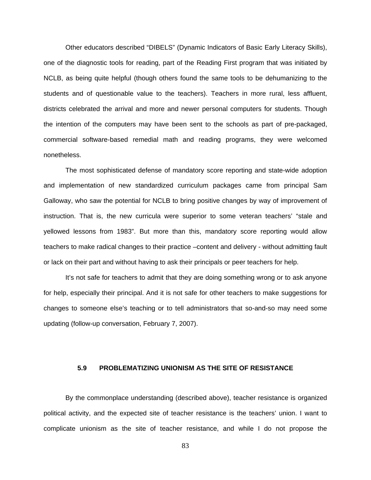Other educators described "DIBELS" (Dynamic Indicators of Basic Early Literacy Skills), one of the diagnostic tools for reading, part of the Reading First program that was initiated by NCLB, as being quite helpful (though others found the same tools to be dehumanizing to the students and of questionable value to the teachers). Teachers in more rural, less affluent, districts celebrated the arrival and more and newer personal computers for students. Though the intention of the computers may have been sent to the schools as part of pre-packaged, commercial software-based remedial math and reading programs, they were welcomed nonetheless.

The most sophisticated defense of mandatory score reporting and state-wide adoption and implementation of new standardized curriculum packages came from principal Sam Galloway, who saw the potential for NCLB to bring positive changes by way of improvement of instruction. That is, the new curricula were superior to some veteran teachers' "stale and yellowed lessons from 1983". But more than this, mandatory score reporting would allow teachers to make radical changes to their practice –content and delivery - without admitting fault or lack on their part and without having to ask their principals or peer teachers for help.

It's not safe for teachers to admit that they are doing something wrong or to ask anyone for help, especially their principal. And it is not safe for other teachers to make suggestions for changes to someone else's teaching or to tell administrators that so-and-so may need some updating (follow-up conversation, February 7, 2007).

#### **5.9 PROBLEMATIZING UNIONISM AS THE SITE OF RESISTANCE**

By the commonplace understanding (described above), teacher resistance is organized political activity, and the expected site of teacher resistance is the teachers' union. I want to complicate unionism as the site of teacher resistance, and while I do not propose the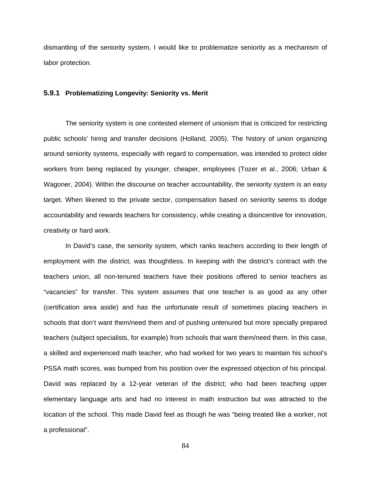dismantling of the seniority system, I would like to problematize seniority as a mechanism of labor protection.

# **5.9.1 Problematizing Longevity: Seniority vs. Merit**

The seniority system is one contested element of unionism that is criticized for restricting public schools' hiring and transfer decisions (Holland, 2005). The history of union organizing around seniority systems, especially with regard to compensation, was intended to protect older workers from being replaced by younger, cheaper, employees (Tozer et al., 2006; Urban & Wagoner, 2004). Within the discourse on teacher accountability, the seniority system is an easy target. When likened to the private sector, compensation based on seniority seems to dodge accountability and rewards teachers for consistency, while creating a disincentive for innovation, creativity or hard work.

In David's case, the seniority system, which ranks teachers according to their length of employment with the district, was thoughtless. In keeping with the district's contract with the teachers union, all non-tenured teachers have their positions offered to senior teachers as "vacancies" for transfer. This system assumes that one teacher is as good as any other (certification area aside) and has the unfortunate result of sometimes placing teachers in schools that don't want them/need them and of pushing untenured but more specially prepared teachers (subject specialists, for example) from schools that want them/need them. In this case, a skilled and experienced math teacher, who had worked for two years to maintain his school's PSSA math scores, was bumped from his position over the expressed objection of his principal. David was replaced by a 12-year veteran of the district; who had been teaching upper elementary language arts and had no interest in math instruction but was attracted to the location of the school. This made David feel as though he was "being treated like a worker, not a professional".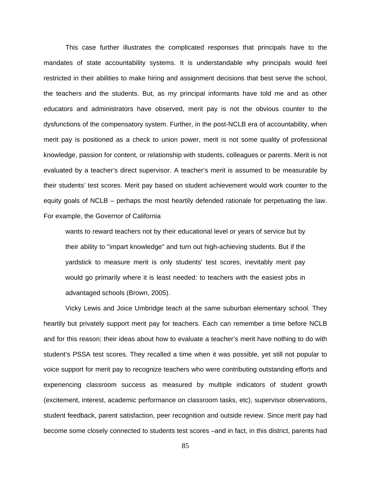This case further illustrates the complicated responses that principals have to the mandates of state accountability systems. It is understandable why principals would feel restricted in their abilities to make hiring and assignment decisions that best serve the school, the teachers and the students. But, as my principal informants have told me and as other educators and administrators have observed, merit pay is not the obvious counter to the dysfunctions of the compensatory system. Further, in the post-NCLB era of accountability, when merit pay is positioned as a check to union power, merit is not some quality of professional knowledge, passion for content, or relationship with students, colleagues or parents. Merit is not evaluated by a teacher's direct supervisor. A teacher's merit is assumed to be measurable by their students' test scores. Merit pay based on student achievement would work counter to the equity goals of NCLB – perhaps the most heartily defended rationale for perpetuating the law. For example, the Governor of California

wants to reward teachers not by their educational level or years of service but by their ability to "impart knowledge" and turn out high-achieving students. But if the yardstick to measure merit is only students' test scores, inevitably merit pay would go primarily where it is least needed: to teachers with the easiest jobs in advantaged schools (Brown, 2005).

Vicky Lewis and Joice Umbridge teach at the same suburban elementary school. They heartily but privately support merit pay for teachers. Each can remember a time before NCLB and for this reason; their ideas about how to evaluate a teacher's merit have nothing to do with student's PSSA test scores. They recalled a time when it was possible, yet still not popular to voice support for merit pay to recognize teachers who were contributing outstanding efforts and experiencing classroom success as measured by multiple indicators of student growth (excitement, interest, academic performance on classroom tasks, etc), supervisor observations, student feedback, parent satisfaction, peer recognition and outside review. Since merit pay had become some closely connected to students test scores –and in fact, in this district, parents had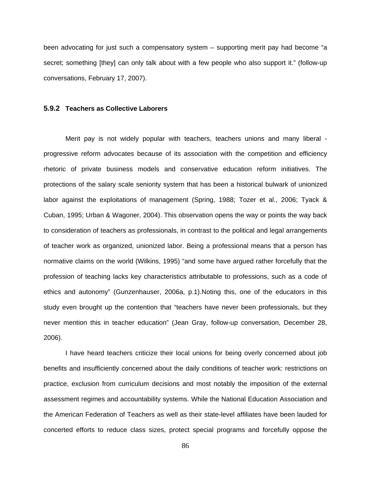been advocating for just such a compensatory system – supporting merit pay had become "a secret; something [they] can only talk about with a few people who also support it." (follow-up conversations, February 17, 2007).

#### **5.9.2 Teachers as Collective Laborers**

Merit pay is not widely popular with teachers, teachers unions and many liberal progressive reform advocates because of its association with the competition and efficiency rhetoric of private business models and conservative education reform initiatives. The protections of the salary scale seniority system that has been a historical bulwark of unionized labor against the exploitations of management (Spring, 1988; Tozer et al., 2006; Tyack & Cuban, 1995; Urban & Wagoner, 2004). This observation opens the way or points the way back to consideration of teachers as professionals, in contrast to the political and legal arrangements of teacher work as organized, unionized labor. Being a professional means that a person has normative claims on the world (Wilkins, 1995) "and some have argued rather forcefully that the profession of teaching lacks key characteristics attributable to professions, such as a code of ethics and autonomy" (Gunzenhauser, 2006a, p.1).Noting this, one of the educators in this study even brought up the contention that "teachers have never been professionals, but they never mention this in teacher education" (Jean Gray, follow-up conversation, December 28, 2006).

I have heard teachers criticize their local unions for being overly concerned about job benefits and insufficiently concerned about the daily conditions of teacher work: restrictions on practice, exclusion from curriculum decisions and most notably the imposition of the external assessment regimes and accountability systems. While the National Education Association and the American Federation of Teachers as well as their state-level affiliates have been lauded for concerted efforts to reduce class sizes, protect special programs and forcefully oppose the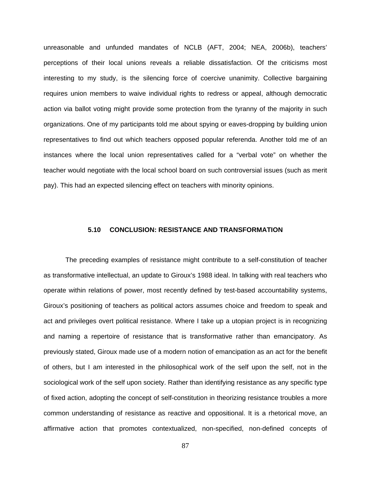unreasonable and unfunded mandates of NCLB (AFT, 2004; NEA, 2006b), teachers' perceptions of their local unions reveals a reliable dissatisfaction. Of the criticisms most interesting to my study, is the silencing force of coercive unanimity. Collective bargaining requires union members to waive individual rights to redress or appeal, although democratic action via ballot voting might provide some protection from the tyranny of the majority in such organizations. One of my participants told me about spying or eaves-dropping by building union representatives to find out which teachers opposed popular referenda. Another told me of an instances where the local union representatives called for a "verbal vote" on whether the teacher would negotiate with the local school board on such controversial issues (such as merit pay). This had an expected silencing effect on teachers with minority opinions.

# **5.10 CONCLUSION: RESISTANCE AND TRANSFORMATION**

The preceding examples of resistance might contribute to a self-constitution of teacher as transformative intellectual, an update to Giroux's 1988 ideal. In talking with real teachers who operate within relations of power, most recently defined by test-based accountability systems, Giroux's positioning of teachers as political actors assumes choice and freedom to speak and act and privileges overt political resistance. Where I take up a utopian project is in recognizing and naming a repertoire of resistance that is transformative rather than emancipatory. As previously stated, Giroux made use of a modern notion of emancipation as an act for the benefit of others, but I am interested in the philosophical work of the self upon the self, not in the sociological work of the self upon society. Rather than identifying resistance as any specific type of fixed action, adopting the concept of self-constitution in theorizing resistance troubles a more common understanding of resistance as reactive and oppositional. It is a rhetorical move, an affirmative action that promotes contextualized, non-specified, non-defined concepts of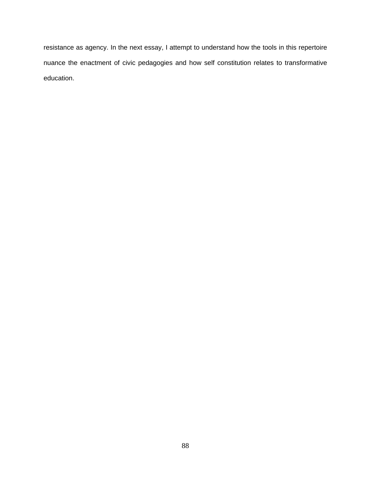resistance as agency. In the next essay, I attempt to understand how the tools in this repertoire nuance the enactment of civic pedagogies and how self constitution relates to transformative education.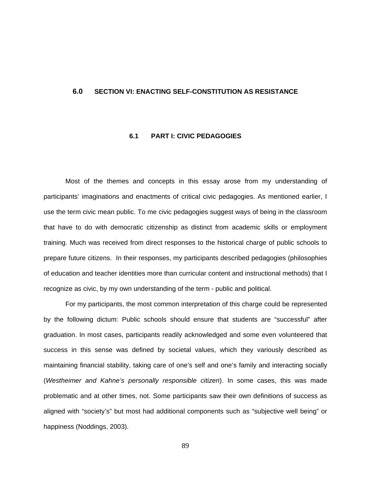#### **6.0 SECTION VI: ENACTING SELF-CONSTITUTION AS RESISTANCE**

# **6.1 PART I: CIVIC PEDAGOGIES**

Most of the themes and concepts in this essay arose from my understanding of participants' imaginations and enactments of critical civic pedagogies. As mentioned earlier, I use the term civic mean public. To me civic pedagogies suggest ways of being in the classroom that have to do with democratic citizenship as distinct from academic skills or employment training. Much was received from direct responses to the historical charge of public schools to prepare future citizens. In their responses, my participants described pedagogies (philosophies of education and teacher identities more than curricular content and instructional methods) that I recognize as civic, by my own understanding of the term - public and political.

For my participants, the most common interpretation of this charge could be represented by the following dictum: Public schools should ensure that students are "successful" after graduation. In most cases, participants readily acknowledged and some even volunteered that success in this sense was defined by societal values, which they variously described as maintaining financial stability, taking care of one's self and one's family and interacting socially (*Westheimer and Kahne's personally responsible citizen*). In some cases, this was made problematic and at other times, not. Some participants saw their own definitions of success as aligned with "society's" but most had additional components such as "subjective well being" or happiness (Noddings, 2003).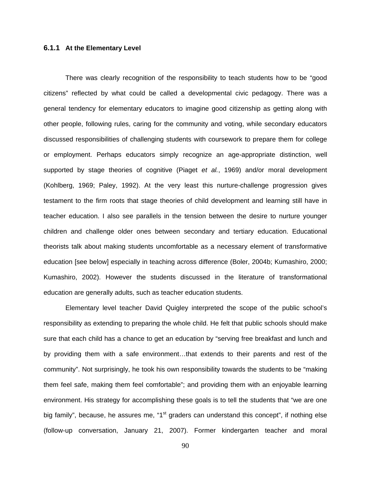# **6.1.1 At the Elementary Level**

There was clearly recognition of the responsibility to teach students how to be "good citizens" reflected by what could be called a developmental civic pedagogy. There was a general tendency for elementary educators to imagine good citizenship as getting along with other people, following rules, caring for the community and voting, while secondary educators discussed responsibilities of challenging students with coursework to prepare them for college or employment. Perhaps educators simply recognize an age-appropriate distinction, well supported by stage theories of cognitive (Piaget *et al.*, 1969) and/or moral development (Kohlberg, 1969; Paley, 1992). At the very least this nurture-challenge progression gives testament to the firm roots that stage theories of child development and learning still have in teacher education. I also see parallels in the tension between the desire to nurture younger children and challenge older ones between secondary and tertiary education. Educational theorists talk about making students uncomfortable as a necessary element of transformative education [see below] especially in teaching across difference (Boler, 2004b; Kumashiro, 2000; Kumashiro, 2002). However the students discussed in the literature of transformational education are generally adults, such as teacher education students.

Elementary level teacher David Quigley interpreted the scope of the public school's responsibility as extending to preparing the whole child. He felt that public schools should make sure that each child has a chance to get an education by "serving free breakfast and lunch and by providing them with a safe environment…that extends to their parents and rest of the community". Not surprisingly, he took his own responsibility towards the students to be "making them feel safe, making them feel comfortable"; and providing them with an enjoyable learning environment. His strategy for accomplishing these goals is to tell the students that "we are one big family", because, he assures me, "1<sup>st</sup> graders can understand this concept", if nothing else (follow-up conversation, January 21, 2007). Former kindergarten teacher and moral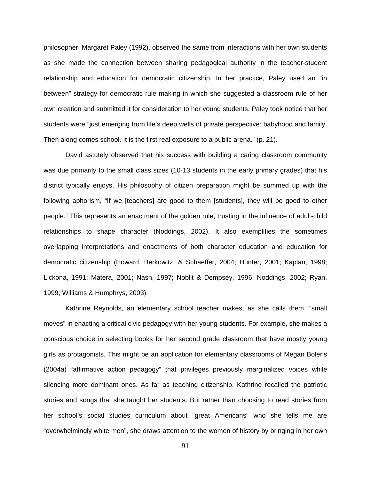philosopher, Margaret Paley (1992), observed the same from interactions with her own students as she made the connection between sharing pedagogical authority in the teacher-student relationship and education for democratic citizenship. In her practice, Paley used an "in between" strategy for democratic rule making in which she suggested a classroom rule of her own creation and submitted it for consideration to her young students. Paley took notice that her students were "just emerging from life's deep wells of private perspective: babyhood and family. Then along comes school. It is the first real exposure to a public arena." (p. 21).

David astutely observed that his success with building a caring classroom community was due primarily to the small class sizes (10-13 students in the early primary grades) that his district typically enjoys. His philosophy of citizen preparation might be summed up with the following aphorism, "If we [teachers] are good to them [students], they will be good to other people." This represents an enactment of the golden rule, trusting in the influence of adult-child relationships to shape character (Noddings, 2002). It also exemplifies the sometimes overlapping interpretations and enactments of both character education and education for democratic citizenship (Howard, Berkowitz, & Schaeffer, 2004; Hunter, 2001; Kaplan, 1998; Lickona, 1991; Matera, 2001; Nash, 1997; Noblit & Dempsey, 1996; Noddings, 2002; Ryan, 1999; Williams & Humphrys, 2003).

Kathrine Reynolds, an elementary school teacher makes, as she calls them, "small moves" in enacting a critical civic pedagogy with her young students. For example, she makes a conscious choice in selecting books for her second grade classroom that have mostly young girls as protagonists. This might be an application for elementary classrooms of Megan Boler's (2004a) "affirmative action pedagogy" that privileges previously marginalized voices while silencing more dominant ones. As far as teaching citizenship, Kathrine recalled the patriotic stories and songs that she taught her students. But rather than choosing to read stories from her school's social studies curriculum about "great Americans" who she tells me are "overwhelmingly white men", she draws attention to the women of history by bringing in her own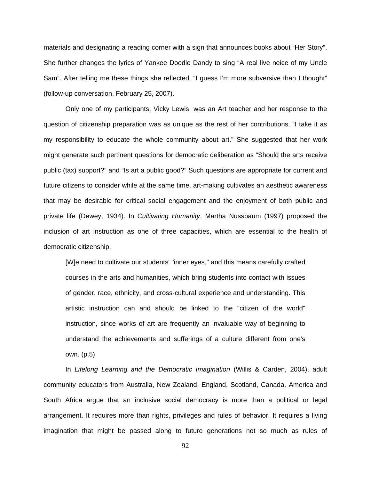materials and designating a reading corner with a sign that announces books about "Her Story". She further changes the lyrics of Yankee Doodle Dandy to sing "A real live neice of my Uncle Sam". After telling me these things she reflected, "I guess I'm more subversive than I thought" (follow-up conversation, February 25, 2007).

Only one of my participants, Vicky Lewis, was an Art teacher and her response to the question of citizenship preparation was as unique as the rest of her contributions. "I take it as my responsibility to educate the whole community about art." She suggested that her work might generate such pertinent questions for democratic deliberation as "Should the arts receive public (tax) support?" and "Is art a public good?" Such questions are appropriate for current and future citizens to consider while at the same time, art-making cultivates an aesthetic awareness that may be desirable for critical social engagement and the enjoyment of both public and private life (Dewey, 1934). In *Cultivating Humanity*, Martha Nussbaum (1997) proposed the inclusion of art instruction as one of three capacities, which are essential to the health of democratic citizenship.

[W]e need to cultivate our students' "inner eyes," and this means carefully crafted courses in the arts and humanities, which bring students into contact with issues of gender, race, ethnicity, and cross-cultural experience and understanding. This artistic instruction can and should be linked to the "citizen of the world" instruction, since works of art are frequently an invaluable way of beginning to understand the achievements and sufferings of a culture different from one's own. (p.5)

In *Lifelong Learning and the Democratic Imagination* (Willis & Carden, 2004), adult community educators from Australia, New Zealand, England, Scotland, Canada, America and South Africa argue that an inclusive social democracy is more than a political or legal arrangement. It requires more than rights, privileges and rules of behavior. It requires a living imagination that might be passed along to future generations not so much as rules of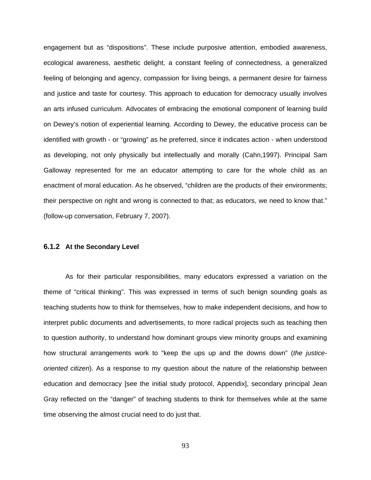engagement but as "dispositions". These include purposive attention, embodied awareness, ecological awareness, aesthetic delight, a constant feeling of connectedness, a generalized feeling of belonging and agency, compassion for living beings, a permanent desire for fairness and justice and taste for courtesy. This approach to education for democracy usually involves an arts infused curriculum. Advocates of embracing the emotional component of learning build on Dewey's notion of experiential learning. According to Dewey, the educative process can be identified with growth - or "growing" as he preferred, since it indicates action - when understood as developing, not only physically but intellectually and morally (Cahn,1997). Principal Sam Galloway represented for me an educator attempting to care for the whole child as an enactment of moral education. As he observed, "children are the products of their environments; their perspective on right and wrong is connected to that; as educators, we need to know that." (follow-up conversation, February 7, 2007).

# **6.1.2 At the Secondary Level**

As for their particular responsibilities, many educators expressed a variation on the theme of "critical thinking". This was expressed in terms of such benign sounding goals as teaching students how to think for themselves, how to make independent decisions, and how to interpret public documents and advertisements, to more radical projects such as teaching then to question authority, to understand how dominant groups view minority groups and examining how structural arrangements work to "keep the ups up and the downs down" (*the justiceoriented citizen*). As a response to my question about the nature of the relationship between education and democracy [see the initial study protocol, Appendix], secondary principal Jean Gray reflected on the "danger" of teaching students to think for themselves while at the same time observing the almost crucial need to do just that.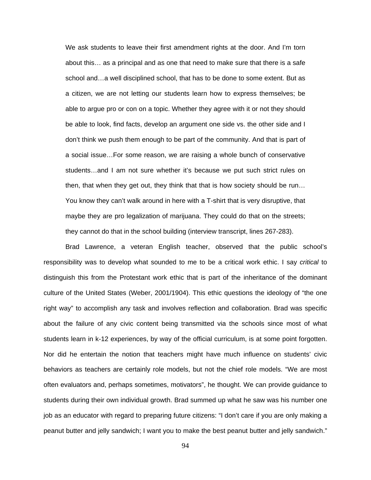We ask students to leave their first amendment rights at the door. And I'm torn about this… as a principal and as one that need to make sure that there is a safe school and…a well disciplined school, that has to be done to some extent. But as a citizen, we are not letting our students learn how to express themselves; be able to argue pro or con on a topic. Whether they agree with it or not they should be able to look, find facts, develop an argument one side vs. the other side and I don't think we push them enough to be part of the community. And that is part of a social issue…For some reason, we are raising a whole bunch of conservative students…and I am not sure whether it's because we put such strict rules on then, that when they get out, they think that that is how society should be run… You know they can't walk around in here with a T-shirt that is very disruptive, that maybe they are pro legalization of marijuana. They could do that on the streets; they cannot do that in the school building (interview transcript, lines 267-283).

Brad Lawrence, a veteran English teacher, observed that the public school's responsibility was to develop what sounded to me to be a critical work ethic. I say *critical* to distinguish this from the Protestant work ethic that is part of the inheritance of the dominant culture of the United States (Weber, 2001/1904). This ethic questions the ideology of "the one right way" to accomplish any task and involves reflection and collaboration. Brad was specific about the failure of any civic content being transmitted via the schools since most of what students learn in k-12 experiences, by way of the official curriculum, is at some point forgotten. Nor did he entertain the notion that teachers might have much influence on students' civic behaviors as teachers are certainly role models, but not the chief role models. "We are most often evaluators and, perhaps sometimes, motivators", he thought. We can provide guidance to students during their own individual growth. Brad summed up what he saw was his number one job as an educator with regard to preparing future citizens: "I don't care if you are only making a peanut butter and jelly sandwich; I want you to make the best peanut butter and jelly sandwich."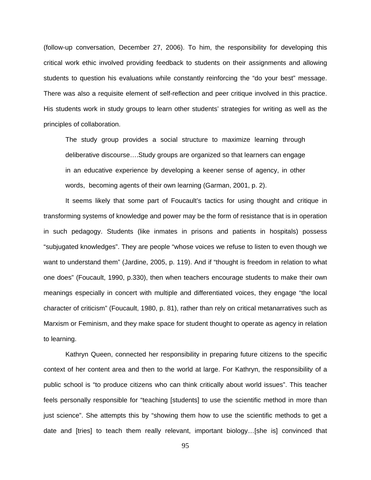(follow-up conversation, December 27, 2006). To him, the responsibility for developing this critical work ethic involved providing feedback to students on their assignments and allowing students to question his evaluations while constantly reinforcing the "do your best" message. There was also a requisite element of self-reflection and peer critique involved in this practice. His students work in study groups to learn other students' strategies for writing as well as the principles of collaboration.

The study group provides a social structure to maximize learning through deliberative discourse….Study groups are organized so that learners can engage in an educative experience by developing a keener sense of agency, in other words, becoming agents of their own learning (Garman, 2001, p. 2).

It seems likely that some part of Foucault's tactics for using thought and critique in transforming systems of knowledge and power may be the form of resistance that is in operation in such pedagogy. Students (like inmates in prisons and patients in hospitals) possess "subjugated knowledges". They are people "whose voices we refuse to listen to even though we want to understand them" (Jardine, 2005, p. 119). And if "thought is freedom in relation to what one does" (Foucault, 1990, p.330), then when teachers encourage students to make their own meanings especially in concert with multiple and differentiated voices, they engage "the local character of criticism" (Foucault, 1980, p. 81), rather than rely on critical metanarratives such as Marxism or Feminism, and they make space for student thought to operate as agency in relation to learning.

Kathryn Queen, connected her responsibility in preparing future citizens to the specific context of her content area and then to the world at large. For Kathryn, the responsibility of a public school is "to produce citizens who can think critically about world issues". This teacher feels personally responsible for "teaching [students] to use the scientific method in more than just science". She attempts this by "showing them how to use the scientific methods to get a date and [tries] to teach them really relevant, important biology…[she is] convinced that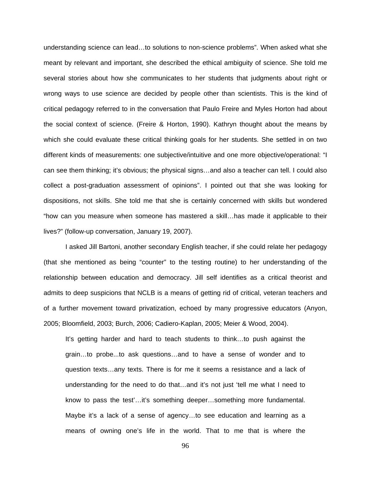understanding science can lead...to solutions to non-science problems". When asked what she meant by relevant and important, she described the ethical ambiguity of science. She told me several stories about how she communicates to her students that judgments about right or wrong ways to use science are decided by people other than scientists. This is the kind of critical pedagogy referred to in the conversation that Paulo Freire and Myles Horton had about the social context of science. (Freire & Horton, 1990). Kathryn thought about the means by which she could evaluate these critical thinking goals for her students. She settled in on two different kinds of measurements: one subjective/intuitive and one more objective/operational: "I can see them thinking; it's obvious; the physical signs…and also a teacher can tell. I could also collect a post-graduation assessment of opinions". I pointed out that she was looking for dispositions, not skills. She told me that she is certainly concerned with skills but wondered "how can you measure when someone has mastered a skill…has made it applicable to their lives?" (follow-up conversation, January 19, 2007).

I asked Jill Bartoni, another secondary English teacher, if she could relate her pedagogy (that she mentioned as being "counter" to the testing routine) to her understanding of the relationship between education and democracy. Jill self identifies as a critical theorist and admits to deep suspicions that NCLB is a means of getting rid of critical, veteran teachers and of a further movement toward privatization, echoed by many progressive educators (Anyon, 2005; Bloomfield, 2003; Burch, 2006; Cadiero-Kaplan, 2005; Meier & Wood, 2004).

It's getting harder and hard to teach students to think…to push against the grain…to probe...to ask questions…and to have a sense of wonder and to question texts…any texts. There is for me it seems a resistance and a lack of understanding for the need to do that…and it's not just 'tell me what I need to know to pass the test'…it's something deeper…something more fundamental. Maybe it's a lack of a sense of agency…to see education and learning as a means of owning one's life in the world. That to me that is where the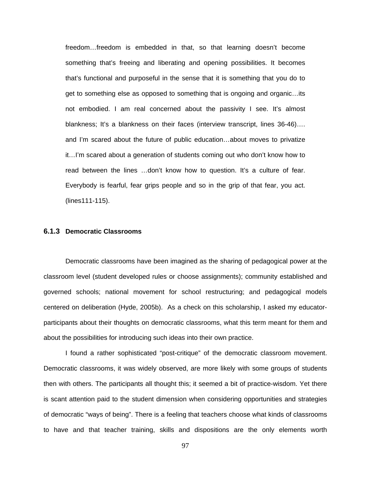freedom…freedom is embedded in that, so that learning doesn't become something that's freeing and liberating and opening possibilities. It becomes that's functional and purposeful in the sense that it is something that you do to get to something else as opposed to something that is ongoing and organic…its not embodied. I am real concerned about the passivity I see. It's almost blankness; It's a blankness on their faces (interview transcript, lines 36-46)…. and I'm scared about the future of public education…about moves to privatize it…I'm scared about a generation of students coming out who don't know how to read between the lines …don't know how to question. It's a culture of fear. Everybody is fearful, fear grips people and so in the grip of that fear, you act. (lines111-115).

# **6.1.3 Democratic Classrooms**

Democratic classrooms have been imagined as the sharing of pedagogical power at the classroom level (student developed rules or choose assignments); community established and governed schools; national movement for school restructuring; and pedagogical models centered on deliberation (Hyde, 2005b). As a check on this scholarship, I asked my educatorparticipants about their thoughts on democratic classrooms, what this term meant for them and about the possibilities for introducing such ideas into their own practice.

I found a rather sophisticated "post-critique" of the democratic classroom movement. Democratic classrooms, it was widely observed, are more likely with some groups of students then with others. The participants all thought this; it seemed a bit of practice-wisdom. Yet there is scant attention paid to the student dimension when considering opportunities and strategies of democratic "ways of being". There is a feeling that teachers choose what kinds of classrooms to have and that teacher training, skills and dispositions are the only elements worth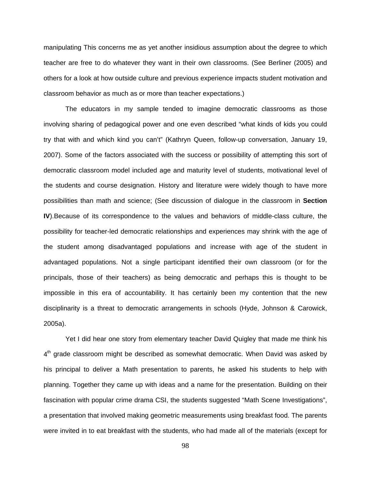manipulating This concerns me as yet another insidious assumption about the degree to which teacher are free to do whatever they want in their own classrooms. (See Berliner (2005) and others for a look at how outside culture and previous experience impacts student motivation and classroom behavior as much as or more than teacher expectations.)

The educators in my sample tended to imagine democratic classrooms as those involving sharing of pedagogical power and one even described "what kinds of kids you could try that with and which kind you can't" (Kathryn Queen, follow-up conversation, January 19, 2007). Some of the factors associated with the success or possibility of attempting this sort of democratic classroom model included age and maturity level of students, motivational level of the students and course designation. History and literature were widely though to have more possibilities than math and science; (See discussion of dialogue in the classroom in **Section IV**).Because of its correspondence to the values and behaviors of middle-class culture, the possibility for teacher-led democratic relationships and experiences may shrink with the age of the student among disadvantaged populations and increase with age of the student in advantaged populations. Not a single participant identified their own classroom (or for the principals, those of their teachers) as being democratic and perhaps this is thought to be impossible in this era of accountability. It has certainly been my contention that the new disciplinarity is a threat to democratic arrangements in schools (Hyde, Johnson & Carowick, 2005a).

Yet I did hear one story from elementary teacher David Quigley that made me think his  $4<sup>th</sup>$  grade classroom might be described as somewhat democratic. When David was asked by his principal to deliver a Math presentation to parents, he asked his students to help with planning. Together they came up with ideas and a name for the presentation. Building on their fascination with popular crime drama CSI, the students suggested "Math Scene Investigations", a presentation that involved making geometric measurements using breakfast food. The parents were invited in to eat breakfast with the students, who had made all of the materials (except for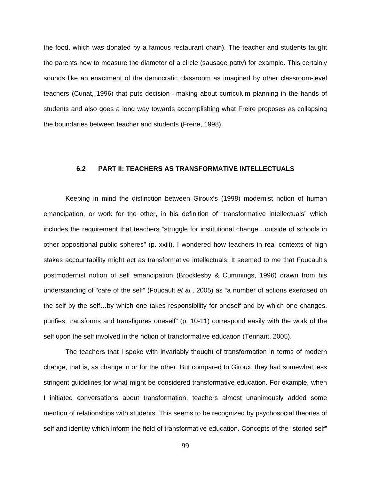the food, which was donated by a famous restaurant chain). The teacher and students taught the parents how to measure the diameter of a circle (sausage patty) for example. This certainly sounds like an enactment of the democratic classroom as imagined by other classroom-level teachers (Cunat, 1996) that puts decision –making about curriculum planning in the hands of students and also goes a long way towards accomplishing what Freire proposes as collapsing the boundaries between teacher and students (Freire, 1998).

## **6.2 PART II: TEACHERS AS TRANSFORMATIVE INTELLECTUALS**

Keeping in mind the distinction between Giroux's (1998) modernist notion of human emancipation, or work for the other, in his definition of "transformative intellectuals" which includes the requirement that teachers "struggle for institutional change…outside of schools in other oppositional public spheres" (p. xxiii), I wondered how teachers in real contexts of high stakes accountability might act as transformative intellectuals. It seemed to me that Foucault's postmodernist notion of self emancipation (Brocklesby & Cummings, 1996) drawn from his understanding of "care of the self" (Foucault *et al.*, 2005) as "a number of actions exercised on the self by the self…by which one takes responsibility for oneself and by which one changes, purifies, transforms and transfigures oneself" (p. 10-11) correspond easily with the work of the self upon the self involved in the notion of transformative education (Tennant, 2005).

The teachers that I spoke with invariably thought of transformation in terms of modern change, that is, as change in or for the other. But compared to Giroux, they had somewhat less stringent guidelines for what might be considered transformative education. For example, when I initiated conversations about transformation, teachers almost unanimously added some mention of relationships with students. This seems to be recognized by psychosocial theories of self and identity which inform the field of transformative education. Concepts of the "storied self"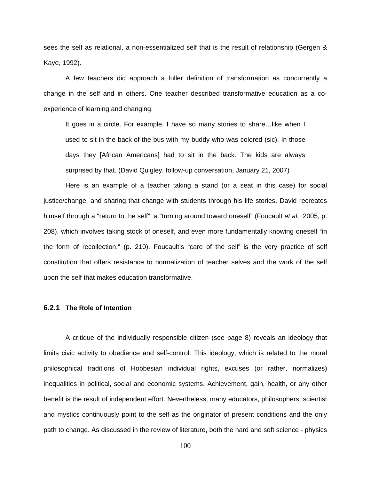sees the self as relational, a non-essentialized self that is the result of relationship (Gergen & Kaye, 1992).

A few teachers did approach a fuller definition of transformation as concurrently a change in the self and in others. One teacher described transformative education as a coexperience of learning and changing.

It goes in a circle. For example, I have so many stories to share…like when I used to sit in the back of the bus with my buddy who was colored (sic). In those days they [African Americans] had to sit in the back. The kids are always surprised by that. (David Quigley, follow-up conversation, January 21, 2007)

Here is an example of a teacher taking a stand (or a seat in this case) for social justice/change, and sharing that change with students through his life stories. David recreates himself through a "return to the self", a "turning around toward oneself" (Foucault *et al.*, 2005, p. 208), which involves taking stock of oneself, and even more fundamentally knowing oneself "in the form of recollection." (p. 210). Foucault's "care of the self' is the very practice of self constitution that offers resistance to normalization of teacher selves and the work of the self upon the self that makes education transformative.

## **6.2.1 The Role of Intention**

A critique of the individually responsible citizen (see page 8) reveals an ideology that limits civic activity to obedience and self-control. This ideology, which is related to the moral philosophical traditions of Hobbesian individual rights, excuses (or rather, normalizes) inequalities in political, social and economic systems. Achievement, gain, health, or any other benefit is the result of independent effort. Nevertheless, many educators, philosophers, scientist and mystics continuously point to the self as the originator of present conditions and the only path to change. As discussed in the review of literature, both the hard and soft science - physics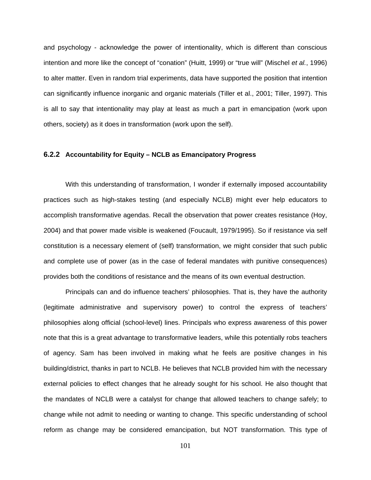and psychology - acknowledge the power of intentionality, which is different than conscious intention and more like the concept of "conation" (Huitt, 1999) or "true will" (Mischel *et al.*, 1996) to alter matter. Even in random trial experiments, data have supported the position that intention can significantly influence inorganic and organic materials (Tiller et al., 2001; Tiller, 1997). This is all to say that intentionality may play at least as much a part in emancipation (work upon others, society) as it does in transformation (work upon the self).

## **6.2.2 Accountability for Equity – NCLB as Emancipatory Progress**

With this understanding of transformation, I wonder if externally imposed accountability practices such as high-stakes testing (and especially NCLB) might ever help educators to accomplish transformative agendas. Recall the observation that power creates resistance (Hoy, 2004) and that power made visible is weakened (Foucault, 1979/1995). So if resistance via self constitution is a necessary element of (self) transformation, we might consider that such public and complete use of power (as in the case of federal mandates with punitive consequences) provides both the conditions of resistance and the means of its own eventual destruction.

Principals can and do influence teachers' philosophies. That is, they have the authority (legitimate administrative and supervisory power) to control the express of teachers' philosophies along official (school-level) lines. Principals who express awareness of this power note that this is a great advantage to transformative leaders, while this potentially robs teachers of agency. Sam has been involved in making what he feels are positive changes in his building/district, thanks in part to NCLB. He believes that NCLB provided him with the necessary external policies to effect changes that he already sought for his school. He also thought that the mandates of NCLB were a catalyst for change that allowed teachers to change safely; to change while not admit to needing or wanting to change. This specific understanding of school reform as change may be considered emancipation, but NOT transformation. This type of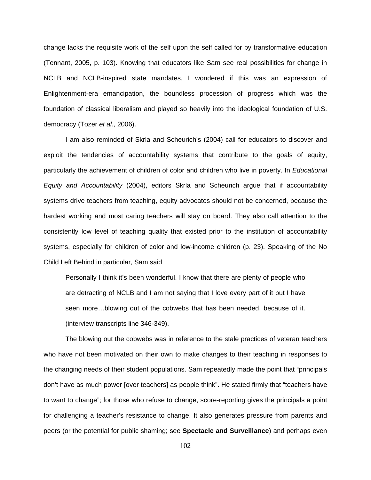change lacks the requisite work of the self upon the self called for by transformative education (Tennant, 2005, p. 103). Knowing that educators like Sam see real possibilities for change in NCLB and NCLB-inspired state mandates, I wondered if this was an expression of Enlightenment-era emancipation, the boundless procession of progress which was the foundation of classical liberalism and played so heavily into the ideological foundation of U.S. democracy (Tozer *et al.*, 2006).

I am also reminded of Skrla and Scheurich's (2004) call for educators to discover and exploit the tendencies of accountability systems that contribute to the goals of equity, particularly the achievement of children of color and children who live in poverty. In *Educational Equity and Accountability* (2004), editors Skrla and Scheurich argue that if accountability systems drive teachers from teaching, equity advocates should not be concerned, because the hardest working and most caring teachers will stay on board. They also call attention to the consistently low level of teaching quality that existed prior to the institution of accountability systems, especially for children of color and low-income children (p. 23). Speaking of the No Child Left Behind in particular, Sam said

Personally I think it's been wonderful. I know that there are plenty of people who are detracting of NCLB and I am not saying that I love every part of it but I have seen more…blowing out of the cobwebs that has been needed, because of it. (interview transcripts line 346-349).

The blowing out the cobwebs was in reference to the stale practices of veteran teachers who have not been motivated on their own to make changes to their teaching in responses to the changing needs of their student populations. Sam repeatedly made the point that "principals don't have as much power [over teachers] as people think". He stated firmly that "teachers have to want to change"; for those who refuse to change, score-reporting gives the principals a point for challenging a teacher's resistance to change. It also generates pressure from parents and peers (or the potential for public shaming; see **Spectacle and Surveillance**) and perhaps even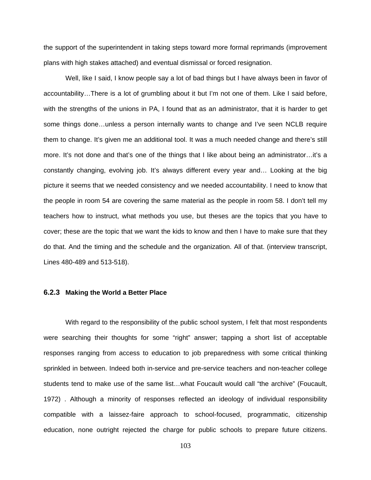the support of the superintendent in taking steps toward more formal reprimands (improvement plans with high stakes attached) and eventual dismissal or forced resignation.

Well, like I said, I know people say a lot of bad things but I have always been in favor of accountability…There is a lot of grumbling about it but I'm not one of them. Like I said before, with the strengths of the unions in PA, I found that as an administrator, that it is harder to get some things done…unless a person internally wants to change and I've seen NCLB require them to change. It's given me an additional tool. It was a much needed change and there's still more. It's not done and that's one of the things that I like about being an administrator…it's a constantly changing, evolving job. It's always different every year and… Looking at the big picture it seems that we needed consistency and we needed accountability. I need to know that the people in room 54 are covering the same material as the people in room 58. I don't tell my teachers how to instruct, what methods you use, but theses are the topics that you have to cover; these are the topic that we want the kids to know and then I have to make sure that they do that. And the timing and the schedule and the organization. All of that. (interview transcript, Lines 480-489 and 513-518).

#### **6.2.3 Making the World a Better Place**

With regard to the responsibility of the public school system, I felt that most respondents were searching their thoughts for some "right" answer; tapping a short list of acceptable responses ranging from access to education to job preparedness with some critical thinking sprinkled in between. Indeed both in-service and pre-service teachers and non-teacher college students tend to make use of the same list…what Foucault would call "the archive" (Foucault, 1972) . Although a minority of responses reflected an ideology of individual responsibility compatible with a laissez-faire approach to school-focused, programmatic, citizenship education, none outright rejected the charge for public schools to prepare future citizens.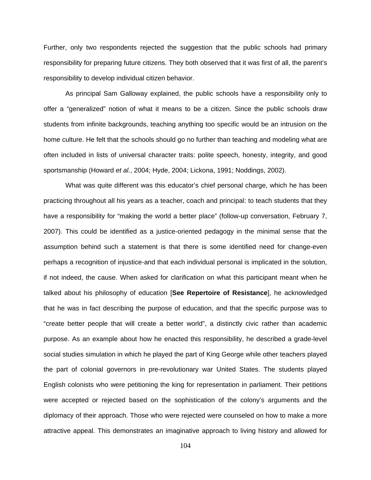Further, only two respondents rejected the suggestion that the public schools had primary responsibility for preparing future citizens. They both observed that it was first of all, the parent's responsibility to develop individual citizen behavior.

As principal Sam Galloway explained, the public schools have a responsibility only to offer a "generalized" notion of what it means to be a citizen. Since the public schools draw students from infinite backgrounds, teaching anything too specific would be an intrusion on the home culture. He felt that the schools should go no further than teaching and modeling what are often included in lists of universal character traits: polite speech, honesty, integrity, and good sportsmanship (Howard *et al.*, 2004; Hyde, 2004; Lickona, 1991; Noddings, 2002).

What was quite different was this educator's chief personal charge, which he has been practicing throughout all his years as a teacher, coach and principal: to teach students that they have a responsibility for "making the world a better place" (follow-up conversation, February 7, 2007). This could be identified as a justice-oriented pedagogy in the minimal sense that the assumption behind such a statement is that there is some identified need for change-even perhaps a recognition of injustice-and that each individual personal is implicated in the solution, if not indeed, the cause. When asked for clarification on what this participant meant when he talked about his philosophy of education [**See Repertoire of Resistance**], he acknowledged that he was in fact describing the purpose of education, and that the specific purpose was to "create better people that will create a better world", a distinctly civic rather than academic purpose. As an example about how he enacted this responsibility, he described a grade-level social studies simulation in which he played the part of King George while other teachers played the part of colonial governors in pre-revolutionary war United States. The students played English colonists who were petitioning the king for representation in parliament. Their petitions were accepted or rejected based on the sophistication of the colony's arguments and the diplomacy of their approach. Those who were rejected were counseled on how to make a more attractive appeal. This demonstrates an imaginative approach to living history and allowed for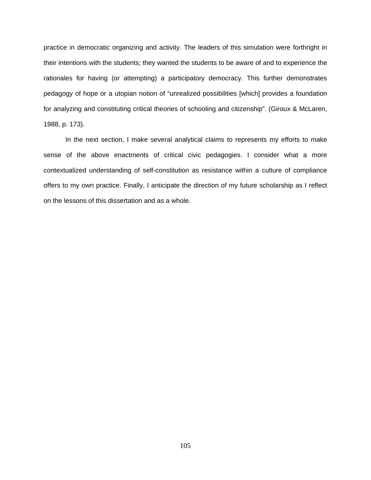practice in democratic organizing and activity. The leaders of this simulation were forthright in their intentions with the students; they wanted the students to be aware of and to experience the rationales for having (or attempting) a participatory democracy. This further demonstrates pedagogy of hope or a utopian notion of "unrealized possibilities [which] provides a foundation for analyzing and constituting critical theories of schooling and citizenship". (Giroux & McLaren, 1988, p. 173).

In the next section, I make several analytical claims to represents my efforts to make sense of the above enactments of critical civic pedagogies. I consider what a more contextualized understanding of self-constitution as resistance within a culture of compliance offers to my own practice. Finally, I anticipate the direction of my future scholarship as I reflect on the lessons of this dissertation and as a whole.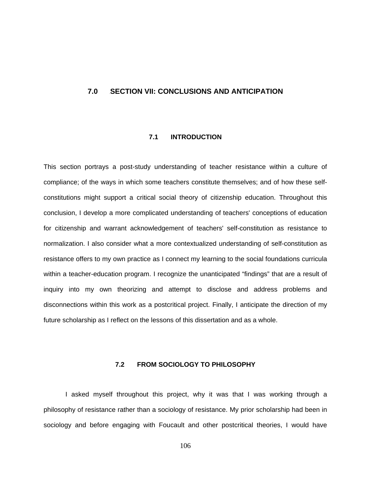# **7.0** 6B**SECTION VII: CONCLUSIONS AND ANTICIPATION**

# **7.1 INTRODUCTION**

This section portrays a post-study understanding of teacher resistance within a culture of compliance; of the ways in which some teachers constitute themselves; and of how these selfconstitutions might support a critical social theory of citizenship education. Throughout this conclusion, I develop a more complicated understanding of teachers' conceptions of education for citizenship and warrant acknowledgement of teachers' self-constitution as resistance to normalization. I also consider what a more contextualized understanding of self-constitution as resistance offers to my own practice as I connect my learning to the social foundations curricula within a teacher-education program. I recognize the unanticipated "findings" that are a result of inquiry into my own theorizing and attempt to disclose and address problems and disconnections within this work as a postcritical project. Finally, I anticipate the direction of my future scholarship as I reflect on the lessons of this dissertation and as a whole.

# **7.2 FROM SOCIOLOGY TO PHILOSOPHY**

I asked myself throughout this project, why it was that I was working through a philosophy of resistance rather than a sociology of resistance. My prior scholarship had been in sociology and before engaging with Foucault and other postcritical theories, I would have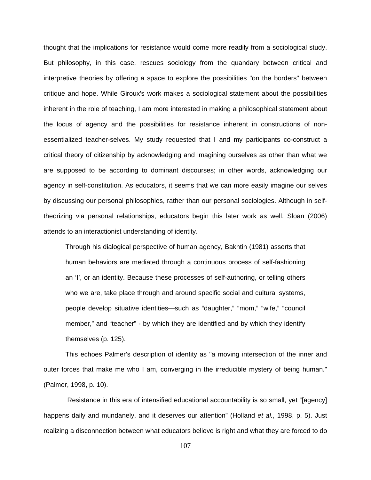thought that the implications for resistance would come more readily from a sociological study. But philosophy, in this case, rescues sociology from the quandary between critical and interpretive theories by offering a space to explore the possibilities "on the borders" between critique and hope. While Giroux's work makes a sociological statement about the possibilities inherent in the role of teaching, I am more interested in making a philosophical statement about the locus of agency and the possibilities for resistance inherent in constructions of nonessentialized teacher-selves. My study requested that I and my participants co-construct a critical theory of citizenship by acknowledging and imagining ourselves as other than what we are supposed to be according to dominant discourses; in other words, acknowledging our agency in self-constitution. As educators, it seems that we can more easily imagine our selves by discussing our personal philosophies, rather than our personal sociologies. Although in selftheorizing via personal relationships, educators begin this later work as well. Sloan (2006) attends to an interactionist understanding of identity.

Through his dialogical perspective of human agency, Bakhtin (1981) asserts that human behaviors are mediated through a continuous process of self-fashioning an 'I', or an identity. Because these processes of self-authoring, or telling others who we are, take place through and around specific social and cultural systems, people develop situative identities—such as "daughter," "mom," "wife," "council member," and "teacher" - by which they are identified and by which they identify themselves (p. 125).

This echoes Palmer's description of identity as "a moving intersection of the inner and outer forces that make me who I am, converging in the irreducible mystery of being human." (Palmer, 1998, p. 10).

 Resistance in this era of intensified educational accountability is so small, yet "[agency] happens daily and mundanely, and it deserves our attention" (Holland *et al.*, 1998, p. 5). Just realizing a disconnection between what educators believe is right and what they are forced to do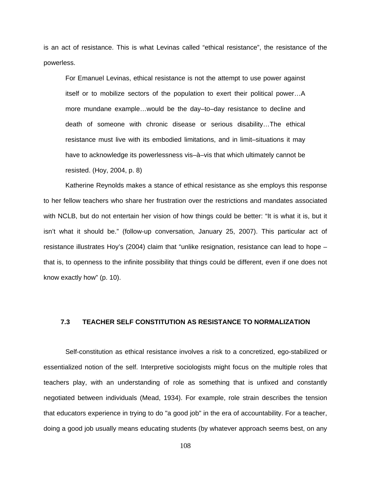is an act of resistance. This is what Levinas called "ethical resistance", the resistance of the powerless.

For Emanuel Levinas, ethical resistance is not the attempt to use power against itself or to mobilize sectors of the population to exert their political power…A more mundane example…would be the day–to–day resistance to decline and death of someone with chronic disease or serious disability…The ethical resistance must live with its embodied limitations, and in limit–situations it may have to acknowledge its powerlessness vis–à–vis that which ultimately cannot be resisted. (Hoy, 2004, p. 8)

Katherine Reynolds makes a stance of ethical resistance as she employs this response to her fellow teachers who share her frustration over the restrictions and mandates associated with NCLB, but do not entertain her vision of how things could be better: "It is what it is, but it isn't what it should be." (follow-up conversation, January 25, 2007). This particular act of resistance illustrates Hoy's (2004) claim that "unlike resignation, resistance can lead to hope – that is, to openness to the infinite possibility that things could be different, even if one does not know exactly how" (p. 10).

# **7.3 TEACHER SELF CONSTITUTION AS RESISTANCE TO NORMALIZATION**

Self-constitution as ethical resistance involves a risk to a concretized, ego-stabilized or essentialized notion of the self. Interpretive sociologists might focus on the multiple roles that teachers play, with an understanding of role as something that is unfixed and constantly negotiated between individuals (Mead, 1934). For example, role strain describes the tension that educators experience in trying to do "a good job" in the era of accountability. For a teacher, doing a good job usually means educating students (by whatever approach seems best, on any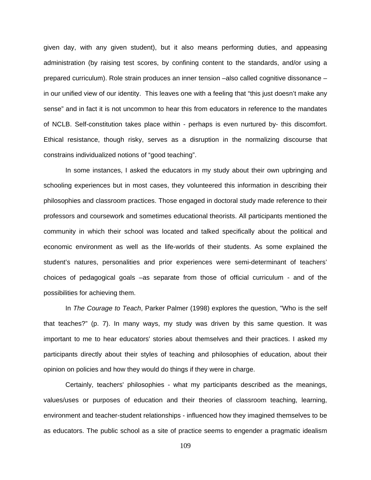given day, with any given student), but it also means performing duties, and appeasing administration (by raising test scores, by confining content to the standards, and/or using a prepared curriculum). Role strain produces an inner tension –also called cognitive dissonance – in our unified view of our identity. This leaves one with a feeling that "this just doesn't make any sense" and in fact it is not uncommon to hear this from educators in reference to the mandates of NCLB. Self-constitution takes place within - perhaps is even nurtured by- this discomfort. Ethical resistance, though risky, serves as a disruption in the normalizing discourse that constrains individualized notions of "good teaching".

In some instances, I asked the educators in my study about their own upbringing and schooling experiences but in most cases, they volunteered this information in describing their philosophies and classroom practices. Those engaged in doctoral study made reference to their professors and coursework and sometimes educational theorists. All participants mentioned the community in which their school was located and talked specifically about the political and economic environment as well as the life-worlds of their students. As some explained the student's natures, personalities and prior experiences were semi-determinant of teachers' choices of pedagogical goals –as separate from those of official curriculum - and of the possibilities for achieving them.

In *The Courage to Teach*, Parker Palmer (1998) explores the question, "Who is the self that teaches?" (p. 7). In many ways, my study was driven by this same question. It was important to me to hear educators' stories about themselves and their practices. I asked my participants directly about their styles of teaching and philosophies of education, about their opinion on policies and how they would do things if they were in charge.

Certainly, teachers' philosophies - what my participants described as the meanings, values/uses or purposes of education and their theories of classroom teaching, learning, environment and teacher-student relationships - influenced how they imagined themselves to be as educators. The public school as a site of practice seems to engender a pragmatic idealism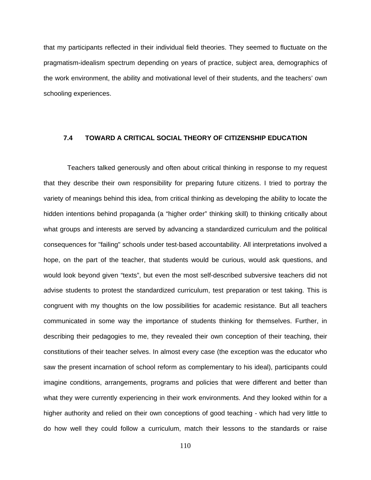that my participants reflected in their individual field theories. They seemed to fluctuate on the pragmatism-idealism spectrum depending on years of practice, subject area, demographics of the work environment, the ability and motivational level of their students, and the teachers' own schooling experiences.

## **7.4 TOWARD A CRITICAL SOCIAL THEORY OF CITIZENSHIP EDUCATION**

 Teachers talked generously and often about critical thinking in response to my request that they describe their own responsibility for preparing future citizens. I tried to portray the variety of meanings behind this idea, from critical thinking as developing the ability to locate the hidden intentions behind propaganda (a "higher order" thinking skill) to thinking critically about what groups and interests are served by advancing a standardized curriculum and the political consequences for "failing" schools under test-based accountability. All interpretations involved a hope, on the part of the teacher, that students would be curious, would ask questions, and would look beyond given "texts", but even the most self-described subversive teachers did not advise students to protest the standardized curriculum, test preparation or test taking. This is congruent with my thoughts on the low possibilities for academic resistance. But all teachers communicated in some way the importance of students thinking for themselves. Further, in describing their pedagogies to me, they revealed their own conception of their teaching, their constitutions of their teacher selves. In almost every case (the exception was the educator who saw the present incarnation of school reform as complementary to his ideal), participants could imagine conditions, arrangements, programs and policies that were different and better than what they were currently experiencing in their work environments. And they looked within for a higher authority and relied on their own conceptions of good teaching - which had very little to do how well they could follow a curriculum, match their lessons to the standards or raise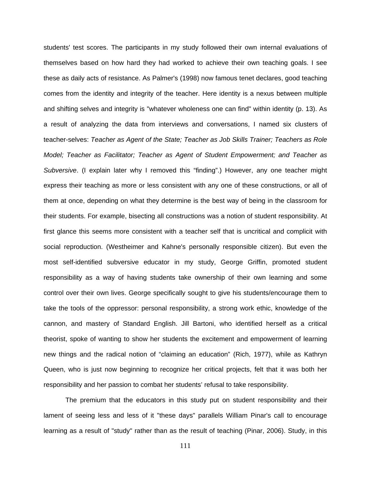students' test scores. The participants in my study followed their own internal evaluations of themselves based on how hard they had worked to achieve their own teaching goals. I see these as daily acts of resistance. As Palmer's (1998) now famous tenet declares, good teaching comes from the identity and integrity of the teacher. Here identity is a nexus between multiple and shifting selves and integrity is "whatever wholeness one can find" within identity (p. 13). As a result of analyzing the data from interviews and conversations, I named six clusters of teacher-selves: *Teacher as Agent of the State; Teacher as Job Skills Trainer; Teachers as Role Model; Teacher as Facilitator; Teacher as Agent of Student Empowerment; and Teacher as Subversive*. (I explain later why I removed this "finding".) However, any one teacher might express their teaching as more or less consistent with any one of these constructions, or all of them at once, depending on what they determine is the best way of being in the classroom for their students. For example, bisecting all constructions was a notion of student responsibility. At first glance this seems more consistent with a teacher self that is uncritical and complicit with social reproduction. (Westheimer and Kahne's personally responsible citizen). But even the most self-identified subversive educator in my study, George Griffin, promoted student responsibility as a way of having students take ownership of their own learning and some control over their own lives. George specifically sought to give his students/encourage them to take the tools of the oppressor: personal responsibility, a strong work ethic, knowledge of the cannon, and mastery of Standard English. Jill Bartoni, who identified herself as a critical theorist, spoke of wanting to show her students the excitement and empowerment of learning new things and the radical notion of "claiming an education" (Rich, 1977), while as Kathryn Queen, who is just now beginning to recognize her critical projects, felt that it was both her responsibility and her passion to combat her students' refusal to take responsibility.

The premium that the educators in this study put on student responsibility and their lament of seeing less and less of it "these days" parallels William Pinar's call to encourage learning as a result of "study" rather than as the result of teaching (Pinar, 2006). Study, in this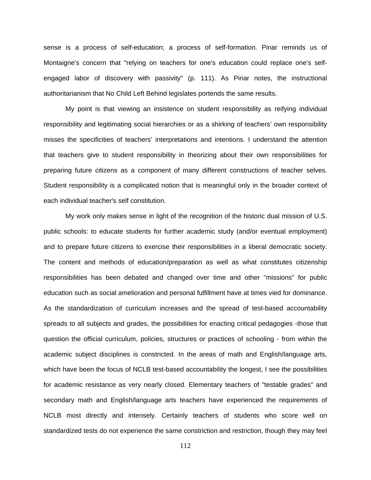sense is a process of self-education; a process of self-formation. Pinar reminds us of Montaigne's concern that "relying on teachers for one's education could replace one's selfengaged labor of discovery with passivity" (p. 111). As Pinar notes, the instructional authoritarianism that No Child Left Behind legislates portends the same results.

My point is that viewing an insistence on student responsibility as reifying individual responsibility and legitimating social hierarchies or as a shirking of teachers' own responsibility misses the specificities of teachers' interpretations and intentions. I understand the attention that teachers give to student responsibility in theorizing about their own responsibilities for preparing future citizens as a component of many different constructions of teacher selves. Student responsibility is a complicated notion that is meaningful only in the broader context of each individual teacher's self constitution.

My work only makes sense in light of the recognition of the historic dual mission of U.S. public schools: to educate students for further academic study (and/or eventual employment) and to prepare future citizens to exercise their responsibilities in a liberal democratic society. The content and methods of education/preparation as well as what constitutes citizenship responsibilities has been debated and changed over time and other "missions" for public education such as social amelioration and personal fulfillment have at times vied for dominance. As the standardization of curriculum increases and the spread of test-based accountability spreads to all subjects and grades, the possibilities for enacting critical pedagogies -those that question the official curriculum, policies, structures or practices of schooling - from within the academic subject disciplines is constricted. In the areas of math and English/language arts, which have been the focus of NCLB test-based accountability the longest, I see the possibilities for academic resistance as very nearly closed. Elementary teachers of "testable grades" and secondary math and English/language arts teachers have experienced the requirements of NCLB most directly and intensely. Certainly teachers of students who score well on standardized tests do not experience the same constriction and restriction, though they may feel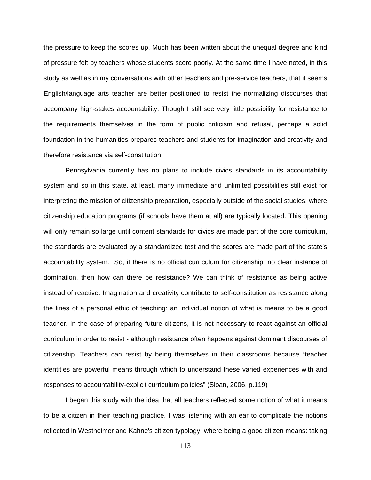the pressure to keep the scores up. Much has been written about the unequal degree and kind of pressure felt by teachers whose students score poorly. At the same time I have noted, in this study as well as in my conversations with other teachers and pre-service teachers, that it seems English/language arts teacher are better positioned to resist the normalizing discourses that accompany high-stakes accountability. Though I still see very little possibility for resistance to the requirements themselves in the form of public criticism and refusal, perhaps a solid foundation in the humanities prepares teachers and students for imagination and creativity and therefore resistance via self-constitution.

Pennsylvania currently has no plans to include civics standards in its accountability system and so in this state, at least, many immediate and unlimited possibilities still exist for interpreting the mission of citizenship preparation, especially outside of the social studies, where citizenship education programs (if schools have them at all) are typically located. This opening will only remain so large until content standards for civics are made part of the core curriculum, the standards are evaluated by a standardized test and the scores are made part of the state's accountability system. So, if there is no official curriculum for citizenship, no clear instance of domination, then how can there be resistance? We can think of resistance as being active instead of reactive. Imagination and creativity contribute to self-constitution as resistance along the lines of a personal ethic of teaching: an individual notion of what is means to be a good teacher. In the case of preparing future citizens, it is not necessary to react against an official curriculum in order to resist - although resistance often happens against dominant discourses of citizenship. Teachers can resist by being themselves in their classrooms because "teacher identities are powerful means through which to understand these varied experiences with and responses to accountability-explicit curriculum policies" (Sloan, 2006, p.119)

I began this study with the idea that all teachers reflected some notion of what it means to be a citizen in their teaching practice. I was listening with an ear to complicate the notions reflected in Westheimer and Kahne's citizen typology, where being a good citizen means: taking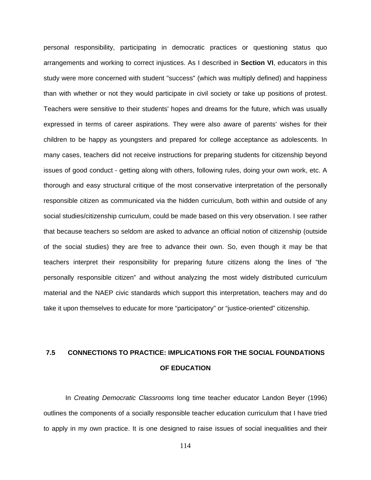personal responsibility, participating in democratic practices or questioning status quo arrangements and working to correct injustices. As I described in **Section VI**, educators in this study were more concerned with student "success" (which was multiply defined) and happiness than with whether or not they would participate in civil society or take up positions of protest. Teachers were sensitive to their students' hopes and dreams for the future, which was usually expressed in terms of career aspirations. They were also aware of parents' wishes for their children to be happy as youngsters and prepared for college acceptance as adolescents. In many cases, teachers did not receive instructions for preparing students for citizenship beyond issues of good conduct - getting along with others, following rules, doing your own work, etc. A thorough and easy structural critique of the most conservative interpretation of the personally responsible citizen as communicated via the hidden curriculum, both within and outside of any social studies/citizenship curriculum, could be made based on this very observation. I see rather that because teachers so seldom are asked to advance an official notion of citizenship (outside of the social studies) they are free to advance their own. So, even though it may be that teachers interpret their responsibility for preparing future citizens along the lines of "the personally responsible citizen" and without analyzing the most widely distributed curriculum material and the NAEP civic standards which support this interpretation, teachers may and do take it upon themselves to educate for more "participatory" or "justice-oriented" citizenship.

# **7.5 CONNECTIONS TO PRACTICE: IMPLICATIONS FOR THE SOCIAL FOUNDATIONS OF EDUCATION**

In *Creating Democratic Classrooms* long time teacher educator Landon Beyer (1996) outlines the components of a socially responsible teacher education curriculum that I have tried to apply in my own practice. It is one designed to raise issues of social inequalities and their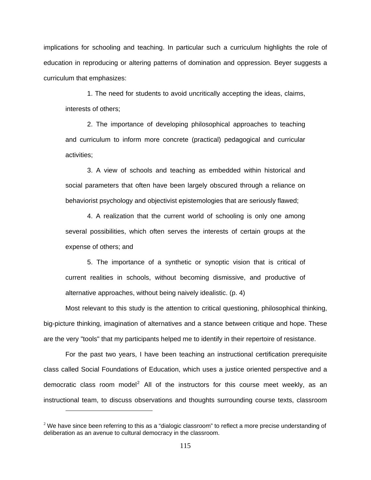implications for schooling and teaching. In particular such a curriculum highlights the role of education in reproducing or altering patterns of domination and oppression. Beyer suggests a curriculum that emphasizes:

1. The need for students to avoid uncritically accepting the ideas, claims, interests of others;

2. The importance of developing philosophical approaches to teaching and curriculum to inform more concrete (practical) pedagogical and curricular activities;

3. A view of schools and teaching as embedded within historical and social parameters that often have been largely obscured through a reliance on behaviorist psychology and objectivist epistemologies that are seriously flawed;

4. A realization that the current world of schooling is only one among several possibilities, which often serves the interests of certain groups at the expense of others; and

5. The importance of a synthetic or synoptic vision that is critical of current realities in schools, without becoming dismissive, and productive of alternative approaches, without being naively idealistic. (p. 4)

Most relevant to this study is the attention to critical questioning, philosophical thinking, big-picture thinking, imagination of alternatives and a stance between critique and hope. These are the very "tools" that my participants helped me to identify in their repertoire of resistance.

For the past two years, I have been teaching an instructional certification prerequisite class called Social Foundations of Education, which uses a justice oriented perspective and a democratic class room model<sup>2</sup> All of the instructors for this course meet weekly, as an [instructional team, to discuss observations and thoughts surrounding course texts, classroom](#page-125-0) 

 $\overline{a}$ 

<span id="page-125-0"></span> $2$  We have since been referring to this as a "dialogic classroom" to reflect a more precise understanding of deliberation as an avenue to cultural democracy in the classroom.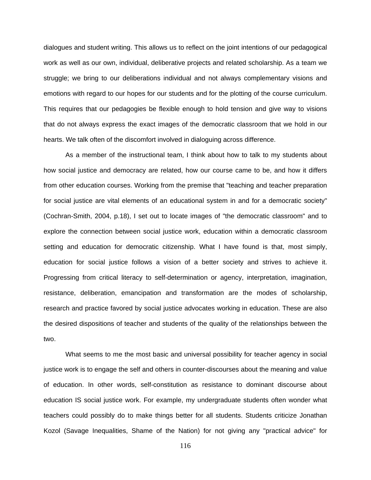[dialogues and student writing. This allows us to reflect on the joint intentions of our pedagogical](#page-125-0)  [work as well as our own, individual, deliberative projects and related scholarship. As a team we](#page-125-0)  [struggle; we bring to our deliberations individual and not always complementary visions and](#page-125-0)  [emotions with regard to our hopes for our students and for the plotting of the course curriculum.](#page-125-0)  [This requires that our pedagogies be flexible enough to hold tension and give way to visions](#page-125-0)  [that do not always express the exact images of the democratic classroom that we hold in our](#page-125-0)  [hearts. We talk often of the discomfort involved in dialoguing across difference.](#page-125-0) 

As a member of the instructional team, I think about how to talk to my students about how social justice and democracy are related, how our course came to be, and how it differs from other education courses. Working from the premise that "teaching and teacher preparation for social justice are vital elements of an educational system in and for a democratic society" (Cochran-Smith, 2004, p.18), I set out to locate images of "the democratic classroom" and to explore the connection between social justice work, education within a democratic classroom setting and education for democratic citizenship. What I have found is that, most simply, education for social justice follows a vision of a better society and strives to achieve it. Progressing from critical literacy to self-determination or agency, interpretation, imagination, resistance, deliberation, emancipation and transformation are the modes of scholarship, research and practice favored by social justice advocates working in education. These are also the desired dispositions of teacher and students of the quality of the relationships between the two.

What seems to me the most basic and universal possibility for teacher agency in social justice work is to engage the self and others in counter-discourses about the meaning and value of education. In other words, self-constitution as resistance to dominant discourse about education IS social justice work. For example, my undergraduate students often wonder what teachers could possibly do to make things better for all students. Students criticize Jonathan Kozol (Savage Inequalities, Shame of the Nation) for not giving any "practical advice" for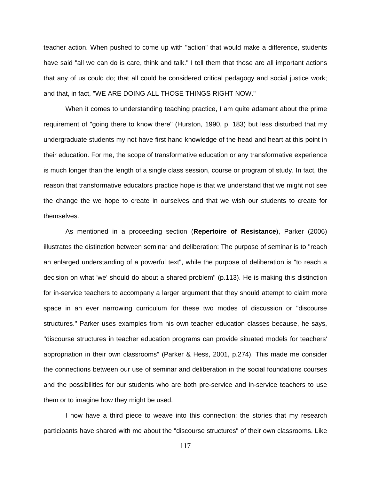teacher action. When pushed to come up with "action" that would make a difference, students have said "all we can do is care, think and talk." I tell them that those are all important actions that any of us could do; that all could be considered critical pedagogy and social justice work; and that, in fact, "WE ARE DOING ALL THOSE THINGS RIGHT NOW."

When it comes to understanding teaching practice, I am quite adamant about the prime requirement of "going there to know there" (Hurston, 1990, p. 183) but less disturbed that my undergraduate students my not have first hand knowledge of the head and heart at this point in their education. For me, the scope of transformative education or any transformative experience is much longer than the length of a single class session, course or program of study. In fact, the reason that transformative educators practice hope is that we understand that we might not see the change the we hope to create in ourselves and that we wish our students to create for themselves.

As mentioned in a proceeding section (**Repertoire of Resistance**), Parker (2006) illustrates the distinction between seminar and deliberation: The purpose of seminar is to "reach an enlarged understanding of a powerful text", while the purpose of deliberation is "to reach a decision on what 'we' should do about a shared problem" (p.113). He is making this distinction for in-service teachers to accompany a larger argument that they should attempt to claim more space in an ever narrowing curriculum for these two modes of discussion or "discourse structures." Parker uses examples from his own teacher education classes because, he says, "discourse structures in teacher education programs can provide situated models for teachers' appropriation in their own classrooms" (Parker & Hess, 2001, p.274). This made me consider the connections between our use of seminar and deliberation in the social foundations courses and the possibilities for our students who are both pre-service and in-service teachers to use them or to imagine how they might be used.

I now have a third piece to weave into this connection: the stories that my research participants have shared with me about the "discourse structures" of their own classrooms. Like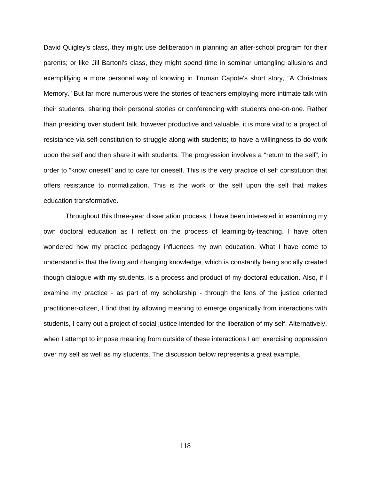David Quigley's class, they might use deliberation in planning an after-school program for their parents; or like Jill Bartoni's class, they might spend time in seminar untangling allusions and exemplifying a more personal way of knowing in Truman Capote's short story, "A Christmas Memory." But far more numerous were the stories of teachers employing more intimate talk with their students, sharing their personal stories or conferencing with students one-on-one. Rather than presiding over student talk, however productive and valuable, it is more vital to a project of resistance via self-constitution to struggle along with students; to have a willingness to do work upon the self and then share it with students. The progression involves a "return to the self", in order to "know oneself" and to care for oneself. This is the very practice of self constitution that offers resistance to normalization. This is the work of the self upon the self that makes education transformative.

Throughout this three-year dissertation process, I have been interested in examining my own doctoral education as I reflect on the process of learning-by-teaching. I have often wondered how my practice pedagogy influences my own education. What I have come to understand is that the living and changing knowledge, which is constantly being socially created though dialogue with my students, is a process and product of my doctoral education. Also, if I examine my practice - as part of my scholarship - through the lens of the justice oriented practitioner-citizen, I find that by allowing meaning to emerge organically from interactions with students, I carry out a project of social justice intended for the liberation of my self. Alternatively, when I attempt to impose meaning from outside of these interactions I am exercising oppression over my self as well as my students. The discussion below represents a great example.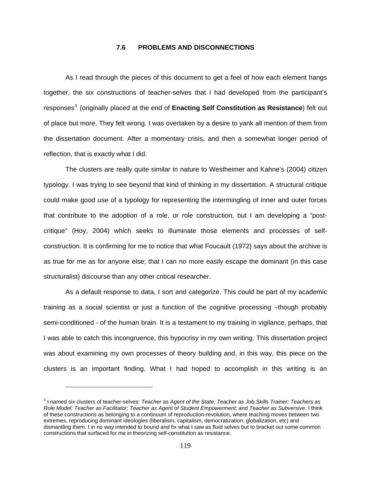## **7.6 PROBLEMS AND DISCONNECTIONS**

As I read through the pieces of this document to get a feel of how each element hangs together, the six constructions of teacher-selves that I had developed from the participant's responses<sup>3</sup> (originally placed at the end of [Enacting Self Constitution as Resistance](#page-129-0)) felt out [of place but more. They felt wrong. I was overtaken by a desire to yank all mention of them from](#page-129-0)  [the dissertation document. After a momentary crisis, and then a somewhat longer period of](#page-129-0)  [reflection, that is exactly what I did.](#page-129-0) 

The clusters are really quite similar in nature to Westheimer and Kahne's (2004) citizen typology. I was trying to see beyond that kind of thinking in my dissertation. A structural critique could make good use of a typology for representing the intermingling of inner and outer forces that contribute to the adoption of a role, or role construction, but I am developing a "postcritique" (Hoy, 2004) which seeks to illuminate those elements and processes of selfconstruction. It is confirming for me to notice that what Foucault (1972) says about the archive is as true for me as for anyone else; that I can no more easily escape the dominant (in this case structuralist) discourse than any other critical researcher.

As a default response to data, I sort and categorize. This could be part of my academic training as a social scientist or just a function of the cognitive processing –though probably semi-conditioned - of the human brain. It is a testament to my training in vigilance, perhaps, that I was able to catch this incongruence, this hypocrisy in my own writing. This dissertation project was about examining my own processes of theory building and, in this way, this piece on the clusters is an important finding. What I had hoped to accomplish in this writing is an

 $\overline{a}$ 

<span id="page-129-0"></span><sup>&</sup>lt;sup>3</sup> I named six clusters of teacher-selves: *Teacher as Agent of the State; Teacher as Job Skills Trainer; Teachers as Role Model; Teacher as Facilitator; Teacher as Agent of Student Empowerment*; and *Teacher as Subversive*. I think of these constructions as belonging to a continuum of reproduction-revolution, where teaching moves between two extremes, reproducing dominant ideologies (liberalism, capitalism, democratization, globalization, etc) and dismantling them. I in no way intended to bound and fix what I saw as fluid selves but to bracket out some common constructions that surfaced for me in theorizing self-constitution as resistance.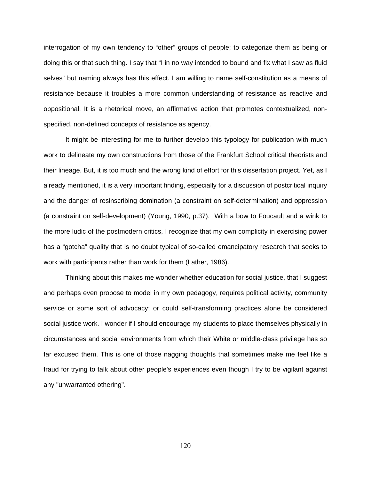interrogation of my own tendency to "other" groups of people; to categorize them as being or doing this or that such thing. I say that "I in no way intended to bound and fix what I saw as fluid selves" but naming always has this effect. I am willing to name self-constitution as a means of resistance because it troubles a more common understanding of resistance as reactive and oppositional. It is a rhetorical move, an affirmative action that promotes contextualized, nonspecified, non-defined concepts of resistance as agency.

It might be interesting for me to further develop this typology for publication with much work to delineate my own constructions from those of the Frankfurt School critical theorists and their lineage. But, it is too much and the wrong kind of effort for this dissertation project. Yet, as I already mentioned, it is a very important finding, especially for a discussion of postcritical inquiry and the danger of resinscribing domination (a constraint on self-determination) and oppression (a constraint on self-development) (Young, 1990, p.37). With a bow to Foucault and a wink to the more ludic of the postmodern critics, I recognize that my own complicity in exercising power has a "gotcha" quality that is no doubt typical of so-called emancipatory research that seeks to work with participants rather than work for them (Lather, 1986).

Thinking about this makes me wonder whether education for social justice, that I suggest and perhaps even propose to model in my own pedagogy, requires political activity, community service or some sort of advocacy; or could self-transforming practices alone be considered social justice work. I wonder if I should encourage my students to place themselves physically in circumstances and social environments from which their White or middle-class privilege has so far excused them. This is one of those nagging thoughts that sometimes make me feel like a fraud for trying to talk about other people's experiences even though I try to be vigilant against any "unwarranted othering".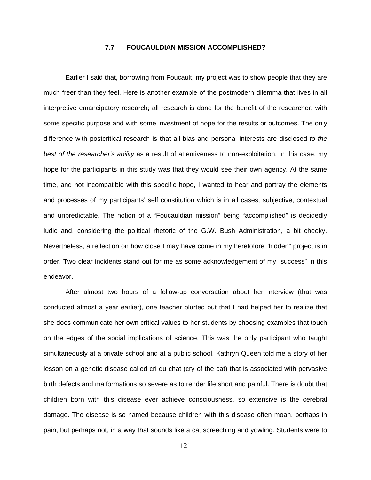## **7.7 FOUCAULDIAN MISSION ACCOMPLISHED?**

Earlier I said that, borrowing from Foucault, my project was to show people that they are much freer than they feel. Here is another example of the postmodern dilemma that lives in all interpretive emancipatory research; all research is done for the benefit of the researcher, with some specific purpose and with some investment of hope for the results or outcomes. The only difference with postcritical research is that all bias and personal interests are disclosed *to the best of the researcher's ability* as a result of attentiveness to non-exploitation. In this case, my hope for the participants in this study was that they would see their own agency. At the same time, and not incompatible with this specific hope, I wanted to hear and portray the elements and processes of my participants' self constitution which is in all cases, subjective, contextual and unpredictable. The notion of a "Foucauldian mission" being "accomplished" is decidedly ludic and, considering the political rhetoric of the G.W. Bush Administration, a bit cheeky. Nevertheless, a reflection on how close I may have come in my heretofore "hidden" project is in order. Two clear incidents stand out for me as some acknowledgement of my "success" in this endeavor.

After almost two hours of a follow-up conversation about her interview (that was conducted almost a year earlier), one teacher blurted out that I had helped her to realize that she does communicate her own critical values to her students by choosing examples that touch on the edges of the social implications of science. This was the only participant who taught simultaneously at a private school and at a public school. Kathryn Queen told me a story of her lesson on a genetic disease called cri du chat (cry of the cat) that is associated with pervasive birth defects and malformations so severe as to render life short and painful. There is doubt that children born with this disease ever achieve consciousness, so extensive is the cerebral damage. The disease is so named because children with this disease often moan, perhaps in pain, but perhaps not, in a way that sounds like a cat screeching and yowling. Students were to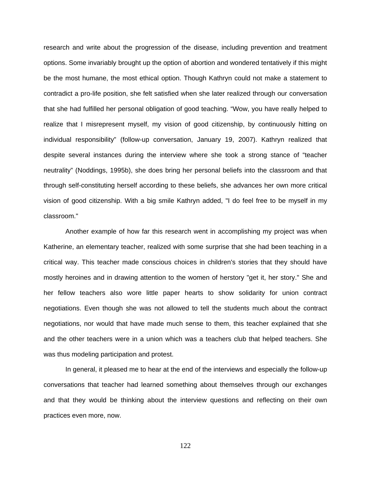research and write about the progression of the disease, including prevention and treatment options. Some invariably brought up the option of abortion and wondered tentatively if this might be the most humane, the most ethical option. Though Kathryn could not make a statement to contradict a pro-life position, she felt satisfied when she later realized through our conversation that she had fulfilled her personal obligation of good teaching. "Wow, you have really helped to realize that I misrepresent myself, my vision of good citizenship, by continuously hitting on individual responsibility" (follow-up conversation, January 19, 2007). Kathryn realized that despite several instances during the interview where she took a strong stance of "teacher neutrality" (Noddings, 1995b), she does bring her personal beliefs into the classroom and that through self-constituting herself according to these beliefs, she advances her own more critical vision of good citizenship. With a big smile Kathryn added, "I do feel free to be myself in my classroom."

Another example of how far this research went in accomplishing my project was when Katherine, an elementary teacher, realized with some surprise that she had been teaching in a critical way. This teacher made conscious choices in children's stories that they should have mostly heroines and in drawing attention to the women of herstory "get it, her story." She and her fellow teachers also wore little paper hearts to show solidarity for union contract negotiations. Even though she was not allowed to tell the students much about the contract negotiations, nor would that have made much sense to them, this teacher explained that she and the other teachers were in a union which was a teachers club that helped teachers. She was thus modeling participation and protest.

In general, it pleased me to hear at the end of the interviews and especially the follow-up conversations that teacher had learned something about themselves through our exchanges and that they would be thinking about the interview questions and reflecting on their own practices even more, now.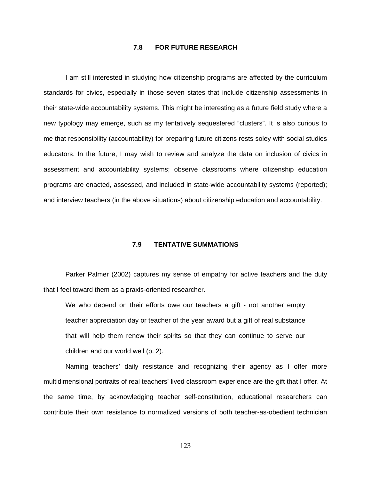## **7.8 FOR FUTURE RESEARCH**

I am still interested in studying how citizenship programs are affected by the curriculum standards for civics, especially in those seven states that include citizenship assessments in their state-wide accountability systems. This might be interesting as a future field study where a new typology may emerge, such as my tentatively sequestered "clusters". It is also curious to me that responsibility (accountability) for preparing future citizens rests soley with social studies educators. In the future, I may wish to review and analyze the data on inclusion of civics in assessment and accountability systems; observe classrooms where citizenship education programs are enacted, assessed, and included in state-wide accountability systems (reported); and interview teachers (in the above situations) about citizenship education and accountability.

## **7.9 TENTATIVE SUMMATIONS**

Parker Palmer (2002) captures my sense of empathy for active teachers and the duty that I feel toward them as a praxis-oriented researcher.

We who depend on their efforts owe our teachers a gift - not another empty teacher appreciation day or teacher of the year award but a gift of real substance that will help them renew their spirits so that they can continue to serve our children and our world well (p. 2).

Naming teachers' daily resistance and recognizing their agency as I offer more multidimensional portraits of real teachers' lived classroom experience are the gift that I offer. At the same time, by acknowledging teacher self-constitution, educational researchers can contribute their own resistance to normalized versions of both teacher-as-obedient technician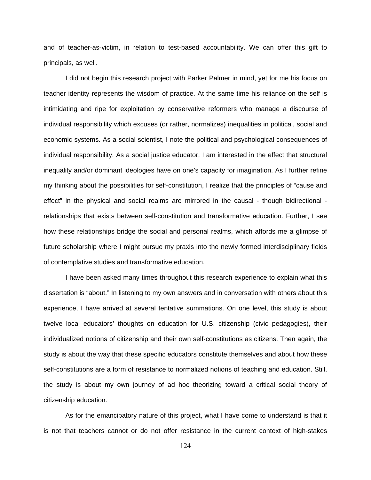and of teacher-as-victim, in relation to test-based accountability. We can offer this gift to principals, as well.

I did not begin this research project with Parker Palmer in mind, yet for me his focus on teacher identity represents the wisdom of practice. At the same time his reliance on the self is intimidating and ripe for exploitation by conservative reformers who manage a discourse of individual responsibility which excuses (or rather, normalizes) inequalities in political, social and economic systems. As a social scientist, I note the political and psychological consequences of individual responsibility. As a social justice educator, I am interested in the effect that structural inequality and/or dominant ideologies have on one's capacity for imagination. As I further refine my thinking about the possibilities for self-constitution, I realize that the principles of "cause and effect" in the physical and social realms are mirrored in the causal - though bidirectional relationships that exists between self-constitution and transformative education. Further, I see how these relationships bridge the social and personal realms, which affords me a glimpse of future scholarship where I might pursue my praxis into the newly formed interdisciplinary fields of contemplative studies and transformative education.

I have been asked many times throughout this research experience to explain what this dissertation is "about." In listening to my own answers and in conversation with others about this experience, I have arrived at several tentative summations. On one level, this study is about twelve local educators' thoughts on education for U.S. citizenship (civic pedagogies), their individualized notions of citizenship and their own self-constitutions as citizens. Then again, the study is about the way that these specific educators constitute themselves and about how these self-constitutions are a form of resistance to normalized notions of teaching and education. Still, the study is about my own journey of ad hoc theorizing toward a critical social theory of citizenship education.

As for the emancipatory nature of this project, what I have come to understand is that it is not that teachers cannot or do not offer resistance in the current context of high-stakes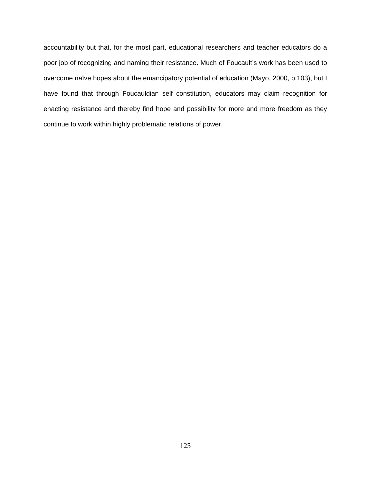accountability but that, for the most part, educational researchers and teacher educators do a poor job of recognizing and naming their resistance. Much of Foucault's work has been used to overcome naïve hopes about the emancipatory potential of education (Mayo, 2000, p.103), but I have found that through Foucauldian self constitution, educators may claim recognition for enacting resistance and thereby find hope and possibility for more and more freedom as they continue to work within highly problematic relations of power.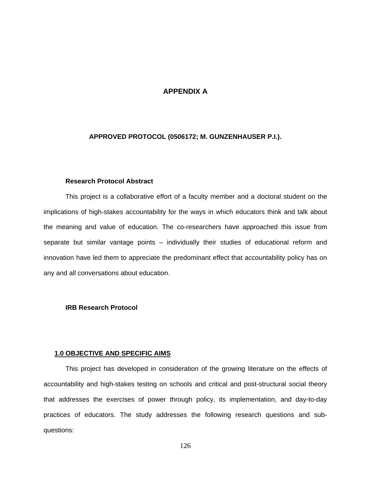# **APPENDIX A**

# **APPROVED PROTOCOL (0506172; M. GUNZENHAUSER P.I.).**

## **Research Protocol Abstract**

This project is a collaborative effort of a faculty member and a doctoral student on the implications of high-stakes accountability for the ways in which educators think and talk about the meaning and value of education. The co-researchers have approached this issue from separate but similar vantage points – individually their studies of educational reform and innovation have led them to appreciate the predominant effect that accountability policy has on any and all conversations about education.

## **IRB Research Protocol**

## **1.0 OBJECTIVE AND SPECIFIC AIMS**

This project has developed in consideration of the growing literature on the effects of accountability and high-stakes testing on schools and critical and post-structural social theory that addresses the exercises of power through policy, its implementation, and day-to-day practices of educators. The study addresses the following research questions and subquestions: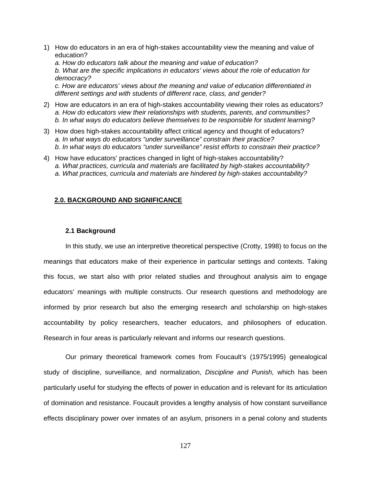1) How do educators in an era of high-stakes accountability view the meaning and value of education?

*a. How do educators talk about the meaning and value of education? b. What are the specific implications in educators' views about the role of education for democracy? c. How are educators' views about the meaning and value of education differentiated in different settings and with students of different race, class, and gender?* 

- 2) How are educators in an era of high-stakes accountability viewing their roles as educators? *a. How do educators view their relationships with students, parents, and communities? b. In what ways do educators believe themselves to be responsible for student learning?*
- 3) How does high-stakes accountability affect critical agency and thought of educators? *a. In what ways do educators "under surveillance" constrain their practice? b. In what ways do educators "under surveillance" resist efforts to constrain their practice?*
- 4) How have educators' practices changed in light of high-stakes accountability? *a. What practices, curricula and materials are facilitated by high-stakes accountability? a. What practices, curricula and materials are hindered by high-stakes accountability?*

## **2.0. BACKGROUND AND SIGNIFICANCE**

## **2.1 Background**

In this study, we use an interpretive theoretical perspective (Crotty, 1998) to focus on the meanings that educators make of their experience in particular settings and contexts. Taking this focus, we start also with prior related studies and throughout analysis aim to engage educators' meanings with multiple constructs. Our research questions and methodology are informed by prior research but also the emerging research and scholarship on high-stakes accountability by policy researchers, teacher educators, and philosophers of education. Research in four areas is particularly relevant and informs our research questions.

Our primary theoretical framework comes from Foucault's (1975/1995) genealogical study of discipline, surveillance, and normalization, *Discipline and Punish,* which has been particularly useful for studying the effects of power in education and is relevant for its articulation of domination and resistance. Foucault provides a lengthy analysis of how constant surveillance effects disciplinary power over inmates of an asylum, prisoners in a penal colony and students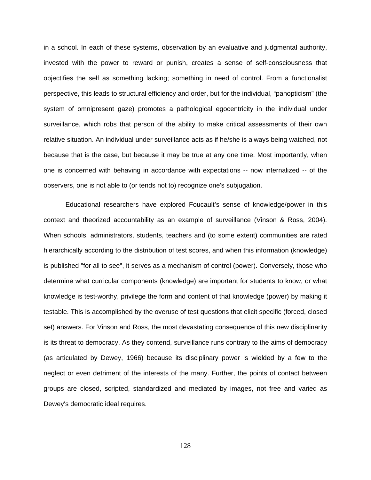in a school. In each of these systems, observation by an evaluative and judgmental authority, invested with the power to reward or punish, creates a sense of self-consciousness that objectifies the self as something lacking; something in need of control. From a functionalist perspective, this leads to structural efficiency and order, but for the individual, "panopticism" (the system of omnipresent gaze) promotes a pathological egocentricity in the individual under surveillance, which robs that person of the ability to make critical assessments of their own relative situation. An individual under surveillance acts as if he/she is always being watched, not because that is the case, but because it may be true at any one time. Most importantly, when one is concerned with behaving in accordance with expectations -- now internalized -- of the observers, one is not able to (or tends not to) recognize one's subjugation.

Educational researchers have explored Foucault's sense of knowledge/power in this context and theorized accountability as an example of surveillance (Vinson & Ross, 2004). When schools, administrators, students, teachers and (to some extent) communities are rated hierarchically according to the distribution of test scores, and when this information (knowledge) is published "for all to see", it serves as a mechanism of control (power). Conversely, those who determine what curricular components (knowledge) are important for students to know, or what knowledge is test-worthy, privilege the form and content of that knowledge (power) by making it testable. This is accomplished by the overuse of test questions that elicit specific (forced, closed set) answers. For Vinson and Ross, the most devastating consequence of this new disciplinarity is its threat to democracy. As they contend, surveillance runs contrary to the aims of democracy (as articulated by Dewey, 1966) because its disciplinary power is wielded by a few to the neglect or even detriment of the interests of the many. Further, the points of contact between groups are closed, scripted, standardized and mediated by images, not free and varied as Dewey's democratic ideal requires.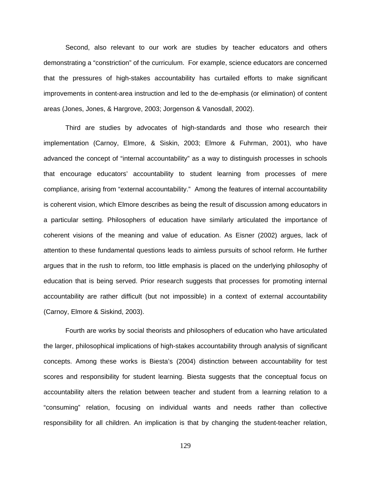Second, also relevant to our work are studies by teacher educators and others demonstrating a "constriction" of the curriculum. For example, science educators are concerned that the pressures of high-stakes accountability has curtailed efforts to make significant improvements in content-area instruction and led to the de-emphasis (or elimination) of content areas (Jones, Jones, & Hargrove, 2003; Jorgenson & Vanosdall, 2002).

Third are studies by advocates of high-standards and those who research their implementation (Carnoy, Elmore, & Siskin, 2003; Elmore & Fuhrman, 2001), who have advanced the concept of "internal accountability" as a way to distinguish processes in schools that encourage educators' accountability to student learning from processes of mere compliance, arising from "external accountability." Among the features of internal accountability is coherent vision, which Elmore describes as being the result of discussion among educators in a particular setting. Philosophers of education have similarly articulated the importance of coherent visions of the meaning and value of education. As Eisner (2002) argues, lack of attention to these fundamental questions leads to aimless pursuits of school reform. He further argues that in the rush to reform, too little emphasis is placed on the underlying philosophy of education that is being served. Prior research suggests that processes for promoting internal accountability are rather difficult (but not impossible) in a context of external accountability (Carnoy, Elmore & Siskind, 2003).

Fourth are works by social theorists and philosophers of education who have articulated the larger, philosophical implications of high-stakes accountability through analysis of significant concepts. Among these works is Biesta's (2004) distinction between accountability for test scores and responsibility for student learning. Biesta suggests that the conceptual focus on accountability alters the relation between teacher and student from a learning relation to a "consuming" relation, focusing on individual wants and needs rather than collective responsibility for all children. An implication is that by changing the student-teacher relation,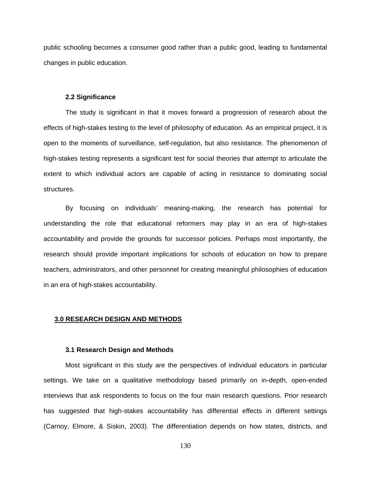public schooling becomes a consumer good rather than a public good, leading to fundamental changes in public education.

#### **2.2 Significance**

The study is significant in that it moves forward a progression of research about the effects of high-stakes testing to the level of philosophy of education. As an empirical project, it is open to the moments of surveillance, self-regulation, but also resistance. The phenomenon of high-stakes testing represents a significant test for social theories that attempt to articulate the extent to which individual actors are capable of acting in resistance to dominating social structures.

By focusing on individuals' meaning-making, the research has potential for understanding the role that educational reformers may play in an era of high-stakes accountability and provide the grounds for successor policies. Perhaps most importantly, the research should provide important implications for schools of education on how to prepare teachers, administrators, and other personnel for creating meaningful philosophies of education in an era of high-stakes accountability.

#### **3.0 RESEARCH DESIGN AND METHODS**

## **3.1 Research Design and Methods**

Most significant in this study are the perspectives of individual educators in particular settings. We take on a qualitative methodology based primarily on in-depth, open-ended interviews that ask respondents to focus on the four main research questions. Prior research has suggested that high-stakes accountability has differential effects in different settings (Carnoy, Elmore, & Siskin, 2003). The differentiation depends on how states, districts, and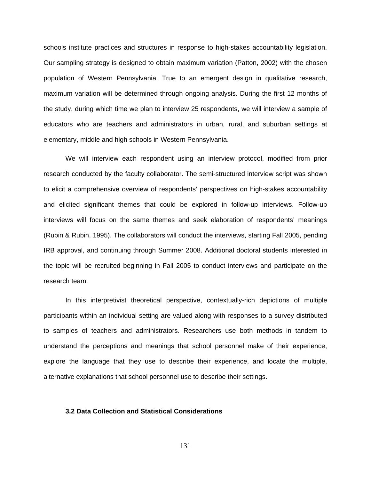schools institute practices and structures in response to high-stakes accountability legislation. Our sampling strategy is designed to obtain maximum variation (Patton, 2002) with the chosen population of Western Pennsylvania. True to an emergent design in qualitative research, maximum variation will be determined through ongoing analysis. During the first 12 months of the study, during which time we plan to interview 25 respondents, we will interview a sample of educators who are teachers and administrators in urban, rural, and suburban settings at elementary, middle and high schools in Western Pennsylvania.

We will interview each respondent using an interview protocol, modified from prior research conducted by the faculty collaborator. The semi-structured interview script was shown to elicit a comprehensive overview of respondents' perspectives on high-stakes accountability and elicited significant themes that could be explored in follow-up interviews. Follow-up interviews will focus on the same themes and seek elaboration of respondents' meanings (Rubin & Rubin, 1995). The collaborators will conduct the interviews, starting Fall 2005, pending IRB approval, and continuing through Summer 2008. Additional doctoral students interested in the topic will be recruited beginning in Fall 2005 to conduct interviews and participate on the research team.

In this interpretivist theoretical perspective, contextually-rich depictions of multiple participants within an individual setting are valued along with responses to a survey distributed to samples of teachers and administrators. Researchers use both methods in tandem to understand the perceptions and meanings that school personnel make of their experience, explore the language that they use to describe their experience, and locate the multiple, alternative explanations that school personnel use to describe their settings.

## **3.2 Data Collection and Statistical Considerations**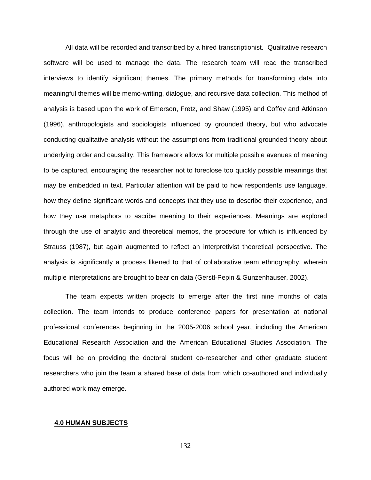All data will be recorded and transcribed by a hired transcriptionist. Qualitative research software will be used to manage the data. The research team will read the transcribed interviews to identify significant themes. The primary methods for transforming data into meaningful themes will be memo-writing, dialogue, and recursive data collection. This method of analysis is based upon the work of Emerson, Fretz, and Shaw (1995) and Coffey and Atkinson (1996), anthropologists and sociologists influenced by grounded theory, but who advocate conducting qualitative analysis without the assumptions from traditional grounded theory about underlying order and causality. This framework allows for multiple possible avenues of meaning to be captured, encouraging the researcher not to foreclose too quickly possible meanings that may be embedded in text. Particular attention will be paid to how respondents use language, how they define significant words and concepts that they use to describe their experience, and how they use metaphors to ascribe meaning to their experiences. Meanings are explored through the use of analytic and theoretical memos, the procedure for which is influenced by Strauss (1987), but again augmented to reflect an interpretivist theoretical perspective. The analysis is significantly a process likened to that of collaborative team ethnography, wherein multiple interpretations are brought to bear on data (Gerstl-Pepin & Gunzenhauser, 2002).

The team expects written projects to emerge after the first nine months of data collection. The team intends to produce conference papers for presentation at national professional conferences beginning in the 2005-2006 school year, including the American Educational Research Association and the American Educational Studies Association. The focus will be on providing the doctoral student co-researcher and other graduate student researchers who join the team a shared base of data from which co-authored and individually authored work may emerge.

#### **4.0 HUMAN SUBJECTS**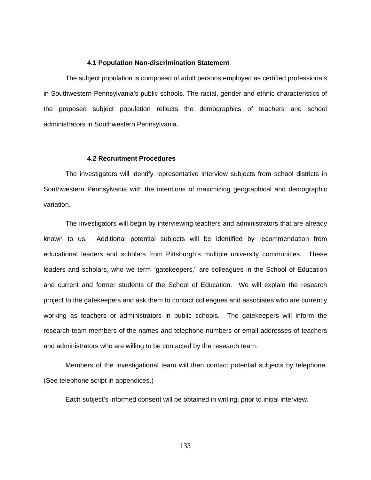#### **4.1 Population Non-discrimination Statement**

The subject population is composed of adult persons employed as certified professionals in Southwestern Pennsylvania's public schools. The racial, gender and ethnic characteristics of the proposed subject population reflects the demographics of teachers and school administrators in Southwestern Pennsylvania.

#### **4.2 Recruitment Procedures**

The investigators will identify representative interview subjects from school districts in Southwestern Pennsylvania with the intentions of maximizing geographical and demographic variation.

The investigators will begin by interviewing teachers and administrators that are already known to us. Additional potential subjects will be identified by recommendation from educational leaders and scholars from Pittsburgh's multiple university communities. These leaders and scholars, who we term "gatekeepers," are colleagues in the School of Education and current and former students of the School of Education. We will explain the research project to the gatekeepers and ask them to contact colleagues and associates who are currently working as teachers or administrators in public schools. The gatekeepers will inform the research team members of the names and telephone numbers or email addresses of teachers and administrators who are willing to be contacted by the research team.

Members of the investigational team will then contact potential subjects by telephone. (See telephone script in appendices.)

Each subject's informed consent will be obtained in writing, prior to initial interview.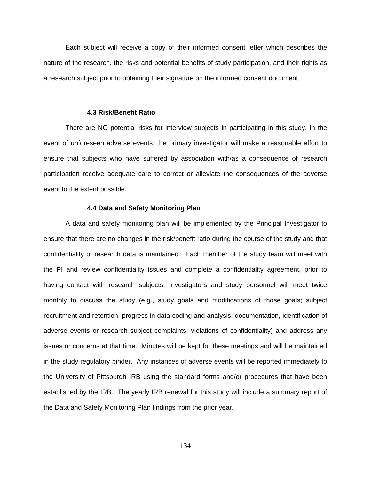Each subject will receive a copy of their informed consent letter which describes the nature of the research, the risks and potential benefits of study participation, and their rights as a research subject prior to obtaining their signature on the informed consent document.

#### **4.3 Risk/Benefit Ratio**

There are NO potential risks for interview subjects in participating in this study. In the event of unforeseen adverse events, the primary investigator will make a reasonable effort to ensure that subjects who have suffered by association with/as a consequence of research participation receive adequate care to correct or alleviate the consequences of the adverse event to the extent possible.

#### **4.4 Data and Safety Monitoring Plan**

A data and safety monitoring plan will be implemented by the Principal Investigator to ensure that there are no changes in the risk/benefit ratio during the course of the study and that confidentiality of research data is maintained. Each member of the study team will meet with the PI and review confidentiality issues and complete a confidentiality agreement, prior to having contact with research subjects. Investigators and study personnel will meet twice monthly to discuss the study (e.g., study goals and modifications of those goals; subject recruitment and retention; progress in data coding and analysis; documentation, identification of adverse events or research subject complaints; violations of confidentiality) and address any issues or concerns at that time. Minutes will be kept for these meetings and will be maintained in the study regulatory binder. Any instances of adverse events will be reported immediately to the University of Pittsburgh IRB using the standard forms and/or procedures that have been established by the IRB. The yearly IRB renewal for this study will include a summary report of the Data and Safety Monitoring Plan findings from the prior year.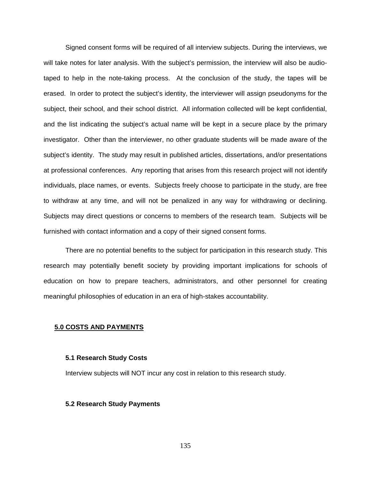Signed consent forms will be required of all interview subjects. During the interviews, we will take notes for later analysis. With the subject's permission, the interview will also be audiotaped to help in the note-taking process. At the conclusion of the study, the tapes will be erased. In order to protect the subject's identity, the interviewer will assign pseudonyms for the subject, their school, and their school district. All information collected will be kept confidential, and the list indicating the subject's actual name will be kept in a secure place by the primary investigator. Other than the interviewer, no other graduate students will be made aware of the subject's identity. The study may result in published articles, dissertations, and/or presentations at professional conferences. Any reporting that arises from this research project will not identify individuals, place names, or events. Subjects freely choose to participate in the study, are free to withdraw at any time, and will not be penalized in any way for withdrawing or declining. Subjects may direct questions or concerns to members of the research team. Subjects will be furnished with contact information and a copy of their signed consent forms.

There are no potential benefits to the subject for participation in this research study. This research may potentially benefit society by providing important implications for schools of education on how to prepare teachers, administrators, and other personnel for creating meaningful philosophies of education in an era of high-stakes accountability.

## **5.0 COSTS AND PAYMENTS**

#### **5.1 Research Study Costs**

Interview subjects will NOT incur any cost in relation to this research study.

#### **5.2 Research Study Payments**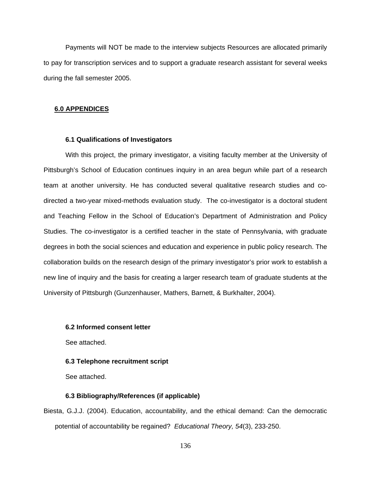Payments will NOT be made to the interview subjects Resources are allocated primarily to pay for transcription services and to support a graduate research assistant for several weeks during the fall semester 2005.

#### **6.0 APPENDICES**

## **6.1 Qualifications of Investigators**

With this project, the primary investigator, a visiting faculty member at the University of Pittsburgh's School of Education continues inquiry in an area begun while part of a research team at another university. He has conducted several qualitative research studies and codirected a two-year mixed-methods evaluation study. The co-investigator is a doctoral student and Teaching Fellow in the School of Education's Department of Administration and Policy Studies. The co-investigator is a certified teacher in the state of Pennsylvania, with graduate degrees in both the social sciences and education and experience in public policy research. The collaboration builds on the research design of the primary investigator's prior work to establish a new line of inquiry and the basis for creating a larger research team of graduate students at the University of Pittsburgh (Gunzenhauser, Mathers, Barnett, & Burkhalter, 2004).

## **6.2 Informed consent letter**

See attached.

#### **6.3 Telephone recruitment script**

See attached.

#### **6.3 Bibliography/References (if applicable)**

Biesta, G.J.J. (2004). Education, accountability, and the ethical demand: Can the democratic potential of accountability be regained? *Educational Theory, 54*(3), 233-250.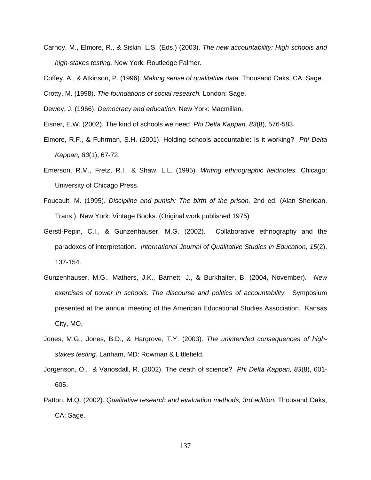Carnoy, M., Elmore, R., & Siskin, L.S. (Eds.) (2003). *The new accountability: High schools and high-stakes testing.* New York: Routledge Falmer.

Coffey, A., & Atkinson, P. (1996). *Making sense of qualitative data.* Thousand Oaks, CA: Sage.

Crotty, M. (1998). *The foundations of social research.* London: Sage.

Dewey, J. (1966). *Democracy and education.* New York: Macmillan.

Eisner, E.W. (2002). The kind of schools we need. *Phi Delta Kappan, 83*(8), 576-583.

- Elmore, R.F., & Fuhrman, S.H. (2001). Holding schools accountable: Is it working? *Phi Delta Kappan, 83*(1), 67-72.
- Emerson, R.M., Fretz, R.I., & Shaw, L.L. (1995). *Writing ethnographic fieldnotes.* Chicago: University of Chicago Press.
- Foucault, M. (1995). *Discipline and punish: The birth of the prison,* 2nd ed. (Alan Sheridan, Trans.). New York: Vintage Books. (Original work published 1975)
- Gerstl-Pepin, C.I., & Gunzenhauser, M.G. (2002). Collaborative ethnography and the paradoxes of interpretation. *International Journal of Qualitative Studies in Education*, *15*(2), 137-154.
- Gunzenhauser, M.G., Mathers, J.K., Barnett, J., & Burkhalter, B. (2004, November). *New exercises of power in schools: The discourse and politics of accountability.* Symposium presented at the annual meeting of the American Educational Studies Association. Kansas City, MO.
- Jones, M.G., Jones, B.D., & Hargrove, T.Y. (2003). *The unintended consequences of highstakes testing.* Lanham, MD: Rowman & Littlefield.
- Jorgenson, O., & Vanosdall, R. (2002). The death of science? *Phi Delta Kappan, 83*(8), 601- 605.
- Patton, M.Q. (2002). *Qualitative research and evaluation methods, 3rd edition.* Thousand Oaks, CA: Sage.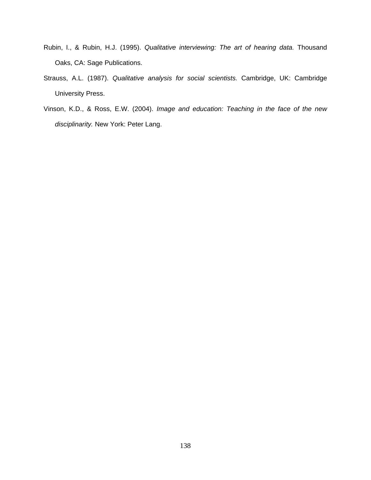- Rubin, I., & Rubin, H.J. (1995). *Qualitative interviewing: The art of hearing data.* Thousand Oaks, CA: Sage Publications.
- Strauss, A.L. (1987). *Qualitative analysis for social scientists.* Cambridge, UK: Cambridge University Press.
- Vinson, K.D., & Ross, E.W. (2004). *Image and education: Teaching in the face of the new disciplinarity.* New York: Peter Lang.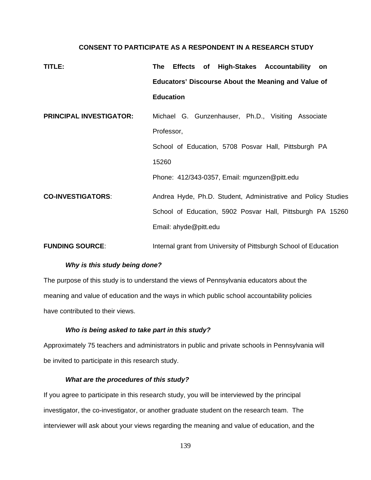# **CONSENT TO PARTICIPATE AS A RESPONDENT IN A RESEARCH STUDY**

| TITLE:                         | Effects of High-Stakes Accountability<br>The<br>on               |
|--------------------------------|------------------------------------------------------------------|
|                                | <b>Educators' Discourse About the Meaning and Value of</b>       |
|                                | <b>Education</b>                                                 |
| <b>PRINCIPAL INVESTIGATOR:</b> | Michael G. Gunzenhauser, Ph.D., Visiting Associate               |
|                                | Professor,                                                       |
|                                | School of Education, 5708 Posvar Hall, Pittsburgh PA             |
|                                | 15260                                                            |
|                                | Phone: 412/343-0357, Email: mgunzen@pitt.edu                     |
| <b>CO-INVESTIGATORS:</b>       | Andrea Hyde, Ph.D. Student, Administrative and Policy Studies    |
|                                | School of Education, 5902 Posvar Hall, Pittsburgh PA 15260       |
|                                | Email: ahyde@pitt.edu                                            |
| <b>FUNDING SOURCE:</b>         | Internal grant from University of Pittsburgh School of Education |

# *Why is this study being done?*

The purpose of this study is to understand the views of Pennsylvania educators about the meaning and value of education and the ways in which public school accountability policies have contributed to their views.

# *Who is being asked to take part in this study?*

Approximately 75 teachers and administrators in public and private schools in Pennsylvania will be invited to participate in this research study.

# *What are the procedures of this study?*

If you agree to participate in this research study, you will be interviewed by the principal investigator, the co-investigator, or another graduate student on the research team. The interviewer will ask about your views regarding the meaning and value of education, and the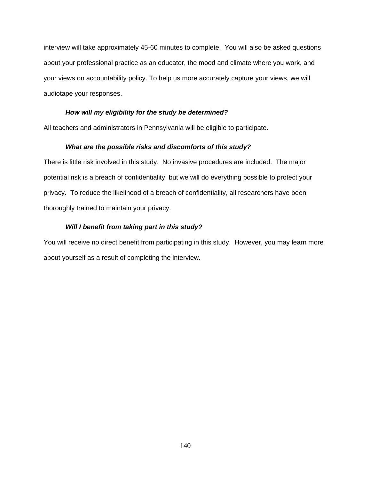interview will take approximately 45-60 minutes to complete. You will also be asked questions about your professional practice as an educator, the mood and climate where you work, and your views on accountability policy. To help us more accurately capture your views, we will audiotape your responses.

# *How will my eligibility for the study be determined?*

All teachers and administrators in Pennsylvania will be eligible to participate.

# *What are the possible risks and discomforts of this study?*

There is little risk involved in this study. No invasive procedures are included. The major potential risk is a breach of confidentiality, but we will do everything possible to protect your privacy. To reduce the likelihood of a breach of confidentiality, all researchers have been thoroughly trained to maintain your privacy.

# *Will I benefit from taking part in this study?*

You will receive no direct benefit from participating in this study. However, you may learn more about yourself as a result of completing the interview.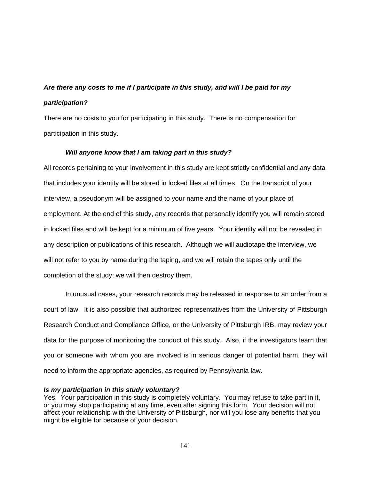# *Are there any costs to me if I participate in this study, and will I be paid for my participation?*

There are no costs to you for participating in this study. There is no compensation for participation in this study.

# *Will anyone know that I am taking part in this study?*

All records pertaining to your involvement in this study are kept strictly confidential and any data that includes your identity will be stored in locked files at all times. On the transcript of your interview, a pseudonym will be assigned to your name and the name of your place of employment. At the end of this study, any records that personally identify you will remain stored in locked files and will be kept for a minimum of five years. Your identity will not be revealed in any description or publications of this research. Although we will audiotape the interview, we will not refer to you by name during the taping, and we will retain the tapes only until the completion of the study; we will then destroy them.

In unusual cases, your research records may be released in response to an order from a court of law. It is also possible that authorized representatives from the University of Pittsburgh Research Conduct and Compliance Office, or the University of Pittsburgh IRB, may review your data for the purpose of monitoring the conduct of this study. Also, if the investigators learn that you or someone with whom you are involved is in serious danger of potential harm, they will need to inform the appropriate agencies, as required by Pennsylvania law.

#### *Is my participation in this study voluntary?*

Yes. Your participation in this study is completely voluntary. You may refuse to take part in it, or you may stop participating at any time, even after signing this form. Your decision will not affect your relationship with the University of Pittsburgh, nor will you lose any benefits that you might be eligible for because of your decision.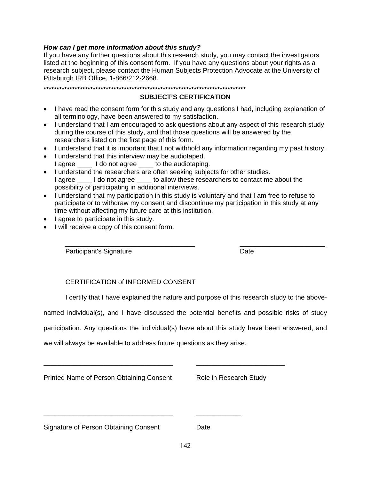# *How can I get more information about this study?*

If you have any further questions about this research study, you may contact the investigators listed at the beginning of this consent form. If you have any questions about your rights as a research subject, please contact the Human Subjects Protection Advocate at the University of Pittsburgh IRB Office, 1-866/212-2668.

# **SUBJECT'S CERTIFICATION**

- I have read the consent form for this study and any questions I had, including explanation of all terminology, have been answered to my satisfaction.
- I understand that I am encouraged to ask questions about any aspect of this research study during the course of this study, and that those questions will be answered by the researchers listed on the first page of this form.
- I understand that it is important that I not withhold any information regarding my past history.
- I understand that this interview may be audiotaped. I agree \_\_\_\_ I do not agree \_\_\_\_ to the audiotaping.
- I understand the researchers are often seeking subjects for other studies. I agree \_\_\_\_\_ I do not agree \_\_\_\_\_ to allow these researchers to contact me about the possibility of participating in additional interviews.
- I understand that my participation in this study is voluntary and that I am free to refuse to participate or to withdraw my consent and discontinue my participation in this study at any time without affecting my future care at this institution.
- I agree to participate in this study.
- I will receive a copy of this consent form.

Participant's Signature **Date** 

# CERTIFICATION of INFORMED CONSENT

I certify that I have explained the nature and purpose of this research study to the above-

\_\_\_\_\_\_\_\_\_\_\_\_\_\_\_\_\_\_\_\_\_\_\_\_\_\_\_\_\_\_\_\_\_\_\_ \_\_\_\_\_\_\_\_\_\_\_\_\_\_\_\_\_\_\_\_\_\_\_

named individual(s), and I have discussed the potential benefits and possible risks of study

participation. Any questions the individual(s) have about this study have been answered, and

we will always be available to address future questions as they arise.

\_\_\_\_\_\_\_\_\_\_\_\_\_\_\_\_\_\_\_\_\_\_\_\_\_\_\_\_\_\_\_\_\_\_\_ \_\_\_\_\_\_\_\_\_\_\_\_

\_\_\_\_\_\_\_\_\_\_\_\_\_\_\_\_\_\_\_\_\_\_\_\_\_\_\_\_\_\_\_\_\_\_\_ \_\_\_\_\_\_\_\_\_\_\_\_\_\_\_\_\_\_\_\_\_\_\_\_

Printed Name of Person Obtaining Consent Role in Research Study

Signature of Person Obtaining Consent Date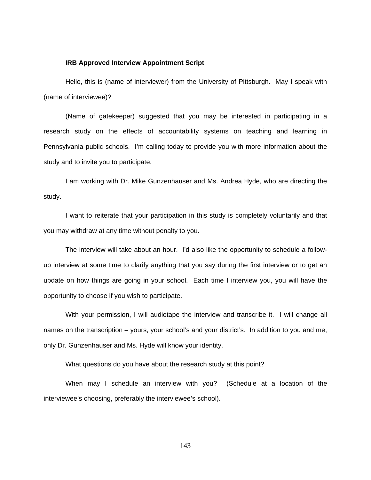#### **IRB Approved Interview Appointment Script**

Hello, this is (name of interviewer) from the University of Pittsburgh. May I speak with (name of interviewee)?

(Name of gatekeeper) suggested that you may be interested in participating in a research study on the effects of accountability systems on teaching and learning in Pennsylvania public schools. I'm calling today to provide you with more information about the study and to invite you to participate.

I am working with Dr. Mike Gunzenhauser and Ms. Andrea Hyde, who are directing the study.

I want to reiterate that your participation in this study is completely voluntarily and that you may withdraw at any time without penalty to you.

The interview will take about an hour. I'd also like the opportunity to schedule a followup interview at some time to clarify anything that you say during the first interview or to get an update on how things are going in your school. Each time I interview you, you will have the opportunity to choose if you wish to participate.

With your permission, I will audiotape the interview and transcribe it. I will change all names on the transcription – yours, your school's and your district's. In addition to you and me, only Dr. Gunzenhauser and Ms. Hyde will know your identity.

What questions do you have about the research study at this point?

When may I schedule an interview with you? (Schedule at a location of the interviewee's choosing, preferably the interviewee's school).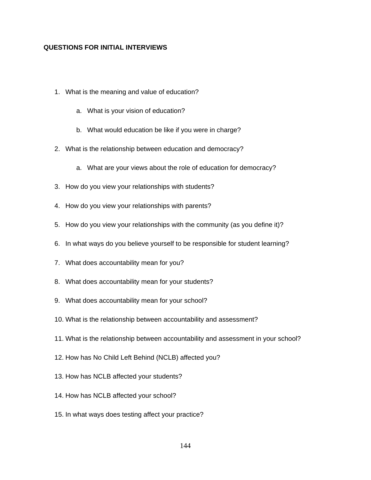# **QUESTIONS FOR INITIAL INTERVIEWS**

- 1. What is the meaning and value of education?
	- a. What is your vision of education?
	- b. What would education be like if you were in charge?
- 2. What is the relationship between education and democracy?
	- a. What are your views about the role of education for democracy?
- 3. How do you view your relationships with students?
- 4. How do you view your relationships with parents?
- 5. How do you view your relationships with the community (as you define it)?
- 6. In what ways do you believe yourself to be responsible for student learning?
- 7. What does accountability mean for you?
- 8. What does accountability mean for your students?
- 9. What does accountability mean for your school?
- 10. What is the relationship between accountability and assessment?
- 11. What is the relationship between accountability and assessment in your school?
- 12. How has No Child Left Behind (NCLB) affected you?
- 13. How has NCLB affected your students?
- 14. How has NCLB affected your school?
- 15. In what ways does testing affect your practice?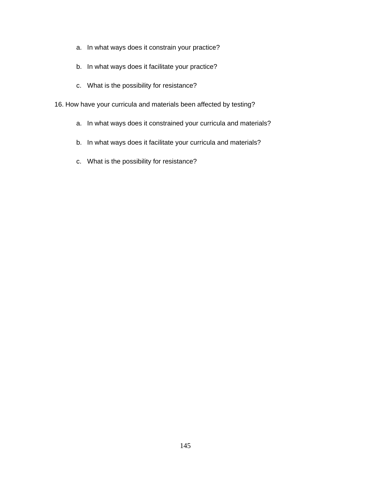- a. In what ways does it constrain your practice?
- b. In what ways does it facilitate your practice?
- c. What is the possibility for resistance?
- 16. How have your curricula and materials been affected by testing?
	- a. In what ways does it constrained your curricula and materials?
	- b. In what ways does it facilitate your curricula and materials?
	- c. What is the possibility for resistance?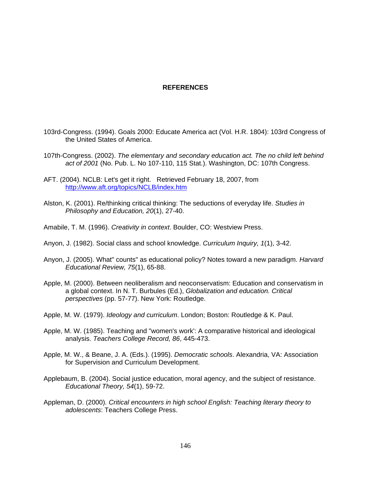## **REFERENCES**

- 103rd-Congress. (1994). Goals 2000: Educate America act (Vol. H.R. 1804): 103rd Congress of the United States of America.
- 107th-Congress. (2002). *The elementary and secondary education act. The no child left behind act of 2001* (No. Pub. L. No 107-110, 115 Stat.). Washington, DC: 107th Congress.
- AFT. (2004). NCLB: Let's get it right. Retrieved February 18, 2007, from http://www.aft.org/topics/NCLB/index.htm
- Alston, K. (2001). Re/thinking critical thinking: The seductions of everyday life. *Studies in Philosophy and Education, 20*(1), 27-40.
- Amabile, T. M. (1996). *Creativity in context*. Boulder, CO: Westview Press.
- Anyon, J. (1982). Social class and school knowledge. *Curriculum Inquiry, 1*(1), 3-42.
- Anyon, J. (2005). What" counts" as educational policy? Notes toward a new paradigm. *Harvard Educational Review, 75*(1), 65-88.
- Apple, M. (2000). Between neoliberalism and neoconservatism: Education and conservatism in a global context. In N. T. Burbules (Ed.), *Globalization and education. Critical perspectives* (pp. 57-77). New York: Routledge.
- Apple, M. W. (1979). *Ideology and curriculum*. London; Boston: Routledge & K. Paul.
- Apple, M. W. (1985). Teaching and "women's work': A comparative historical and ideological analysis. *Teachers College Record, 86*, 445-473.
- Apple, M. W., & Beane, J. A. (Eds.). (1995). *Democratic schools*. Alexandria, VA: Association for Supervision and Curriculum Development.
- Applebaum, B. (2004). Social justice education, moral agency, and the subject of resistance. *Educational Theory, 54*(1), 59-72.
- Appleman, D. (2000). *Critical encounters in high school English: Teaching literary theory to adolescents*: Teachers College Press.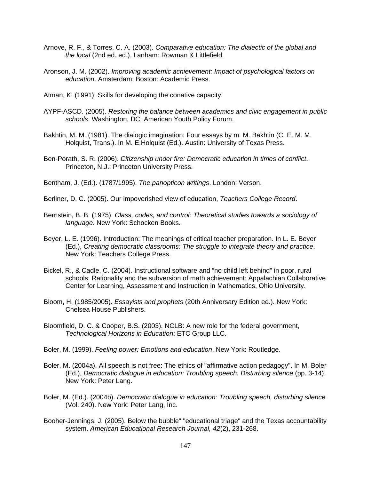- Arnove, R. F., & Torres, C. A. (2003). *Comparative education: The dialectic of the global and the local* (2nd ed. ed.). Lanham: Rowman & Littlefield.
- Aronson, J. M. (2002). *Improving academic achievement: Impact of psychological factors on education*. Amsterdam; Boston: Academic Press.
- Atman, K. (1991). Skills for developing the conative capacity.
- AYPF-ASCD. (2005). *Restoring the balance between academics and civic engagement in public schools*. Washington, DC: American Youth Policy Forum.
- Bakhtin, M. M. (1981). The dialogic imagination: Four essays by m. M. Bakhtin (C. E. M. M. Holquist, Trans.). In M. E.Holquist (Ed.). Austin: University of Texas Press.
- Ben-Porath, S. R. (2006). *Citizenship under fire: Democratic education in times of conflict*. Princeton, N.J.: Princeton University Press.
- Bentham, J. (Ed.). (1787/1995). *The panopticon writings*. London: Verson.
- Berliner, D. C. (2005). Our impoverished view of education, *Teachers College Record*.
- Bernstein, B. B. (1975). *Class, codes, and control: Theoretical studies towards a sociology of language*. New York: Schocken Books.
- Beyer, L. E. (1996). Introduction: The meanings of critical teacher preparation. In L. E. Beyer (Ed.), *Creating democratic classrooms: The struggle to integrate theory and practice*. New York: Teachers College Press.
- Bickel, R., & Cadle, C. (2004). Instructional software and "no child left behind" in poor, rural schools: Rationality and the subversion of math achievement: Appalachian Collaborative Center for Learning, Assessment and Instruction in Mathematics, Ohio University.
- Bloom, H. (1985/2005). *Essayists and prophets* (20th Anniversary Edition ed.). New York: Chelsea House Publishers.
- Bloomfield, D. C. & Cooper, B.S. (2003). NCLB: A new role for the federal government, *Technological Horizons in Education*: ETC Group LLC.
- Boler, M. (1999). *Feeling power: Emotions and education*. New York: Routledge.
- Boler, M. (2004a). All speech is not free: The ethics of "affirmative action pedagogy". In M. Boler (Ed.), *Democratic dialogue in education: Troubling speech. Disturbing silence* (pp. 3-14). New York: Peter Lang.
- Boler, M. (Ed.). (2004b). *Democratic dialogue in education: Troubling speech, disturbing silence* (Vol. 240). New York: Peter Lang, Inc.
- Booher-Jennings, J. (2005). Below the bubble" "educational triage" and the Texas accountability system. *American Educational Research Journal, 42*(2), 231-268.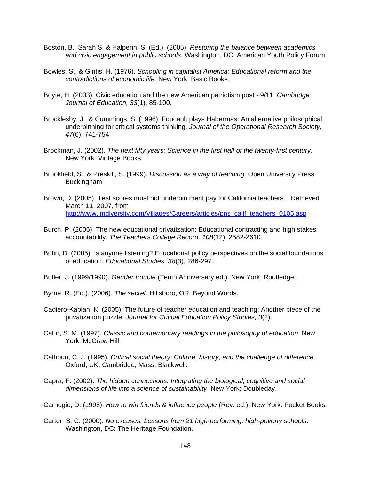- Boston, B., Sarah S. & Halperin, S. (Ed.). (2005). *Restoring the balance between academics and civic engagement in public schools*. Washington, DC: American Youth Policy Forum.
- Bowles, S., & Gintis, H. (1976). *Schooling in capitalist America: Educational reform and the contradictions of economic life*. New York: Basic Books.
- Boyte, H. (2003). Civic education and the new American patriotism post 9/11. *Cambridge Journal of Education, 33*(1), 85-100.
- Brocklesby, J., & Cummings, S. (1996). Foucault plays Habermas: An alternative philosophical underpinning for critical systems thinking. *Journal of the Operational Research Society, 47*(6), 741-754.
- Brockman, J. (2002). *The next fifty years: Science in the first half of the twenty-first century*. New York: Vintage Books.
- Brookfield, S., & Preskill, S. (1999). *Discussion as a way of teaching*: Open University Press Buckingham.
- Brown, D. (2005). Test scores must not underpin merit pay for California teachers. Retrieved March 11, 2007, from http://www.imdiversity.com/Villages/Careers/articles/pns\_calif\_teachers\_0105.asp
- Burch, P. (2006). The new educational privatization: Educational contracting and high stakes accountability. *The Teachers College Record, 108*(12), 2582-2610.
- Butin, D. (2005). Is anyone listening? Educational policy perspectives on the social foundations of education. *Educational Studies, 38*(3), 286-297.
- Butler, J. (1999/1990). *Gender trouble* (Tenth Anniversary ed.). New York: Routledge.
- Byrne, R. (Ed.). (2006). *The secret*. Hillsboro, OR: Beyond Words.
- Cadiero-Kaplan, K. (2005). The future of teacher education and teaching: Another piece of the privatization puzzle. *Journal for Critical Education Policy Studies, 3*(2).
- Cahn, S. M. (1997). *Classic and contemporary readings in the philosophy of education*. New York: McGraw-Hill.
- Calhoun, C. J. (1995). *Critical social theory: Culture, history, and the challenge of difference*. Oxford, UK; Cambridge, Mass: Blackwell.
- Capra, F. (2002). *The hidden connections: Integrating the biological, cognitive and social dimensions of life into a science of sustainability*. New York: Doubleday.
- Carnegie, D. (1998). *How to win friends & influence people* (Rev. ed.). New York: Pocket Books.
- Carter, S. C. (2000). *No excuses: Lessons from 21 high-performing, high-poverty schools*. Washington, DC: The Heritage Foundation.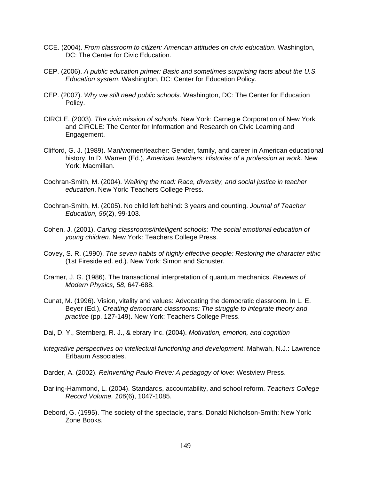- CCE. (2004). *From classroom to citizen: American attitudes on civic education*. Washington, DC: The Center for Civic Education.
- CEP. (2006). *A public education primer: Basic and sometimes surprising facts about the U.S. Education system*. Washington, DC: Center for Education Policy.
- CEP. (2007). *Why we still need public schools*. Washington, DC: The Center for Education Policy.
- CIRCLE. (2003). *The civic mission of schools*. New York: Carnegie Corporation of New York and CIRCLE: The Center for Information and Research on Civic Learning and Engagement.
- Clifford, G. J. (1989). Man/women/teacher: Gender, family, and career in American educational history. In D. Warren (Ed.), *American teachers: Histories of a profession at work*. New York: Macmillan.
- Cochran-Smith, M. (2004). *Walking the road: Race, diversity, and social justice in teacher education*. New York: Teachers College Press.
- Cochran-Smith, M. (2005). No child left behind: 3 years and counting. *Journal of Teacher Education, 56*(2), 99-103.
- Cohen, J. (2001). *Caring classrooms/intelligent schools: The social emotional education of young children*. New York: Teachers College Press.
- Covey, S. R. (1990). *The seven habits of highly effective people: Restoring the character ethic* (1st Fireside ed. ed.). New York: Simon and Schuster.
- Cramer, J. G. (1986). The transactional interpretation of quantum mechanics. *Reviews of Modern Physics, 58*, 647-688.
- Cunat, M. (1996). Vision, vitality and values: Advocating the democratic classroom. In L. E. Beyer (Ed.), *Creating democratic classrooms: The struggle to integrate theory and practice* (pp. 127-149). New York: Teachers College Press.
- Dai, D. Y., Sternberg, R. J., & ebrary Inc. (2004). *Motivation, emotion, and cognition*
- *integrative perspectives on intellectual functioning and development*. Mahwah, N.J.: Lawrence Erlbaum Associates.
- Darder, A. (2002). *Reinventing Paulo Freire: A pedagogy of love*: Westview Press.
- Darling-Hammond, L. (2004). Standards, accountability, and school reform. *Teachers College Record Volume, 106*(6), 1047-1085.
- Debord, G. (1995). The society of the spectacle, trans. Donald Nicholson-Smith: New York: Zone Books.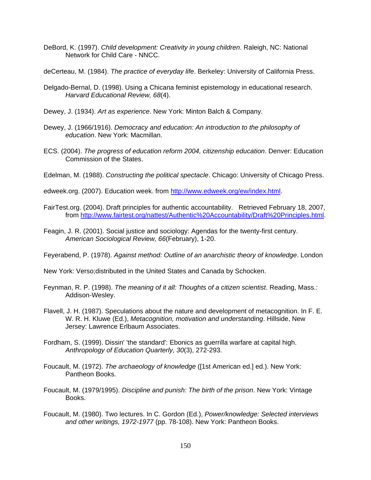- DeBord, K. (1997). *Child development: Creativity in young children*. Raleigh, NC: National Network for Child Care - NNCC.
- deCerteau, M. (1984). *The practice of everyday life*. Berkeley: University of California Press.
- Delgado-Bernal, D. (1998). Using a Chicana feminist epistemology in educational research. *Harvard Educational Review, 68*(4).
- Dewey, J. (1934). *Art as experience*. New York: Minton Balch & Company.
- Dewey, J. (1966/1916). *Democracy and education: An introduction to the philosophy of education*. New York: Macmillan.
- ECS. (2004). *The progress of education reform 2004, citizenship education*. Denver: Education Commission of the States.
- Edelman, M. (1988). *Constructing the political spectacle*. Chicago: University of Chicago Press.
- edweek.org. (2007). Education week. from http://www.edweek.org/ew/index.html.
- FairTest.org. (2004). Draft principles for authentic accountability. Retrieved February 18, 2007, from http://www.fairtest.org/nattest/Authentic%20Accountability/Draft%20Principles.html.
- Feagin, J. R. (2001). Social justice and sociology: Agendas for the twenty-first century. *American Sociological Review, 66*(February), 1-20.
- Feyerabend, P. (1978). *Against method: Outline of an anarchistic theory of knowledge*. London
- New York: Verso;distributed in the United States and Canada by Schocken.
- Feynman, R. P. (1998). *The meaning of it all: Thoughts of a citizen scientist*. Reading, Mass.: Addison-Wesley.
- Flavell, J. H. (1987). Speculations about the nature and development of metacognition. In F. E. W. R. H. Kluwe (Ed.), *Metacognition, motivation and understanding*. Hillside, New Jersey: Lawrence Erlbaum Associates.
- Fordham, S. (1999). Dissin' 'the standard': Ebonics as guerrilla warfare at capital high. *Anthropology of Education Quarterly, 30*(3), 272-293.
- Foucault, M. (1972). *The archaeology of knowledge* ([1st American ed.] ed.). New York: Pantheon Books.
- Foucault, M. (1979/1995). *Discipline and punish: The birth of the prison*. New York: Vintage Books.
- Foucault, M. (1980). Two lectures. In C. Gordon (Ed.), *Power/knowledge: Selected interviews and other writings, 1972-1977* (pp. 78-108). New York: Pantheon Books.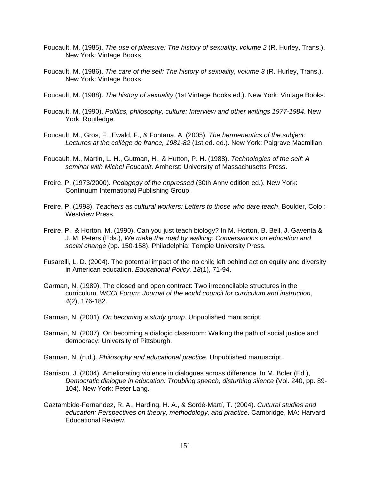- Foucault, M. (1985). *The use of pleasure: The history of sexuality, volume 2* (R. Hurley, Trans.). New York: Vintage Books.
- Foucault, M. (1986). *The care of the self: The history of sexuality, volume 3* (R. Hurley, Trans.). New York: Vintage Books.
- Foucault, M. (1988). *The history of sexuality* (1st Vintage Books ed.). New York: Vintage Books.
- Foucault, M. (1990). *Politics, philosophy, culture: Interview and other writings 1977-1984*. New York: Routledge.
- Foucault, M., Gros, F., Ewald, F., & Fontana, A. (2005). *The hermeneutics of the subject: Lectures at the collège de france, 1981-82* (1st ed. ed.). New York: Palgrave Macmillan.
- Foucault, M., Martin, L. H., Gutman, H., & Hutton, P. H. (1988). *Technologies of the self: A seminar with Michel Foucault*. Amherst: University of Massachusetts Press.
- Freire, P. (1973/2000). *Pedagogy of the oppressed* (30th Annv edition ed.). New York: Continuum International Publishing Group.
- Freire, P. (1998). *Teachers as cultural workers: Letters to those who dare teach*. Boulder, Colo.: Westview Press.
- Freire, P., & Horton, M. (1990). Can you just teach biology? In M. Horton, B. Bell, J. Gaventa & J. M. Peters (Eds.), *We make the road by walking: Conversations on education and social change* (pp. 150-158). Philadelphia: Temple University Press.
- Fusarelli, L. D. (2004). The potential impact of the no child left behind act on equity and diversity in American education. *Educational Policy, 18*(1), 71-94.
- Garman, N. (1989). The closed and open contract: Two irreconcilable structures in the curriculum. *WCCI Forum: Journal of the world council for curriculum and instruction, 4*(2), 176-182.
- Garman, N. (2001). *On becoming a study group*. Unpublished manuscript.
- Garman, N. (2007). On becoming a dialogic classroom: Walking the path of social justice and democracy: University of Pittsburgh.
- Garman, N. (n.d.). *Philosophy and educational practice*. Unpublished manuscript.
- Garrison, J. (2004). Ameliorating violence in dialogues across difference. In M. Boler (Ed.), *Democratic dialogue in education: Troubling speech, disturbing silence* (Vol. 240, pp. 89- 104). New York: Peter Lang.
- Gaztambide-Fernandez, R. A., Harding, H. A., & Sordé-Martí, T. (2004). *Cultural studies and education: Perspectives on theory, methodology, and practice*. Cambridge, MA: Harvard Educational Review.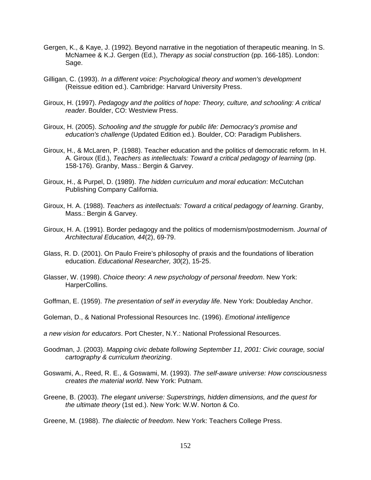- Gergen, K., & Kaye, J. (1992). Beyond narrative in the negotiation of therapeutic meaning. In S. McNamee & K.J. Gergen (Ed.), *Therapy as social construction* (pp. 166-185). London: Sage.
- Gilligan, C. (1993). *In a different voice: Psychological theory and women's development* (Reissue edition ed.). Cambridge: Harvard University Press.
- Giroux, H. (1997). *Pedagogy and the politics of hope: Theory, culture, and schooling: A critical reader*. Boulder, CO: Westview Press.
- Giroux, H. (2005). *Schooling and the struggle for public life: Democracy's promise and education's challenge* (Updated Edition ed.). Boulder, CO: Paradigm Publishers.
- Giroux, H., & McLaren, P. (1988). Teacher education and the politics of democratic reform. In H. A. Giroux (Ed.), *Teachers as intellectuals: Toward a critical pedagogy of learning* (pp. 158-176). Granby, Mass.: Bergin & Garvey.
- Giroux, H., & Purpel, D. (1989). *The hidden curriculum and moral education*: McCutchan Publishing Company California.
- Giroux, H. A. (1988). *Teachers as intellectuals: Toward a critical pedagogy of learning*. Granby, Mass.: Bergin & Garvey.
- Giroux, H. A. (1991). Border pedagogy and the politics of modernism/postmodernism. *Journal of Architectural Education, 44*(2), 69-79.
- Glass, R. D. (2001). On Paulo Freire's philosophy of praxis and the foundations of liberation education. *Educational Researcher, 30*(2), 15-25.
- Glasser, W. (1998). *Choice theory: A new psychology of personal freedom*. New York: HarperCollins.
- Goffman, E. (1959). *The presentation of self in everyday life*. New York: Doubleday Anchor.
- Goleman, D., & National Professional Resources Inc. (1996). *Emotional intelligence*
- *a new vision for educators*. Port Chester, N.Y.: National Professional Resources.
- Goodman, J. (2003). *Mapping civic debate following September 11, 2001: Civic courage, social cartography & curriculum theorizing*.
- Goswami, A., Reed, R. E., & Goswami, M. (1993). *The self-aware universe: How consciousness creates the material world*. New York: Putnam.
- Greene, B. (2003). *The elegant universe: Superstrings, hidden dimensions, and the quest for the ultimate theory* (1st ed.). New York: W.W. Norton & Co.
- Greene, M. (1988). *The dialectic of freedom*. New York: Teachers College Press.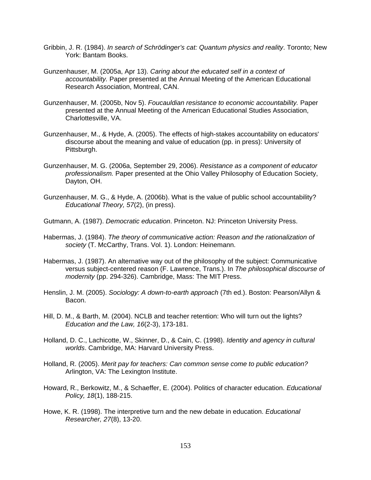- Gribbin, J. R. (1984). *In search of Schrödinger's cat: Quantum physics and reality*. Toronto; New York: Bantam Books.
- Gunzenhauser, M. (2005a, Apr 13). *Caring about the educated self in a context of accountability.* Paper presented at the Annual Meeting of the American Educational Research Association, Montreal, CAN.
- Gunzenhauser, M. (2005b, Nov 5). *Foucauldian resistance to economic accountability.* Paper presented at the Annual Meeting of the American Educational Studies Association, Charlottesville, VA.
- Gunzenhauser, M., & Hyde, A. (2005). The effects of high-stakes accountability on educators' discourse about the meaning and value of education (pp. in press): University of Pittsburgh.
- Gunzenhauser, M. G. (2006a, September 29, 2006). *Resistance as a component of educator professionalism.* Paper presented at the Ohio Valley Philosophy of Education Society, Dayton, OH.
- Gunzenhauser, M. G., & Hyde, A. (2006b). What is the value of public school accountability? *Educational Theory, 57*(2), (in press).
- Gutmann, A. (1987). *Democratic education*. Princeton. NJ: Princeton University Press.
- Habermas, J. (1984). *The theory of communicative action: Reason and the rationalization of society* (T. McCarthy, Trans. Vol. 1). London: Heinemann.
- Habermas, J. (1987). An alternative way out of the philosophy of the subject: Communicative versus subject-centered reason (F. Lawrence, Trans.). In *The philosophical discourse of modernity* (pp. 294-326). Cambridge, Mass: The MIT Press.
- Henslin, J. M. (2005). *Sociology: A down-to-earth approach* (7th ed.). Boston: Pearson/Allyn & Bacon.
- Hill, D. M., & Barth, M. (2004). NCLB and teacher retention: Who will turn out the lights? *Education and the Law, 16*(2-3), 173-181.
- Holland, D. C., Lachicotte, W., Skinner, D., & Cain, C. (1998). *Identity and agency in cultural worlds*. Cambridge, MA: Harvard University Press.
- Holland, R. (2005). *Merit pay for teachers: Can common sense come to public education?* Arlington, VA: The Lexington Institute.
- Howard, R., Berkowitz, M., & Schaeffer, E. (2004). Politics of character education. *Educational Policy, 18*(1), 188-215.
- Howe, K. R. (1998). The interpretive turn and the new debate in education. *Educational Researcher, 27*(8), 13-20.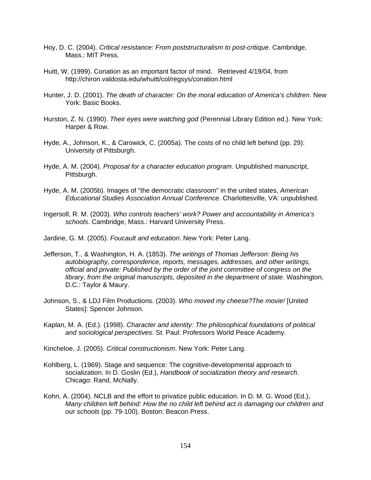- Hoy, D. C. (2004). *Critical resistance: From poststructuralism to post-critique*. Cambridge, Mass.: MIT Press.
- Huitt, W. (1999). Conation as an important factor of mind. Retrieved 4/19/04, from http://chiron.valdosta.edu/whuitt/col/regsys/conation.html
- Hunter, J. D. (2001). *The death of character: On the moral education of America's children*. New York: Basic Books.
- Hurston, Z. N. (1990). *Their eyes were watching god* (Perennial Library Edition ed.). New York: Harper & Row.
- Hyde, A., Johnson, K., & Carowick, C. (2005a). The costs of no child left behind (pp. 29): University of Pittsburgh.
- Hyde, A. M. (2004). *Proposal for a character education program*. Unpublished manuscript, Pittsburgh.
- Hyde, A. M. (2005b). Images of "the democratic classroom" in the united states, *American Educational Studies Association Annual Conference*. Charlottesville, VA: unpublished.

Ingersoll, R. M. (2003). *Who controls teachers' work? Power and accountability in America's schools*. Cambridge, Mass.: Harvard University Press.

Jardine, G. M. (2005). *Foucault and education*. New York: Peter Lang.

- Jefferson, T., & Washington, H. A. (1853). *The writings of Thomas Jefferson: Being his autobiography, correspondence, reports, messages, addresses, and other writings, official and private: Published by the order of the joint committee of congress on the library, from the original manuscripts, deposited in the department of state*. Washington, D.C.: Taylor & Maury.
- Johnson, S., & LDJ Film Productions. (2003). *Who moved my cheese?The movie!* [United States]: Spencer Johnson.
- Kaplan, M. A. (Ed.). (1998). *Character and identity: The philosophical foundations of political and sociological perspectives*. St. Paul: Professors World Peace Academy.

Kincheloe, J. (2005). *Critical constructionism*. New York: Peter Lang.

- Kohlberg, L. (1969). Stage and sequence: The cognitive-developmental approach to socialization. In D. Goslin (Ed.), *Handbook of socialization theory and research*. Chicago: Rand, McNally.
- Kohn, A. (2004). NCLB and the effort to privatize public education. In D. M. G. Wood (Ed.), *Many children left behind: How the no child left behind act is damaging our children and our schools* (pp. 79-100). Boston: Beacon Press.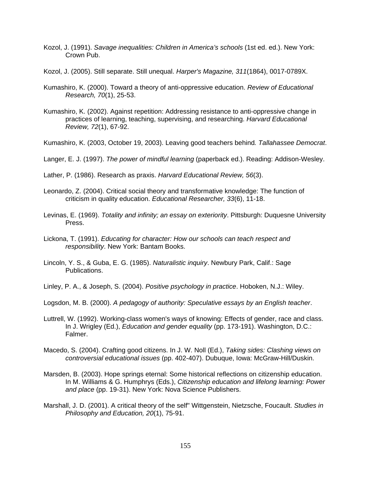- Kozol, J. (1991). *Savage inequalities: Children in America's schools* (1st ed. ed.). New York: Crown Pub.
- Kozol, J. (2005). Still separate. Still unequal. *Harper's Magazine, 311*(1864), 0017-0789X.
- Kumashiro, K. (2000). Toward a theory of anti-oppressive education. *Review of Educational Research, 70*(1), 25-53.
- Kumashiro, K. (2002). Against repetition: Addressing resistance to anti-oppressive change in practices of learning, teaching, supervising, and researching. *Harvard Educational Review, 72*(1), 67-92.
- Kumashiro, K. (2003, October 19, 2003). Leaving good teachers behind*. Tallahassee Democrat*.
- Langer, E. J. (1997). *The power of mindful learning* (paperback ed.). Reading: Addison-Wesley.
- Lather, P. (1986). Research as praxis. *Harvard Educational Review, 56*(3).
- Leonardo, Z. (2004). Critical social theory and transformative knowledge: The function of criticism in quality education. *Educational Researcher, 33*(6), 11-18.
- Levinas, E. (1969). *Totality and infinity; an essay on exteriority*. Pittsburgh: Duquesne University Press.
- Lickona, T. (1991). *Educating for character: How our schools can teach respect and responsibility*. New York: Bantam Books.
- Lincoln, Y. S., & Guba, E. G. (1985). *Naturalistic inquiry*. Newbury Park, Calif.: Sage Publications.
- Linley, P. A., & Joseph, S. (2004). *Positive psychology in practice*. Hoboken, N.J.: Wiley.
- Logsdon, M. B. (2000). *A pedagogy of authority: Speculative essays by an English teacher*.
- Luttrell, W. (1992). Working-class women's ways of knowing: Effects of gender, race and class. In J. Wrigley (Ed.), *Education and gender equality* (pp. 173-191). Washington, D.C.: Falmer.
- Macedo, S. (2004). Crafting good citizens. In J. W. Noll (Ed.), *Taking sides: Clashing views on controversial educational issues* (pp. 402-407). Dubuque, Iowa: McGraw-Hill/Duskin.
- Marsden, B. (2003). Hope springs eternal: Some historical reflections on citizenship education. In M. Williams & G. Humphrys (Eds.), *Citizenship education and lifelong learning: Power and place* (pp. 19-31). New York: Nova Science Publishers.
- Marshall, J. D. (2001). A critical theory of the self" Wittgenstein, Nietzsche, Foucault. *Studies in Philosophy and Education, 20*(1), 75-91.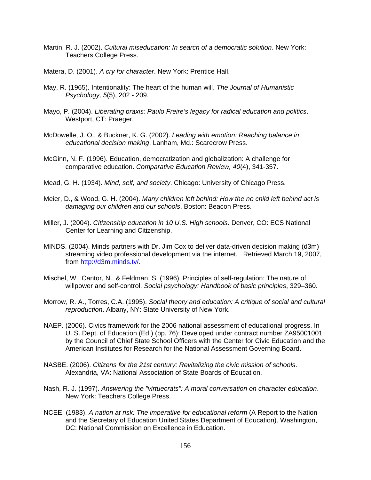- Martin, R. J. (2002). *Cultural miseducation: In search of a democratic solution*. New York: Teachers College Press.
- Matera, D. (2001). *A cry for character*. New York: Prentice Hall.
- May, R. (1965). Intentionality: The heart of the human will. *The Journal of Humanistic Psychology, 5*(5), 202 - 209.
- Mayo, P. (2004). *Liberating praxis: Paulo Freire's legacy for radical education and politics*. Westport, CT: Praeger.
- McDowelle, J. O., & Buckner, K. G. (2002). *Leading with emotion: Reaching balance in educational decision making*. Lanham, Md.: Scarecrow Press.
- McGinn, N. F. (1996). Education, democratization and globalization: A challenge for comparative education. *Comparative Education Review, 40*(4), 341-357.
- Mead, G. H. (1934). *Mind, self, and society*. Chicago: University of Chicago Press.
- Meier, D., & Wood, G. H. (2004). *Many children left behind: How the no child left behind act is damaging our children and our schools*. Boston: Beacon Press.
- Miller, J. (2004). *Citizenship education in 10 U.S. High schools*. Denver, CO: ECS National Center for Learning and Citizenship.
- MINDS. (2004). Minds partners with Dr. Jim Cox to deliver data-driven decision making (d3m) streaming video professional development via the internet. Retrieved March 19, 2007, from http://d3m.minds.tv/.
- Mischel, W., Cantor, N., & Feldman, S. (1996). Principles of self-regulation: The nature of willpower and self-control. *Social psychology: Handbook of basic principles*, 329–360.
- Morrow, R. A., Torres, C.A. (1995). *Social theory and education: A critique of social and cultural reproduction*. Albany, NY: State University of New York.
- NAEP. (2006). Civics framework for the 2006 national assessment of educational progress. In U. S. Dept. of Education (Ed.) (pp. 76): Developed under contract number ZA95001001 by the Council of Chief State School Officers with the Center for Civic Education and the American Institutes for Research for the National Assessment Governing Board.
- NASBE. (2006). *Citizens for the 21st century: Revitalizing the civic mission of schools*. Alexandria, VA: National Association of State Boards of Education.
- Nash, R. J. (1997). *Answering the "virtuecrats": A moral conversation on character education*. New York: Teachers College Press.
- NCEE. (1983). *A nation at risk: The imperative for educational reform* (A Report to the Nation and the Secretary of Education United States Department of Education). Washington, DC: National Commission on Excellence in Education.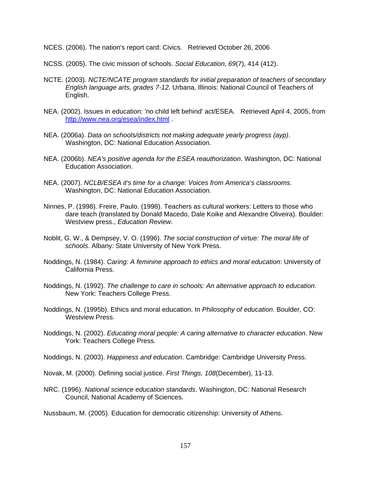- NCES. (2006). The nation's report card: Civics. Retrieved October 26, 2006
- NCSS. (2005). The civic mission of schools. *Social Education, 69*(7), 414 (412).
- NCTE. (2003). *NCTE/NCATE program standards for initial preparation of teachers of secondary English language arts, grades 7-12*. Urbana, Illinois: National Council of Teachers of English.
- NEA. (2002). Issues in education: 'no child left behind' act/ESEA. Retrieved April 4, 2005, from http://www.nea.org/esea/index.html .
- NEA. (2006a). *Data on schools/districts not making adequate yearly progress (ayp)*. Washington, DC: National Education Association.
- NEA. (2006b). *NEA's positive agenda for the ESEA reauthorization*. Washington, DC: National Education Association.
- NEA. (2007). *NCLB/ESEA it's time for a change: Voices from America's classrooms*. Washington, DC: National Education Association.
- Ninnes, P. (1998). Freire, Paulo. (1998). Teachers as cultural workers: Letters to those who dare teach (translated by Donald Macedo, Dale Koike and Alexandre Oliveira). Boulder: Westview press., *Education Review*.
- Noblit, G. W., & Dempsey, V. O. (1996). *The social construction of virtue: The moral life of schools*. Albany: State University of New York Press.
- Noddings, N. (1984). *Caring: A feminine approach to ethics and moral education*: University of California Press.
- Noddings, N. (1992). *The challenge to care in schools: An alternative approach to education*. New York: Teachers College Press.
- Noddings, N. (1995b). Ethics and moral education. In *Philosophy of education*. Boulder, CO: Westview Press.
- Noddings, N. (2002). *Educating moral people: A caring alternative to character education*. New York: Teachers College Press.
- Noddings, N. (2003). *Happiness and education*. Cambridge: Cambridge University Press.
- Novak, M. (2000). Defining social justice. *First Things, 108*(December), 11-13.
- NRC. (1996). *National science education standards*. Washington, DC: National Research Council, National Academy of Sciences.

Nussbaum, M. (2005). Education for democratic citizenship: University of Athens.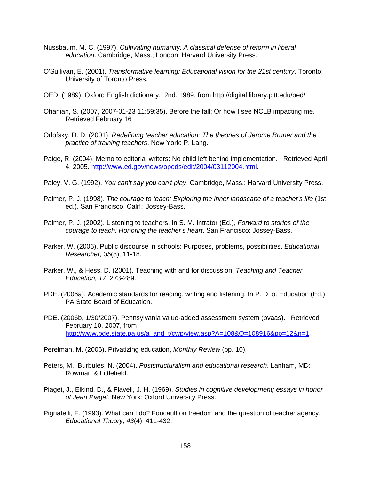- Nussbaum, M. C. (1997). *Cultivating humanity: A classical defense of reform in liberal education*. Cambridge, Mass.; London: Harvard University Press.
- O'Sullivan, E. (2001). *Transformative learning: Educational vision for the 21st century*. Toronto: University of Toronto Press.
- OED. (1989). Oxford English dictionary. 2nd. 1989, from http://digital.library.pitt.edu/oed/
- Ohanian, S. (2007, 2007-01-23 11:59:35). Before the fall: Or how I see NCLB impacting me. Retrieved February 16
- Orlofsky, D. D. (2001). *Redefining teacher education: The theories of Jerome Bruner and the practice of training teachers*. New York: P. Lang.
- Paige, R. (2004). Memo to editorial writers: No child left behind implementation. Retrieved April 4, 2005. http://www.ed.gov/news/opeds/edit/2004/03112004.html.
- Paley, V. G. (1992). *You can't say you can't play*. Cambridge, Mass.: Harvard University Press.
- Palmer, P. J. (1998). *The courage to teach: Exploring the inner landscape of a teacher's life* (1st ed.). San Francisco, Calif.: Jossey-Bass.
- Palmer, P. J. (2002). Listening to teachers. In S. M. Intrator (Ed.), *Forward to stories of the courage to teach: Honoring the teacher's heart*. San Francisco: Jossey-Bass.
- Parker, W. (2006). Public discourse in schools: Purposes, problems, possibilities. *Educational Researcher, 35*(8), 11-18.
- Parker, W., & Hess, D. (2001). Teaching with and for discussion. *Teaching and Teacher Education, 17*, 273-289.
- PDE. (2006a). Academic standards for reading, writing and listening. In P. D. o. Education (Ed.): PA State Board of Education.
- PDE. (2006b, 1/30/2007). Pennsylvania value-added assessment system (pvaas). Retrieved February 10, 2007, from http://www.pde.state.pa.us/a\_and\_t/cwp/view.asp?A=108&Q=108916&pp=12&n=1.

Perelman, M. (2006). Privatizing education, *Monthly Review* (pp. 10).

- Peters, M., Burbules, N. (2004). *Poststructuralism and educational research*. Lanham, MD: Rowman & Littlefield.
- Piaget, J., Elkind, D., & Flavell, J. H. (1969). *Studies in cognitive development; essays in honor of Jean Piaget*. New York: Oxford University Press.
- Pignatelli, F. (1993). What can I do? Foucault on freedom and the question of teacher agency. *Educational Theory, 43*(4), 411-432.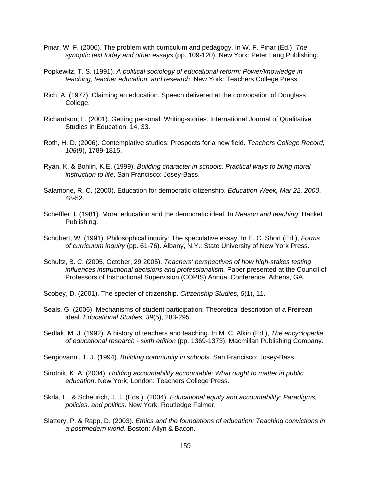- Pinar, W. F. (2006). The problem with curriculum and pedagogy. In W. F. Pinar (Ed.), *The synoptic text today and other essays* (pp. 109-120). New York: Peter Lang Publishing.
- Popkewitz, T. S. (1991). *A political sociology of educational reform: Power/knowledge in teaching, teacher education, and research*. New York: Teachers College Press.
- Rich, A. (1977). Claiming an education. Speech delivered at the convocation of Douglass College.
- Richardson, L. (2001). Getting personal: Writing-stories. International Journal of Qualitative Studies in Education, 14, 33.
- Roth, H. D. (2006). Contemplative studies: Prospects for a new field. *Teachers College Record, 108*(9), 1789-1815.
- Ryan, K. & Bohlin, K.E. (1999). *Building character in schools: Practical ways to bring moral instruction to life*. San Francisco: Josey-Bass.
- Salamone, R. C. (2000). Education for democratic citizenship. *Education Week, Mar 22, 2000*, 48-52.
- Scheffler, I. (1981). Moral education and the democratic ideal. In *Reason and teaching*: Hacket Publishing.
- Schubert, W. (1991). Philosophical inquiry: The speculative essay. In E. C. Short (Ed.), *Forms of curriculum inquiry* (pp. 61-76). Albany, N.Y.: State University of New York Press.
- Schultz, B. C. (2005, October, 29 2005). *Teachers' perspectives of how high-stakes testing influences instructional decisions and professionalism.* Paper presented at the Council of Professors of Instructional Supervision (COPIS) Annual Conference, Athens, GA.
- Scobey, D. (2001). The specter of citizenship. *Citizenship Studies, 5*(1), 11.
- Seals, G. (2006). Mechanisms of student participation: Theoretical description of a Freirean ideal. *Educational Studies, 39*(5), 283-295.
- Sedlak, M. J. (1992). A history of teachers and teaching. In M. C. Alkin (Ed.), *The encyclopedia of educational research - sixth edition* (pp. 1369-1373): Macmillan Publishing Company.
- Sergiovanni, T. J. (1994). *Building community in schools*. San Francisco: Josey-Bass.
- Sirotnik, K. A. (2004). *Holding accountability accountable: What ought to matter in public education*. New York; London: Teachers College Press.
- Skrla, L., & Scheurich, J. J. (Eds.). (2004). *Educational equity and accountability: Paradigms, policies, and politics*. New York: Routledge Falmer.
- Slattery, P. & Rapp, D. (2003). *Ethics and the foundations of education: Teaching convictions in a postmodern world*. Boston: Allyn & Bacon.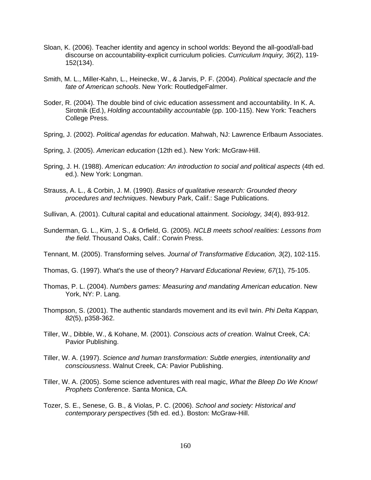- Sloan, K. (2006). Teacher identity and agency in school worlds: Beyond the all-good/all-bad discourse on accountability-explicit curriculum policies. *Curriculum Inquiry, 36*(2), 119- 152(134).
- Smith, M. L., Miller-Kahn, L., Heinecke, W., & Jarvis, P. F. (2004). *Political spectacle and the fate of American schools*. New York: RoutledgeFalmer.
- Soder, R. (2004). The double bind of civic education assessment and accountability. In K. A. Sirotnik (Ed.), *Holding accountability accountable* (pp. 100-115). New York: Teachers College Press.
- Spring, J. (2002). *Political agendas for education*. Mahwah, NJ: Lawrence Erlbaum Associates.
- Spring, J. (2005). *American education* (12th ed.). New York: McGraw-Hill.
- Spring, J. H. (1988). *American education: An introduction to social and political aspects* (4th ed. ed.). New York: Longman.
- Strauss, A. L., & Corbin, J. M. (1990). *Basics of qualitative research: Grounded theory procedures and techniques*. Newbury Park, Calif.: Sage Publications.
- Sullivan, A. (2001). Cultural capital and educational attainment. *Sociology, 34*(4), 893-912.
- Sunderman, G. L., Kim, J. S., & Orfield, G. (2005). *NCLB meets school realities: Lessons from the field*. Thousand Oaks, Calif.: Corwin Press.
- Tennant, M. (2005). Transforming selves. *Journal of Transformative Education, 3*(2), 102-115.
- Thomas, G. (1997). What's the use of theory? *Harvard Educational Review, 67*(1), 75-105.
- Thomas, P. L. (2004). *Numbers games: Measuring and mandating American education*. New York, NY: P. Lang.
- Thompson, S. (2001). The authentic standards movement and its evil twin. *Phi Delta Kappan, 82*(5), p358-362.
- Tiller, W., Dibble, W., & Kohane, M. (2001). *Conscious acts of creation*. Walnut Creek, CA: Pavior Publishing.
- Tiller, W. A. (1997). *Science and human transformation: Subtle energies, intentionality and consciousness*. Walnut Creek, CA: Pavior Publishing.
- Tiller, W. A. (2005). Some science adventures with real magic, *What the Bleep Do We Know! Prophets Conference*. Santa Monica, CA.
- Tozer, S. E., Senese, G. B., & Violas, P. C. (2006). *School and society: Historical and contemporary perspectives* (5th ed. ed.). Boston: McGraw-Hill.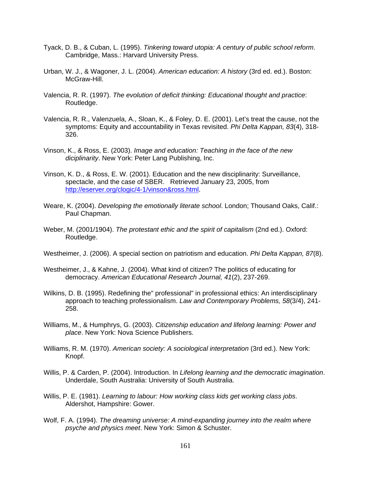- Tyack, D. B., & Cuban, L. (1995). *Tinkering toward utopia: A century of public school reform*. Cambridge, Mass.: Harvard University Press.
- Urban, W. J., & Wagoner, J. L. (2004). *American education: A history* (3rd ed. ed.). Boston: McGraw-Hill.
- Valencia, R. R. (1997). *The evolution of deficit thinking: Educational thought and practice*: Routledge.
- Valencia, R. R., Valenzuela, A., Sloan, K., & Foley, D. E. (2001). Let's treat the cause, not the symptoms: Equity and accountability in Texas revisited. *Phi Delta Kappan, 83*(4), 318- 326.
- Vinson, K., & Ross, E. (2003). *Image and education: Teaching in the face of the new diciplinarity*. New York: Peter Lang Publishing, Inc.
- Vinson, K. D., & Ross, E. W. (2001). Education and the new disciplinarity: Surveillance, spectacle, and the case of SBER. Retrieved January 23, 2005, from http://eserver.org/clogic/4-1/vinson&ross.html.
- Weare, K. (2004). *Developing the emotionally literate school*. London; Thousand Oaks, Calif.: Paul Chapman.
- Weber, M. (2001/1904). *The protestant ethic and the spirit of capitalism* (2nd ed.). Oxford: Routledge.
- Westheimer, J. (2006). A special section on patriotism and education. *Phi Delta Kappan, 87*(8).
- Westheimer, J., & Kahne, J. (2004). What kind of citizen? The politics of educating for democracy. *American Educational Research Journal, 41*(2), 237-269.
- Wilkins, D. B. (1995). Redefining the" professional" in professional ethics: An interdisciplinary approach to teaching professionalism. *Law and Contemporary Problems, 58*(3/4), 241- 258.
- Williams, M., & Humphrys, G. (2003). *Citizenship education and lifelong learning: Power and place*. New York: Nova Science Publishers.
- Williams, R. M. (1970). *American society: A sociological interpretation* (3rd ed.). New York: Knopf.
- Willis, P. & Carden, P. (2004). Introduction. In *Lifelong learning and the democratic imagination*. Underdale, South Australia: University of South Australia.
- Willis, P. E. (1981). *Learning to labour: How working class kids get working class jobs*. Aldershot, Hampshire: Gower.
- Wolf, F. A. (1994). *The dreaming universe: A mind-expanding journey into the realm where psyche and physics meet*. New York: Simon & Schuster.